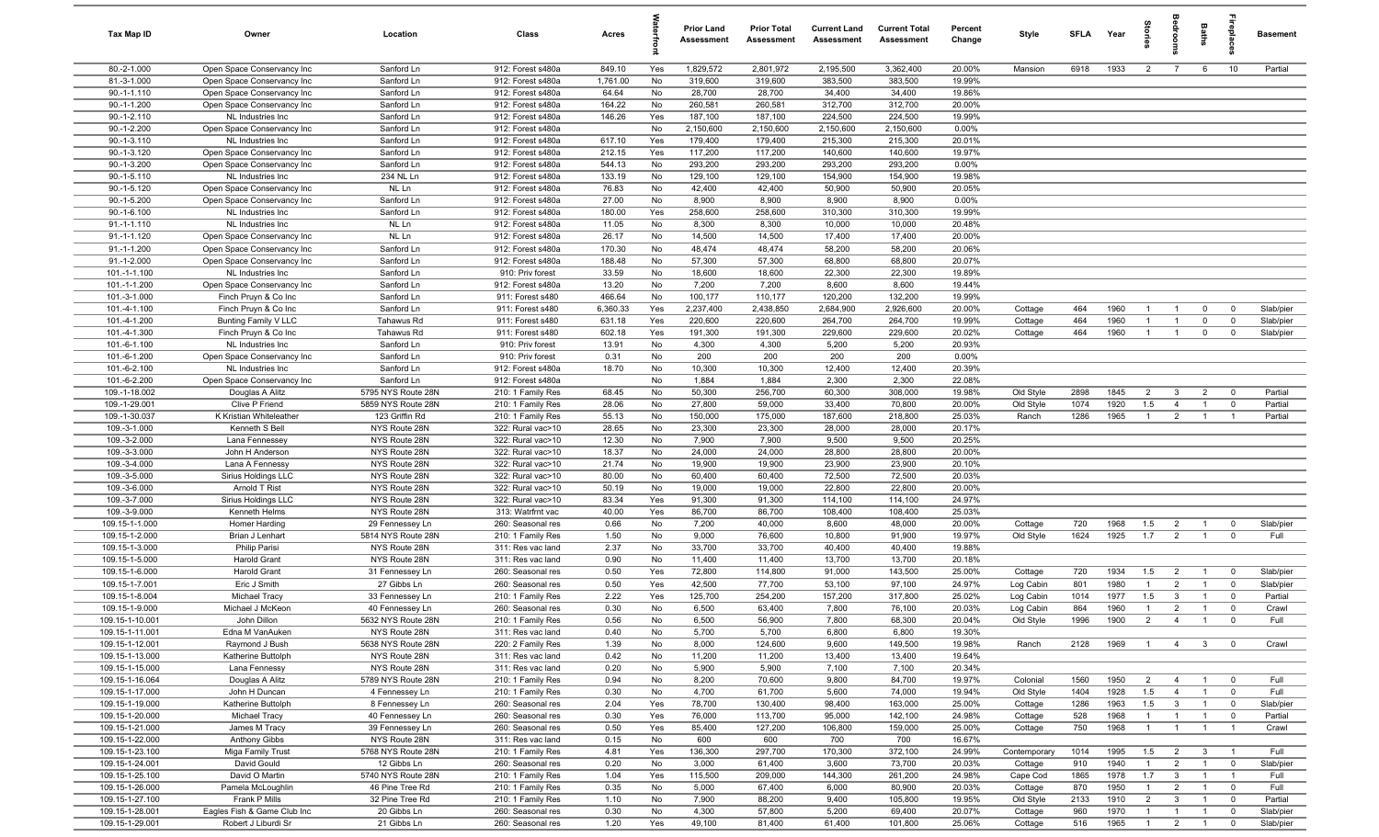| Tax Map ID                         | Owner                                              | Location                            | Class                                  | Acres           |           | <b>Prior Land</b><br>Assessment | <b>Prior Total</b><br>Assessment | <b>Current Land</b><br>Assessment | <b>Current Total</b><br><b>Assessment</b> | Percent<br>Change | Style        | SFLA | Year | tories         | droom                       | Baths                   | repla                   | <b>Basement</b> |
|------------------------------------|----------------------------------------------------|-------------------------------------|----------------------------------------|-----------------|-----------|---------------------------------|----------------------------------|-----------------------------------|-------------------------------------------|-------------------|--------------|------|------|----------------|-----------------------------|-------------------------|-------------------------|-----------------|
| 80.-2-1.000                        | Open Space Conservancy Inc                         | Sanford Ln                          | 912: Forest s480a                      | 849.10          | Yes       | 1,829,572                       | 2,801,972                        | 2,195,500                         | 3,362,400                                 | 20.00%            | Mansion      | 6918 | 1933 | $\overline{2}$ | $\overline{7}$              | 6                       | 10                      | Partial         |
| 81.-3-1.000                        | Open Space Conservancy Inc                         | Sanford Ln                          | 912: Forest s480a                      | 1,761.00        | No        | 319,600                         | 319,600                          | 383,500                           | 383,500                                   | 19.99%            |              |      |      |                |                             |                         |                         |                 |
| $90.-1-1.110$                      | Open Space Conservancy Inc                         | Sanford Ln                          | 912: Forest s480a                      | 64.64           | No        | 28,700                          | 28,700                           | 34,400                            | 34,400                                    | 19.86%            |              |      |      |                |                             |                         |                         |                 |
| $90.-1-1.200$                      | Open Space Conservancy Inc                         | Sanford Ln                          | 912: Forest s480a                      | 164.22          | No        | 260,581                         | 260,581                          | 312,700                           | 312,700                                   | 20.00%            |              |      |      |                |                             |                         |                         |                 |
| $90.-1-2.110$<br>$90.-1-2.200$     | NL Industries Inc                                  | Sanford Ln<br>Sanford Ln            | 912: Forest s480a<br>912: Forest s480a | 146.26          | Yes<br>No | 187,100<br>2,150,600            | 187,100<br>2,150,600             | 224,500<br>2,150,600              | 224,500<br>2,150,600                      | 19.99%<br>0.00%   |              |      |      |                |                             |                         |                         |                 |
| 90.-1-3.110                        | Open Space Conservancy Inc<br>NL Industries Inc    | Sanford Ln                          | 912: Forest s480a                      | 617.10          | Yes       | 179,400                         | 179,400                          | 215,300                           | 215,300                                   | 20.01%            |              |      |      |                |                             |                         |                         |                 |
| $90.-1-3.120$                      | Open Space Conservancy Inc                         | Sanford Ln                          | 912: Forest s480a                      | 212.15          | Yes       | 117,200                         | 117,200                          | 140,600                           | 140,600                                   | 19.97%            |              |      |      |                |                             |                         |                         |                 |
| 90.-1-3.200                        | Open Space Conservancy Inc                         | Sanford Ln                          | 912: Forest s480a                      | 544.13          | No        | 293,200                         | 293,200                          | 293,200                           | 293,200                                   | 0.00%             |              |      |      |                |                             |                         |                         |                 |
| $90.-1-5.110$                      | NL Industries Inc                                  | 234 NL Ln                           | 912: Forest s480a                      | 133.19          | No        | 129,100                         | 129,100                          | 154,900                           | 154,900                                   | 19.98%            |              |      |      |                |                             |                         |                         |                 |
| $90.-1-5.120$                      | Open Space Conservancy Inc                         | NL Ln                               | 912: Forest s480a                      | 76.83           | No        | 42,400                          | 42,400                           | 50,900                            | 50,900                                    | 20.05%            |              |      |      |                |                             |                         |                         |                 |
| $90.-1-5.200$                      | Open Space Conservancy Inc                         | Sanford Ln                          | 912: Forest s480a                      | 27.00           | No        | 8,900                           | 8,900                            | 8,900                             | 8,900                                     | 0.00%             |              |      |      |                |                             |                         |                         |                 |
| $90.-1-6.100$                      | NL Industries Inc.                                 | Sanford Ln                          | 912: Forest s480a                      | 180.00          | Yes       | 258,600                         | 258,600                          | 310,300                           | 310,300                                   | 19.99%            |              |      |      |                |                             |                         |                         |                 |
| $91.-1-1.110$                      | NL Industries Inc                                  | NL Ln                               | 912: Forest s480a                      | 11.05           | No        | 8,300                           | 8,300                            | 10,000                            | 10,000                                    | 20.48%            |              |      |      |                |                             |                         |                         |                 |
| 91.-1-1.120                        | Open Space Conservancy Inc                         | NL Ln                               | 912: Forest s480a                      | 26.17           | No        | 14,500                          | 14,500                           | 17,400                            | 17,400                                    | 20.00%            |              |      |      |                |                             |                         |                         |                 |
| $91.-1-1.200$                      | Open Space Conservancy Inc                         | Sanford Ln                          | 912: Forest s480a                      | 170.30          | No        | 48,474                          | 48,474                           | 58,200                            | 58,200                                    | 20.06%            |              |      |      |                |                             |                         |                         |                 |
| 91.-1-2.000                        | Open Space Conservancy Inc                         | Sanford Ln                          | 912: Forest s480a                      | 188.48          | No        | 57,300                          | 57,300                           | 68,800                            | 68,800                                    | 20.07%            |              |      |      |                |                             |                         |                         |                 |
| 101.-1-1.100                       | NL Industries Inc                                  | Sanford Ln                          | 910: Priv forest                       | 33.59           | No        | 18,600                          | 18,600                           | 22,300                            | 22,300                                    | 19.89%            |              |      |      |                |                             |                         |                         |                 |
| 101.-1-1.200<br>101.-3-1.000       | Open Space Conservancy Inc<br>Finch Pruyn & Co Inc | Sanford Ln<br>Sanford Ln            | 912: Forest s480a<br>911: Forest s480  | 13.20<br>466.64 | No<br>No  | 7,200<br>100,177                | 7,200<br>110,177                 | 8,600<br>120,200                  | 8,600<br>132,200                          | 19.44%<br>19.99%  |              |      |      |                |                             |                         |                         |                 |
| 101.-4-1.100                       | Finch Pruyn & Co Inc                               | Sanford Ln                          | 911: Forest s480                       | 6,360.33        | Yes       | 2,237,400                       | 2,438,850                        | 2,684,900                         | 2,926,600                                 | 20.00%            | Cottage      | 464  | 1960 | $\overline{1}$ | $\overline{1}$              | $\mathbf 0$             | $\mathbf 0$             | Slab/pier       |
| 101.-4-1.200                       | Bunting Family V LLC                               | Tahawus Rd                          | 911: Forest s480                       | 631.18          | Yes       | 220,600                         | 220,600                          | 264,700                           | 264,700                                   | 19.99%            | Cottage      | 464  | 1960 | $\overline{1}$ | $\overline{1}$              | $\mathbf 0$             | $\mathbf 0$             | Slab/pier       |
| 101.-4-1.300                       | Finch Pruyn & Co Inc                               | Tahawus Rd                          | 911: Forest s480                       | 602.18          | Yes       | 191,300                         | 191,300                          | 229,600                           | 229,600                                   | 20.02%            | Cottage      | 464  | 1960 | $\overline{1}$ | $\overline{1}$              | $\mathbf 0$             | $\mathbf 0$             | Slab/pier       |
| 101.-6-1.100                       | NL Industries Inc                                  | Sanford Ln                          | 910: Priv forest                       | 13.91           | No        | 4,300                           | 4,300                            | 5,200                             | 5,200                                     | 20.93%            |              |      |      |                |                             |                         |                         |                 |
| 101.-6-1.200                       | Open Space Conservancy Inc                         | Sanford Ln                          | 910: Priv forest                       | 0.31            | No        | 200                             | 200                              | 200                               | 200                                       | 0.00%             |              |      |      |                |                             |                         |                         |                 |
| 101.-6-2.100                       | NL Industries Inc.                                 | Sanford Ln                          | 912: Forest s480a                      | 18.70           | No        | 10,300                          | 10,300                           | 12,400                            | 12,400                                    | 20.39%            |              |      |      |                |                             |                         |                         |                 |
| 101.-6-2.200                       | Open Space Conservancy Inc                         | Sanford Ln                          | 912: Forest s480a                      |                 | No        | 1,884                           | 1,884                            | 2,300                             | 2,300                                     | 22.08%            |              |      |      |                |                             |                         |                         |                 |
| 109.-1-18.002                      | Douglas A Alitz                                    | 5795 NYS Route 28N                  | 210: 1 Family Res                      | 68.45           | No        | 50,300                          | 256,700                          | 60,300                            | 308,000                                   | 19.98%            | Old Style    | 2898 | 1845 | $\overline{2}$ | $\mathbf{3}$                | $\overline{2}$          | $\mathbf 0$             | Partial         |
| 109.-1-29.001                      | Clive P Friend                                     | 5859 NYS Route 28N                  | 210: 1 Family Res                      | 28.06           | No        | 27,800                          | 59,000                           | 33,400                            | 70,800                                    | 20.00%            | Old Style    | 1074 | 1920 | 1.5            | $\overline{4}$              | $\overline{1}$          | $\mathbf 0$             | Partial         |
| 109.-1-30.037                      | K Kristian Whiteleather                            | 123 Griffin Rd                      | 210: 1 Family Res                      | 55.13           | No        | 150,000                         | 175,000                          | 187,600                           | 218,800                                   | 25.03%            | Ranch        | 1286 | 1965 | $\overline{1}$ | $\overline{2}$              | $\mathbf{1}$            | $\overline{1}$          | Partial         |
| 109.-3-1.000                       | Kenneth S Bell                                     | NYS Route 28N                       | 322: Rural vac>10                      | 28.65           | No        | 23,300                          | 23,300                           | 28,000                            | 28,000                                    | 20.17%            |              |      |      |                |                             |                         |                         |                 |
| 109.-3-2.000                       | Lana Fennessey                                     | NYS Route 28N                       | 322: Rural vac>10                      | 12.30           | No        | 7,900                           | 7,900                            | 9,500                             | 9,500                                     | 20.25%            |              |      |      |                |                             |                         |                         |                 |
| 109.-3-3.000                       | John H Anderson                                    | NYS Route 28N<br>NYS Route 28N      | 322: Rural vac>10                      | 18.37           | No        | 24,000<br>19,900                | 24,000<br>19,900                 | 28,800<br>23,900                  | 28,800<br>23,900                          | 20.00%<br>20.10%  |              |      |      |                |                             |                         |                         |                 |
| 109.-3-4.000<br>109.-3-5.000       | Lana A Fennessy<br>Sirius Holdings LLC             | NYS Route 28N                       | 322: Rural vac>10<br>322: Rural vac>10 | 21.74<br>80.00  | No<br>No  | 60,400                          | 60,400                           | 72,500                            | 72,500                                    | 20.03%            |              |      |      |                |                             |                         |                         |                 |
| 109.-3-6.000                       | Arnold T Rist                                      | NYS Route 28N                       | 322: Rural vac>10                      | 50.19           | No        | 19,000                          | 19,000                           | 22,800                            | 22,800                                    | 20.00%            |              |      |      |                |                             |                         |                         |                 |
| 109.-3-7.000                       | Sirius Holdings LLC                                | NYS Route 28N                       | 322: Rural vac>10                      | 83.34           | Yes       | 91,300                          | 91,300                           | 114,100                           | 114,100                                   | 24.97%            |              |      |      |                |                             |                         |                         |                 |
| 109.-3-9.000                       | Kenneth Helms                                      | NYS Route 28N                       | 313: Watrfrnt vac                      | 40.00           | Yes       | 86,700                          | 86,700                           | 108,400                           | 108,400                                   | 25.03%            |              |      |      |                |                             |                         |                         |                 |
| 109.15-1-1.000                     | Homer Harding                                      | 29 Fennessey Ln                     | 260: Seasonal res                      | 0.66            | No        | 7,200                           | 40,000                           | 8,600                             | 48,000                                    | 20.00%            | Cottage      | 720  | 1968 | 1.5            | $\overline{2}$              | $\overline{1}$          | $\mathbf 0$             | Slab/pier       |
| 109.15-1-2.000                     | Brian J Lenhart                                    | 5814 NYS Route 28N                  | 210: 1 Family Res                      | 1.50            | No        | 9,000                           | 76,600                           | 10,800                            | 91,900                                    | 19.97%            | Old Style    | 1624 | 1925 | 1.7            | 2                           | $\overline{1}$          | $\mathbf 0$             | Full            |
| 109.15-1-3.000                     | Philip Parisi                                      | NYS Route 28N                       | 311: Res vac land                      | 2.37            | No        | 33,700                          | 33,700                           | 40,400                            | 40,400                                    | 19.88%            |              |      |      |                |                             |                         |                         |                 |
| 109.15-1-5.000                     | <b>Harold Grant</b>                                | NYS Route 28N                       | 311: Res vac land                      | 0.90            | No        | 11,400                          | 11,400                           | 13,700                            | 13,700                                    | 20.18%            |              |      |      |                |                             |                         |                         |                 |
| 109.15-1-6.000                     | <b>Harold Grant</b>                                | 31 Fennessey Ln                     | 260: Seasonal res                      | 0.50            | Yes       | 72,800                          | 114,800                          | 91,000                            | 143,500                                   | 25.00%            | Cottage      | 720  | 1934 | 1.5            | $\overline{2}$              | $\overline{1}$          | $\mathbf 0$             | Slab/pier       |
| 109.15-1-7.001                     | Eric J Smith                                       | 27 Gibbs Ln                         | 260: Seasonal res                      | 0.50            | Yes       | 42,500                          | 77,700                           | 53,100                            | 97,100                                    | 24.97%            | Log Cabin    | 801  | 1980 | $\overline{1}$ | $\overline{2}$              | $\overline{1}$          | $\mathbf 0$             | Slab/pier       |
| 109.15-1-8.004                     | Michael Tracy                                      | 33 Fennessey Ln                     | 210: 1 Family Res                      | 2.22            | Yes       | 125,700                         | 254,200                          | 157,200                           | 317,800                                   | 25.02%            | Log Cabin    | 1014 | 1977 | 1.5            | $\mathbf{3}$                |                         | $\mathbf 0$             | Partial         |
| 109.15-1-9.000                     | Michael J McKeon                                   | 40 Fennessey Ln                     | 260: Seasonal res                      | 0.30            | No        | 6,500                           | 63,400                           | 7,800                             | 76,100                                    | 20.03%            | Log Cabin    | 864  | 1960 | $\overline{1}$ | $\overline{2}$<br>$\Lambda$ | $\overline{1}$          | $\mathbf 0$             | Crawl           |
| 109.15-1-10.001                    | John Dillon                                        | 5632 NYS Route 28N                  | 210: 1 Family Res                      | 0.56            | No        | 6,500                           | 56,900                           | 7,800                             | 68,300                                    | 20.04%            | Old Style    | 1996 | 1900 | $\overline{2}$ |                             |                         |                         | Full            |
| 109.15-1-11.001<br>109.15-1-12.001 | Edna M VanAuken<br>Raymond J Bush                  | NYS Route 28N<br>5638 NYS Route 28N | 311: Res vac land<br>220: 2 Family Res | 0.40<br>1.39    | No<br>No  | 5,700<br>8,000                  | 5,700<br>124,600                 | 6,800<br>9,600                    | 6,800<br>149,500                          | 19.30%<br>19.98%  | Ranch        | 2128 | 1969 | $\overline{1}$ | $\overline{4}$              | $\overline{\mathbf{3}}$ | $\overline{0}$          | Crawl           |
| 109.15-1-13.000                    | Katherine Buttolph                                 | NYS Route 28N                       | 311: Res vac land                      | 0.42            | No        | 11,200                          | 11,200                           | 13,400                            | 13,400                                    | 19.64%            |              |      |      |                |                             |                         |                         |                 |
| 109.15-1-15.000                    | Lana Fennessy                                      | NYS Route 28N                       | 311: Res vac land                      | 0.20            | No        | 5,900                           | 5,900                            | 7,100                             | 7,100                                     | 20.34%            |              |      |      |                |                             |                         |                         |                 |
| 109.15-1-16.064                    | Douglas A Alitz                                    | 5789 NYS Route 28N                  | 210: 1 Family Res                      | 0.94            | No        | 8,200                           | 70,600                           | 9,800                             | 84,700                                    | 19.97%            | Colonial     | 1560 | 1950 | $\overline{2}$ | $\overline{4}$              | $\overline{1}$          | $\overline{0}$          | Full            |
| 109.15-1-17.000                    | John H Duncan                                      | 4 Fennessey Ln                      | 210: 1 Family Res                      | 0.30            | No        | 4,700                           | 61,700                           | 5,600                             | 74,000                                    | 19.94%            | Old Style    | 1404 | 1928 | 1.5            | $\overline{4}$              | $\overline{1}$          | $\overline{0}$          | Full            |
| 109.15-1-19.000                    | Katherine Buttolph                                 | 8 Fennessey Ln                      | 260: Seasonal res                      | 2.04            | Yes       | 78,700                          | 130,400                          | 98,400                            | 163,000                                   | 25.00%            | Cottage      | 1286 | 1963 | 1.5            | $\overline{\mathbf{3}}$     | $\overline{1}$          | $\mathbf 0$             | Slab/pier       |
| 109.15-1-20.000                    | Michael Tracy                                      | 40 Fennessey Ln                     | 260: Seasonal res                      | 0.30            | Yes       | 76,000                          | 113,700                          | 95,000                            | 142,100                                   | 24.98%            | Cottage      | 528  | 1968 | $\mathbf{1}$   | $\overline{1}$              | $\overline{1}$          | $\overline{0}$          | Partial         |
| 109.15-1-21.000                    | James M Tracy                                      | 39 Fennessey Ln                     | 260: Seasonal res                      | 0.50            | Yes       | 85,400                          | 127,200                          | 106,800                           | 159,000                                   | 25.00%            | Cottage      | 750  | 1968 | $\mathbf{1}$   |                             | $\overline{1}$          | $\overline{1}$          | Crawl           |
| 109.15-1-22.000                    | <b>Anthony Gibbs</b>                               | NYS Route 28N                       | 311: Res vac land                      | 0.15            | No        | 600                             | 600                              | 700                               | 700                                       | 16.67%            |              |      |      |                |                             |                         |                         |                 |
| 109.15-1-23.100                    | Miga Family Trust                                  | 5768 NYS Route 28N                  | 210: 1 Family Res                      | 4.81            | Yes       | 136,300                         | 297,700                          | 170,300                           | 372,100                                   | 24.99%            | Contemporary | 1014 | 1995 | 1.5            | $\overline{2}$              | $\mathbf{3}$            | $\overline{1}$          | Full            |
| 109.15-1-24.001                    | David Gould                                        | 12 Gibbs Ln                         | 260: Seasonal res                      | 0.20            | No        | 3,000                           | 61,400                           | 3,600                             | 73,700                                    | 20.03%            | Cottage      | 910  | 1940 | $\overline{1}$ | $\overline{2}$              | $\overline{1}$          | $\overline{\mathbf{0}}$ | Slab/pier       |
| 109.15-1-25.100                    | David O Martin                                     | 5740 NYS Route 28N                  | 210: 1 Family Res                      | 1.04            | Yes       | 115,500                         | 209,000                          | 144,300                           | 261,200                                   | 24.98%            | Cape Cod     | 1865 | 1978 | 1.7            | $\overline{\mathbf{3}}$     | $\overline{1}$          | $\overline{1}$          | Full            |
| 109.15-1-26.000                    | Pamela McLoughlin                                  | 46 Pine Tree Rd                     | 210: 1 Family Res                      | 0.35            | No        | 5,000                           | 67,400                           | 6,000                             | 80,900                                    | 20.03%            | Cottage      | 870  | 1950 | $\overline{1}$ | $\overline{2}$              | $\overline{1}$          | $\overline{0}$          | Full            |
| 109.15-1-27.100                    | Frank P Mills                                      | 32 Pine Tree Rd                     | 210: 1 Family Res                      | 1.10            | No        | 7,900                           | 88,200                           | 9,400                             | 105,800                                   | 19.95%            | Old Style    | 2133 | 1910 | $\overline{2}$ | $\mathbf{3}$                | $\overline{1}$          | $\overline{0}$          | Partial         |
| 109.15-1-28.001                    | Eagles Fish & Game Club Inc                        | 20 Gibbs Ln                         | 260: Seasonal res                      | 0.30            | No        | 4,300                           | 57,800                           | 5,200                             | 69,400                                    | 20.07%            | Cottage      | 960  | 1970 | $\overline{1}$ | $\overline{1}$              | $\overline{1}$          | $\mathbf 0$             | Slab/pier       |
| 109.15-1-29.001                    | Robert J Liburdi Sr                                | 21 Gibbs Ln                         | 260: Seasonal res                      | 1.20            | Yes       | 49,100                          | 81,400                           | 61,400                            | 101,800                                   | 25.06%            | Cottage      | 516  | 1965 | $\overline{1}$ | $\overline{2}$              | $\overline{1}$          | $\mathbf 0$             | Slab/pier       |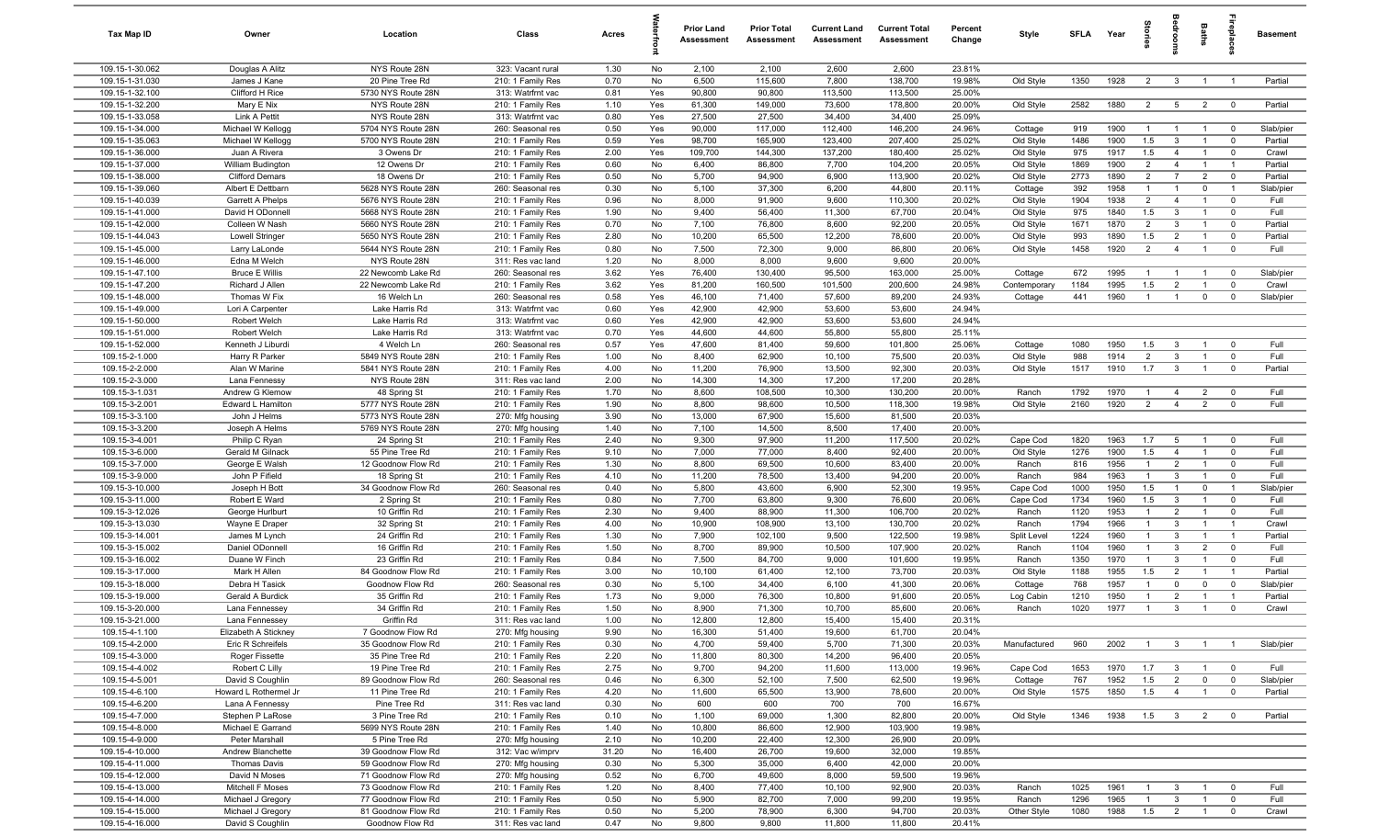| Tax Map ID                         | Owner                                    | Location                                 | Class                                  | Acres        |            | <b>Prior Land</b><br>Assessment | <b>Prior Total</b><br>Assessment | <b>Current Land</b><br>Assessment | <b>Current Total</b><br>Assessment | Percent<br>Change | Style                   | SFLA        | Year         | tories            | <b>OHOO</b>                      | Baths          | ireplace                 | <b>Basement</b>    |
|------------------------------------|------------------------------------------|------------------------------------------|----------------------------------------|--------------|------------|---------------------------------|----------------------------------|-----------------------------------|------------------------------------|-------------------|-------------------------|-------------|--------------|-------------------|----------------------------------|----------------|--------------------------|--------------------|
| 109.15-1-30.062                    | Douglas A Alitz                          | NYS Route 28N                            | 323: Vacant rural                      | 1.30         | No         | 2,100                           | 2,100                            | 2,600                             | 2,600                              | 23.81%            |                         |             |              |                   |                                  |                |                          |                    |
| 109.15-1-31.030                    | James J Kane                             | 20 Pine Tree Rd                          | 210: 1 Family Res                      | 0.70         | No         | 6,500                           | 115,600                          | 7,800                             | 138,700                            | 19.98%            | Old Style               | 1350        | 1928         | 2                 | $\mathbf{3}$                     | $\overline{1}$ | $\overline{1}$           | Partial            |
| 109.15-1-32.100                    | Clifford H Rice                          | 5730 NYS Route 28N                       | 313: Watrfrnt vac                      | 0.81         | Yes        | 90,800                          | 90,800                           | 113,500                           | 113,500                            | 25.00%            |                         |             |              |                   |                                  |                |                          |                    |
| 109.15-1-32.200                    | Mary E Nix                               | NYS Route 28N                            | 210: 1 Family Res                      | 1.10         | Yes        | 61,300                          | 149,000                          | 73,600                            | 178,800                            | 20.00%            | Old Style               | 2582        | 1880         | $\overline{2}$    | $5\overline{5}$                  | $\overline{2}$ | $^{\circ}$               | Partial            |
| 109.15-1-33.058<br>109.15-1-34.000 | Link A Pettit<br>Michael W Kellogg       | NYS Route 28N<br>5704 NYS Route 28N      | 313: Watrfrnt vac<br>260: Seasonal res | 0.80<br>0.50 | Yes<br>Yes | 27,500<br>90,000                | 27,500<br>117,000                | 34,400<br>112,400                 | 34,400<br>146,200                  | 25.09%<br>24.96%  | Cottage                 | 919         | 1900         | -1                | $\overline{1}$                   | $\overline{1}$ | $^{\circ}$               | Slab/pier          |
| 109.15-1-35.063                    | Michael W Kellogg                        | 5700 NYS Route 28N                       | 210: 1 Family Res                      | 0.59         | Yes        | 98,700                          | 165,900                          | 123,400                           | 207,400                            | 25.02%            | Old Style               | 1486        | 1900         | 1.5               | $\mathbf{3}$                     |                | $^{\circ}$               | Partial            |
| 109.15-1-36.000                    | Juan A Rivera                            | 3 Owens Dr                               | 210: 1 Family Res                      | 2.00         | Yes        | 109,700                         | 144,300                          | 137,200                           | 180,400                            | 25.02%            | Old Style               | 975         | 1917         | 1.5               | $\overline{4}$                   |                | $\mathbf 0$              | Crawl              |
| 109.15-1-37.000                    | William Budington                        | 12 Owens Dr                              | 210: 1 Family Res                      | 0.60         | No         | 6,400                           | 86,800                           | 7,700                             | 104,200                            | 20.05%            | Old Style               | 1869        | 1900         | $\overline{2}$    | $\overline{4}$                   | $\overline{1}$ | $\overline{1}$           | Partial            |
| 109.15-1-38.000                    | <b>Clifford Demars</b>                   | 18 Owens Dr                              | 210: 1 Family Res                      | 0.50         | No         | 5,700                           | 94,900                           | 6,900                             | 113,900                            | 20.02%            | Old Style               | 2773        | 1890         | $\overline{2}$    | $\overline{7}$                   | $\overline{2}$ | $\mathbf 0$              | Partial            |
| 109.15-1-39.060                    | Albert E Dettbarn                        | 5628 NYS Route 28N                       | 260: Seasonal res                      | 0.30         | No         | 5,100                           | 37,300                           | 6,200                             | 44,800                             | 20.11%            | Cottage                 | 392         | 1958         | $\overline{1}$    | $\overline{1}$                   | $\mathbf 0$    | $\overline{1}$           | Slab/pier          |
| 109.15-1-40.039                    | Garrett A Phelps                         | 5676 NYS Route 28N                       | 210: 1 Family Res                      | 0.96         | No         | 8,000                           | 91,900                           | 9,600                             | 110,300                            | 20.02%            | Old Style               | 1904        | 1938         | $\overline{2}$    | $\overline{4}$                   | $\overline{1}$ | $\mathbf 0$              | Full               |
| 109.15-1-41.000                    | David H ODonnell                         | 5668 NYS Route 28N                       | 210: 1 Family Res                      | 1.90         | No         | 9,400                           | 56,400                           | 11,300                            | 67,700                             | 20.04%            | Old Style               | 975         | 1840         | 1.5               | $\mathbf{3}$                     | $\overline{1}$ | $^{\circ}$               | Full               |
| 109.15-1-42.000                    | Colleen W Nash                           | 5660 NYS Route 28N                       | 210: 1 Family Res                      | 0.70         | No         | 7,100                           | 76,800                           | 8,600                             | 92,200                             | 20.05%            | Old Style               | 1671        | 1870         | $\overline{2}$    | $\mathbf{3}$                     | $\overline{1}$ | $\mathbf 0$              | Partial            |
| 109.15-1-44.043                    | <b>Lowell Stringer</b>                   | 5650 NYS Route 28N                       | 210: 1 Family Res                      | 2.80         | No         | 10,200                          | 65,500                           | 12,200                            | 78,600                             | 20.00%            | Old Style               | 993         | 1890         | 1.5               | 2                                | $\overline{1}$ | $\mathbf 0$              | Partial            |
| 109.15-1-45.000                    | Larry LaLonde                            | 5644 NYS Route 28N                       | 210: 1 Family Res                      | 0.80         | No         | 7,500                           | 72,300                           | 9,000                             | 86,800                             | 20.06%            | Old Style               | 1458        | 1920         | $\overline{2}$    | $\overline{4}$                   | $\mathbf{1}$   | $\mathbf 0$              | Full               |
| 109.15-1-46.000                    | Edna M Welch                             | NYS Route 28N                            | 311: Res vac land                      | 1.20         | No         | 8,000                           | 8,000                            | 9,600                             | 9,600                              | 20.00%            |                         |             |              |                   |                                  |                |                          |                    |
| 109.15-1-47.100<br>109.15-1-47.200 | <b>Bruce E Willis</b><br>Richard J Allen | 22 Newcomb Lake Rd                       | 260: Seasonal res                      | 3.62<br>3.62 | Yes<br>Yes | 76,400<br>81,200                | 130,400<br>160,500               | 95,500<br>101,500                 | 163,000<br>200,600                 | 25.00%<br>24.98%  | Cottage<br>Contemporary | 672<br>1184 | 1995<br>1995 | -1<br>1.5         | $\overline{2}$                   |                | $^{\circ}$<br>$\Omega$   | Slab/pier<br>Crawl |
| 109.15-1-48.000                    | Thomas W Fix                             | 22 Newcomb Lake Rd<br>16 Welch Ln        | 210: 1 Family Res<br>260: Seasonal res | 0.58         | Yes        | 46,100                          | 71,400                           | 57,600                            | 89,200                             | 24.93%            | Cottage                 | 441         | 1960         | $\mathbf{1}$      | $\overline{1}$                   | $\mathbf 0$    | $\mathbf 0$              | Slab/pier          |
| 109.15-1-49.000                    | Lori A Carpenter                         | Lake Harris Rd                           | 313: Watrfrnt vac                      | 0.60         | Yes        | 42,900                          | 42,900                           | 53,600                            | 53,600                             | 24.94%            |                         |             |              |                   |                                  |                |                          |                    |
| 109.15-1-50.000                    | Robert Welch                             | Lake Harris Rd                           | 313: Watrfrnt vac                      | 0.60         | Yes        | 42,900                          | 42,900                           | 53,600                            | 53,600                             | 24.94%            |                         |             |              |                   |                                  |                |                          |                    |
| 109.15-1-51.000                    | Robert Welch                             | Lake Harris Rd                           | 313: Watrfrnt vac                      | 0.70         | Yes        | 44,600                          | 44,600                           | 55,800                            | 55,800                             | 25.11%            |                         |             |              |                   |                                  |                |                          |                    |
| 109.15-1-52.000                    | Kenneth J Liburdi                        | 4 Welch Ln                               | 260: Seasonal res                      | 0.57         | Yes        | 47,600                          | 81,400                           | 59,600                            | 101,800                            | 25.06%            | Cottage                 | 1080        | 1950         | 1.5               | $\mathbf{3}$                     | $\overline{1}$ | $\Omega$                 | Full               |
| 109.15-2-1.000                     | Harry R Parker                           | 5849 NYS Route 28N                       | 210: 1 Family Res                      | 1.00         | No         | 8,400                           | 62,900                           | 10,100                            | 75,500                             | 20.03%            | Old Style               | 988         | 1914         | $\overline{2}$    | $\mathbf{3}$                     | $\overline{1}$ | $^{\circ}$               | Full               |
| 109.15-2-2.000                     | Alan W Marine                            | 5841 NYS Route 28N                       | 210: 1 Family Res                      | 4.00         | No         | 11,200                          | 76,900                           | 13,500                            | 92,300                             | 20.03%            | Old Style               | 1517        | 1910         | 1.7               | $\overline{3}$                   | $\overline{1}$ | $\overline{0}$           | Partial            |
| 109.15-2-3.000                     | Lana Fennessy                            | NYS Route 28N                            | 311: Res vac land                      | 2.00         | No         | 14,300                          | 14,300                           | 17,200                            | 17,200                             | 20.28%            |                         |             |              |                   |                                  |                |                          |                    |
| 109.15-3-1.031                     | Andrew G Klemow                          | 48 Spring St                             | 210: 1 Family Res                      | 1.70         | No         | 8,600                           | 108,500                          | 10,300                            | 130,200                            | 20.00%            | Ranch                   | 1792        | 1970         | $\overline{1}$    | $\overline{4}$                   | $\overline{2}$ | $\mathbf 0$              | Full               |
| 109.15-3-2.001                     | Edward L Hamilton                        | 5777 NYS Route 28N                       | 210: 1 Family Res                      | 1.90         | No         | 8,800                           | 98,600                           | 10,500                            | 118,300                            | 19.98%            | Old Style               | 2160        | 1920         | $\overline{2}$    | $\overline{4}$                   | $\overline{2}$ | $\mathbf 0$              | Full               |
| 109.15-3-3.100                     | John J Helms                             | 5773 NYS Route 28N                       | 270: Mfg housing                       | 3.90         | No         | 13,000                          | 67,900                           | 15,600                            | 81,500                             | 20.03%            |                         |             |              |                   |                                  |                |                          |                    |
| 109.15-3-3.200                     | Joseph A Helms                           | 5769 NYS Route 28N                       | 270: Mfg housing                       | 1.40         | No         | 7,100                           | 14,500                           | 8,500                             | 17,400                             | 20.00%            |                         |             |              |                   |                                  |                |                          |                    |
| 109.15-3-4.001<br>109.15-3-6.000   | Philip C Ryan                            | 24 Spring St<br>55 Pine Tree Rd          | 210: 1 Family Res                      | 2.40         | No<br>No   | 9,300<br>7,000                  | 97,900                           | 11,200                            | 117,500                            | 20.02%            | Cape Cod                | 1820        | 1963<br>1900 | 1.7<br>1.5        | 5                                | $\overline{1}$ | $^{\circ}$<br>$^{\circ}$ | Full<br>Full       |
| 109.15-3-7.000                     | Gerald M Gilnack                         | 12 Goodnow Flow Rd                       | 210: 1 Family Res<br>210: 1 Family Res | 9.10<br>1.30 | No         | 8,800                           | 77,000<br>69,500                 | 8,400<br>10,600                   | 92,400<br>83,400                   | 20.00%<br>20.00%  | Old Style<br>Ranch      | 1276<br>816 | 1956         | $\overline{1}$    | $\overline{4}$<br>$\overline{2}$ | $\overline{1}$ | $\mathbf 0$              | Full               |
| 109.15-3-9.000                     | George E Walsh<br>John P Fifield         | 18 Spring St                             | 210: 1 Family Res                      | 4.10         | No         | 11,200                          | 78,500                           | 13,400                            | 94,200                             | 20.00%            | Ranch                   | 984         | 1963         | $\mathbf{1}$      | $\mathbf{3}$                     | $\overline{1}$ | $\mathbf 0$              | Full               |
| 109.15-3-10.000                    | Joseph H Bott                            | 34 Goodnow Flow Rd                       | 260: Seasonal res                      | 0.40         | No         | 5,800                           | 43,600                           | 6,900                             | 52,300                             | 19.95%            | Cape Cod                | 1000        | 1950         | 1.5               | $\overline{1}$                   | $\mathbf{0}$   | $\overline{1}$           | Slab/pier          |
| 109.15-3-11.000                    | Robert E Ward                            | 2 Spring St                              | 210: 1 Family Res                      | 0.80         | No         | 7,700                           | 63,800                           | 9,300                             | 76,600                             | 20.06%            | Cape Cod                | 1734        | 1960         | 1.5               | $\mathbf{3}$                     | $\overline{1}$ | $^{\circ}$               | Full               |
| 109.15-3-12.026                    | George Hurlburt                          | 10 Griffin Rd                            | 210: 1 Family Res                      | 2.30         | No         | 9,400                           | 88,900                           | 11,300                            | 106,700                            | 20.02%            | Ranch                   | 1120        | 1953         | $\overline{1}$    | $\overline{2}$                   | $\overline{1}$ | $^{\circ}$               | Full               |
| 109.15-3-13.030                    | Wayne E Draper                           | 32 Spring St                             | 210: 1 Family Res                      | 4.00         | No         | 10,900                          | 108,900                          | 13,100                            | 130,700                            | 20.02%            | Ranch                   | 1794        | 1966         | $\overline{1}$    | $\mathbf{3}$                     | $\overline{1}$ | $\overline{1}$           | Crawl              |
| 109.15-3-14.001                    | James M Lynch                            | 24 Griffin Rd                            | 210: 1 Family Res                      | 1.30         | No         | 7,900                           | 102,100                          | 9,500                             | 122,500                            | 19.98%            | Split Level             | 1224        | 1960         | $\overline{1}$    | $\mathbf{3}$                     | $\overline{1}$ | $\overline{1}$           | Partial            |
| 109.15-3-15.002                    | Daniel ODonnell                          | 16 Griffin Rd                            | 210: 1 Family Res                      | 1.50         | No         | 8,700                           | 89,900                           | 10,500                            | 107,900                            | 20.02%            | Ranch                   | 1104        | 1960         | $\overline{1}$    | $\mathbf{3}$                     | $\overline{2}$ | $\mathbf 0$              | Full               |
| 109.15-3-16.002                    | Duane W Finch                            | 23 Griffin Rd                            | 210: 1 Family Res                      | 0.84         | No         | 7,500                           | 84,700                           | 9,000                             | 101,600                            | 19.95%            | Ranch                   | 1350        | 1970         | $\mathbf{1}$      | $\mathbf{3}$                     | $\overline{1}$ | $\mathbf 0$              | Full               |
| 109.15-3-17.000                    | Mark H Allen                             | 84 Goodnow Flow Rd                       | 210: 1 Family Res                      | 3.00         | No         | 10,100                          | 61,400                           | 12,100                            | 73,700                             | 20.03%            | Old Style               | 1188        | 1955         | 1.5               | $\overline{2}$                   |                | -1                       | Partial            |
| 109.15-3-18.000                    | Debra H Tasick                           | Goodnow Flow Rd                          | 260: Seasonal res                      | 0.30         | No         | 5,100                           | 34,400                           | 6,100                             | 41,300                             | 20.06%            | Cottage                 | 768         | 1957         | $\mathbf{1}$      | $\Omega$                         | $\mathbf 0$    | $^{\circ}$               | Slab/pier          |
| 109.15-3-19.000                    | Gerald A Burdick                         | 35 Griffin Rd                            | 210: 1 Family Res                      | 1.73<br>1.50 | No         | 9,000                           | 76,300                           | 10,800                            | 91,600<br>85,600                   | 20.05%            | Log Cabin               | 1210        | 1950         | 1<br>$\mathbf{1}$ | $\overline{2}$                   |                |                          | Partial            |
| 109.15-3-20.000<br>109.15-3-21.000 | Lana Fennessey<br>Lana Fennessey         | 34 Griffin Rd<br>Griffin Rd              | 210: 1 Family Res<br>311: Res vac land | 1.00         | No<br>No   | 8,900<br>12,800                 | 71,300<br>12,800                 | 10,700<br>15,400                  | 15,400                             | 20.06%<br>20.31%  | Ranch                   | 1020        | 1977         |                   | $\mathbf{3}$                     | $\overline{1}$ | $^{\circ}$               | Crawl              |
| 109.15-4-1.100                     | Elizabeth A Stickney                     | 7 Goodnow Flow Rd                        | 270: Mfg housing                       | 9.90         | No         | 16,300                          | 51,400                           | 19,600                            | 61,700                             | 20.04%            |                         |             |              |                   |                                  |                |                          |                    |
| 109.15-4-2.000                     | Eric R Schreifels                        | 35 Goodnow Flow Rd                       | 210: 1 Family Res                      | 0.30         | No         | 4,700                           | 59,400                           | 5,700                             | 71,300                             | 20.03%            | Manufactured            | 960         | 2002         | $\overline{1}$    | $\mathbf{3}$                     | $\overline{1}$ | $\overline{1}$           | Slab/pier          |
| 109.15-4-3.000                     | Roger Fissette                           | 35 Pine Tree Rd                          | 210: 1 Family Res                      | 2.20         | No         | 11,800                          | 80,300                           | 14,200                            | 96,400                             | 20.05%            |                         |             |              |                   |                                  |                |                          |                    |
| 109.15-4-4.002                     | Robert C Lilly                           | 19 Pine Tree Rd                          | 210: 1 Family Res                      | 2.75         | No         | 9,700                           | 94,200                           | 11,600                            | 113,000                            | 19.96%            | Cape Cod                | 1653        | 1970         | 1.7               | $\mathbf{3}$                     | $\overline{1}$ | $\overline{\mathbf{0}}$  | Full               |
| 109.15-4-5.001                     | David S Coughlin                         | 89 Goodnow Flow Rd                       | 260: Seasonal res                      | 0.46         | No         | 6,300                           | 52,100                           | 7,500                             | 62,500                             | 19.96%            | Cottage                 | 767         | 1952         | 1.5               | $\overline{2}$                   | $\mathsf 0$    | $\mathbf 0$              | Slab/pier          |
| 109.15-4-6.100                     | Howard L Rothermel Jr                    | 11 Pine Tree Rd                          | 210: 1 Family Res                      | 4.20         | No         | 11,600                          | 65,500                           | 13,900                            | 78,600                             | 20.00%            | Old Style               | 1575        | 1850         | 1.5               | $\overline{4}$                   | $\overline{1}$ | $\mathbf 0$              | Partial            |
| 109.15-4-6.200                     | Lana A Fennessy                          | Pine Tree Rd                             | 311: Res vac land                      | 0.30         | No         | 600                             | 600                              | 700                               | 700                                | 16.67%            |                         |             |              |                   |                                  |                |                          |                    |
| 109.15-4-7.000                     | Stephen P LaRose                         | 3 Pine Tree Rd                           | 210: 1 Family Res                      | 0.10         | No         | 1,100                           | 69,000                           | 1,300                             | 82,800                             | 20.00%            | Old Style               | 1346        | 1938         | 1.5               | $\overline{\mathbf{3}}$          | $\overline{2}$ | $\overline{0}$           | Partial            |
| 109.15-4-8.000                     | Michael E Garrand                        | 5699 NYS Route 28N                       | 210: 1 Family Res                      | 1.40         | No         | 10,800                          | 86,600                           | 12,900                            | 103,900                            | 19.98%            |                         |             |              |                   |                                  |                |                          |                    |
| 109.15-4-9.000                     | Peter Marshall                           | 5 Pine Tree Rd                           | 270: Mfg housing                       | 2.10         | No         | 10,200                          | 22,400                           | 12,300                            | 26,900                             | 20.09%            |                         |             |              |                   |                                  |                |                          |                    |
| 109.15-4-10.000                    | Andrew Blanchette                        | 39 Goodnow Flow Rd                       | 312: Vac w/imprv                       | 31.20        | No         | 16,400                          | 26,700                           | 19,600                            | 32,000                             | 19.85%            |                         |             |              |                   |                                  |                |                          |                    |
| 109.15-4-11.000                    | Thomas Davis                             | 59 Goodnow Flow Rd                       | 270: Mfg housing                       | 0.30         | No         | 5,300                           | 35,000                           | 6,400                             | 42,000                             | 20.00%            |                         |             |              |                   |                                  |                |                          |                    |
| 109.15-4-12.000<br>109.15-4-13.000 | David N Moses<br>Mitchell F Moses        | 71 Goodnow Flow Rd<br>73 Goodnow Flow Rd | 270: Mfg housing                       | 0.52<br>1.20 | No         | 6,700<br>8,400                  | 49,600<br>77,400                 | 8,000<br>10,100                   | 59,500<br>92,900                   | 19.96%<br>20.03%  |                         | 1025        | 1961         | $\overline{1}$    |                                  | $\mathbf{1}$   | $\mathbf 0$              |                    |
| 109.15-4-14.000                    | Michael J Gregory                        | 77 Goodnow Flow Rd                       | 210: 1 Family Res<br>210: 1 Family Res | 0.50         | No<br>No   | 5,900                           | 82,700                           | 7,000                             | 99,200                             | 19.95%            | Ranch<br>Ranch          | 1296        | 1965         | $\overline{1}$    | 3<br>$\mathbf{3}$                | $\overline{1}$ | $\mathbf 0$              | Full<br>Full       |
| 109.15-4-15.000                    | Michael J Gregory                        | 81 Goodnow Flow Rd                       | 210: 1 Family Res                      | 0.50         | No         | 5,200                           | 78,900                           | 6,300                             | 94,700                             | 20.03%            | Other Style             | 1080        | 1988         | 1.5               | $\overline{2}$                   | $\mathbf{1}$   | $\mathbf 0$              | Crawl              |
| 109.15-4-16.000                    | David S Coughlin                         | Goodnow Flow Rd                          | 311: Res vac land                      | 0.47         | No         | 9,800                           | 9,800                            | 11,800                            | 11,800                             | 20.41%            |                         |             |              |                   |                                  |                |                          |                    |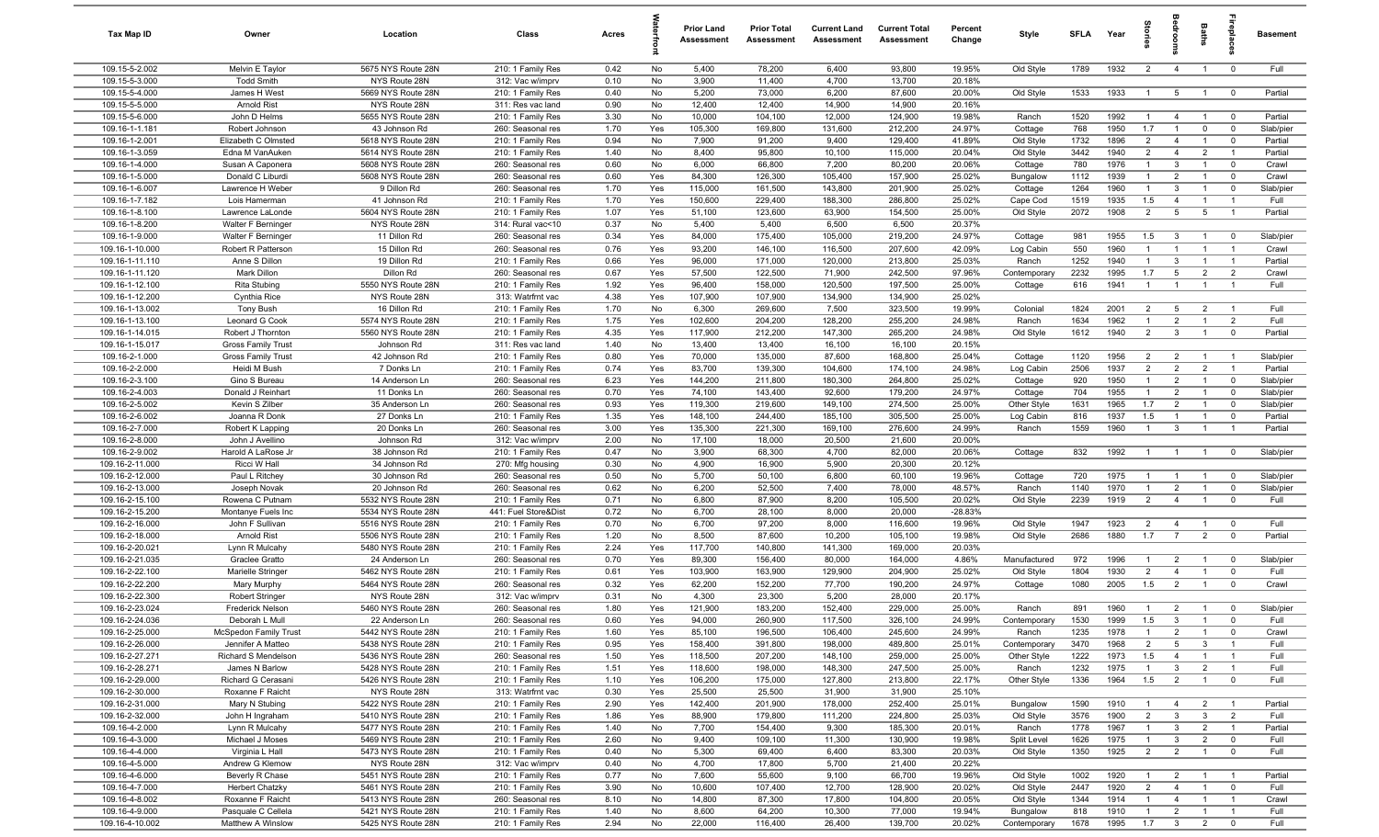| Tax Map ID                         | Owner                                             | Location                                 | Class                                     | Acres        |            | <b>Prior Land</b><br>Assessment | <b>Prior Total</b><br>Assessment | <b>Current Land</b><br>Assessment | <b>Current Total</b><br>Assessment | Percent<br>Change | Style                    | <b>SFLA</b>  | Year         |                                  | g                                         | Baths                            | ebia                             | Basement           |
|------------------------------------|---------------------------------------------------|------------------------------------------|-------------------------------------------|--------------|------------|---------------------------------|----------------------------------|-----------------------------------|------------------------------------|-------------------|--------------------------|--------------|--------------|----------------------------------|-------------------------------------------|----------------------------------|----------------------------------|--------------------|
| 109.15-5-2.002                     | Melvin E Taylor                                   | 5675 NYS Route 28N                       | 210: 1 Family Res                         | 0.42         | No         | 5,400                           | 78,200                           | 6,400                             | 93,800                             | 19.95%            | Old Style                | 1789         | 1932         | $\overline{2}$                   | $\overline{4}$                            | $\overline{1}$                   | $\mathbf 0$                      | Full               |
| 109.15-5-3.000                     | <b>Todd Smith</b>                                 | NYS Route 28N                            | 312: Vac w/imprv                          | 0.10         | No         | 3,900                           | 11,400                           | 4,700                             | 13,700                             | 20.18%            |                          |              |              |                                  |                                           |                                  |                                  |                    |
| 109.15-5-4.000                     | James H West                                      | 5669 NYS Route 28N                       | 210: 1 Family Res                         | 0.40         | No         | 5,200                           | 73,000                           | 6,200                             | 87,600                             | 20.00%            | Old Style                | 1533         | 1933         | $\mathbf{1}$                     | $5^{\circ}$                               | $\overline{1}$                   | $\overline{0}$                   | Partial            |
| 109.15-5-5.000                     | <b>Arnold Rist</b>                                | NYS Route 28N                            | 311: Res vac land                         | 0.90         | No         | 12,400                          | 12,400                           | 14,900                            | 14,900                             | 20.16%            |                          |              |              |                                  |                                           |                                  |                                  |                    |
| 109.15-5-6.000                     | John D Helms                                      | 5655 NYS Route 28N                       | 210: 1 Family Res                         | 3.30         | No         | 10,000                          | 104,100                          | 12,000                            | 124,900                            | 19.98%            | Ranch                    | 1520         | 1992         | $\mathbf{1}$                     | $\overline{4}$                            |                                  | $\overline{0}$                   | Partial            |
| 109.16-1-1.181<br>109.16-1-2.001   | Robert Johnson<br>Elizabeth C Olmsted             | 43 Johnson Rd<br>5618 NYS Route 28N      | 260: Seasonal res                         | 1.70<br>0.94 | Yes        | 105,300<br>7,900                | 169,800<br>91,200                | 131,600<br>9,400                  | 212,200<br>129,400                 | 24.97%<br>41.89%  | Cottage                  | 768<br>1732  | 1950<br>1896 | 1.7<br>$\overline{2}$            | $\overline{1}$<br>$\overline{4}$          | $\mathbf 0$<br>$\overline{1}$    | $\mathbf 0$<br>$^{\circ}$        | Slab/pier          |
| 109.16-1-3.059                     | Edna M VanAuken                                   | 5614 NYS Route 28N                       | 210: 1 Family Res<br>210: 1 Family Res    | 1.40         | No<br>No   | 8,400                           | 95,800                           | 10,100                            | 115,000                            | 20.04%            | Old Style<br>Old Style   | 3442         | 1940         | $\overline{2}$                   | $\overline{4}$                            | $\overline{2}$                   | $\overline{1}$                   | Partial<br>Partial |
| 109.16-1-4.000                     | Susan A Caponera                                  | 5608 NYS Route 28N                       | 260: Seasonal res                         | 0.60         | No         | 6,000                           | 66,800                           | 7,200                             | 80,200                             | 20.06%            | Cottage                  | 780          | 1976         | $\mathbf{1}$                     | $\mathbf{3}$                              | $\overline{1}$                   | $\mathbf 0$                      | Crawl              |
| 109.16-1-5.000                     | Donald C Liburdi                                  | 5608 NYS Route 28N                       | 260: Seasonal res                         | 0.60         | Yes        | 84,300                          | 126,300                          | 105,400                           | 157,900                            | 25.02%            | Bungalow                 | 1112         | 1939         | $\overline{1}$                   | $\overline{2}$                            | $\overline{1}$                   | $\mathbf 0$                      | Crawl              |
| 109.16-1-6.007                     | Lawrence H Weber                                  | 9 Dillon Rd                              | 260: Seasonal res                         | 1.70         | Yes        | 115,000                         | 161,500                          | 143,800                           | 201,900                            | 25.02%            | Cottage                  | 1264         | 1960         | $\overline{1}$                   | 3                                         | $\overline{1}$                   | $^{\circ}$                       | Slab/pier          |
| 109.16-1-7.182                     | Lois Hamerman                                     | 41 Johnson Rd                            | 210: 1 Family Res                         | 1.70         | Yes        | 150,600                         | 229,400                          | 188,300                           | 286,800                            | 25.02%            | Cape Cod                 | 1519         | 1935         | 1.5                              | $\overline{4}$                            | $\overline{1}$                   | $\overline{1}$                   | Full               |
| 109.16-1-8.100                     | Lawrence LaLonde                                  | 5604 NYS Route 28N                       | 210: 1 Family Res                         | 1.07         | Yes        | 51,100                          | 123,600                          | 63,900                            | 154,500                            | 25.00%            | Old Style                | 2072         | 1908         | $\overline{2}$                   | $5\overline{5}$                           | 5                                | $\overline{1}$                   | Partial            |
| 109.16-1-8.200                     | Walter F Berninger                                | NYS Route 28N                            | 314: Rural vac<10                         | 0.37         | No         | 5,400                           | 5,400                            | 6,500                             | 6,500                              | 20.37%            |                          |              |              |                                  |                                           |                                  |                                  |                    |
| 109.16-1-9.000                     | Walter F Berninger                                | 11 Dillon Rd                             | 260: Seasonal res                         | 0.34         | Yes        | 84,000                          | 175,400                          | 105,000                           | 219,200                            | 24.97%            | Cottage                  | 981          | 1955         | 1.5                              | $\mathbf{3}$                              | $\overline{1}$                   | $\mathbf 0$                      | Slab/pier          |
| 109.16-1-10.000                    | Robert R Patterson                                | 15 Dillon Rd                             | 260: Seasonal res                         | 0.76         | Yes        | 93,200                          | 146,100                          | 116,500                           | 207,600                            | 42.09%            | Log Cabin                | 550          | 1960         | $\mathbf{1}$                     | $\overline{1}$                            |                                  | - 1                              | Crawl              |
| 109.16-1-11.110                    | Anne S Dillon                                     | 19 Dillon Rd                             | 210: 1 Family Res                         | 0.66         | Yes        | 96,000                          | 171,000                          | 120,000                           | 213,800                            | 25.03%            | Ranch                    | 1252         | 1940         | 1                                | $\mathbf{3}$                              |                                  |                                  | Partial            |
| 109.16-1-11.120                    | Mark Dillon                                       | Dillon Rd                                | 260: Seasonal res                         | 0.67         | Yes        | 57,500                          | 122,500                          | 71,900                            | 242,500                            | 97.96%            | Contemporary             | 2232         | 1995         | 1.7                              | 5                                         | $\overline{2}$                   | $\overline{2}$                   | Crawl              |
| 109.16-1-12.100                    | <b>Rita Stubing</b>                               | 5550 NYS Route 28N                       | 210: 1 Family Res                         | 1.92         | Yes        | 96,400                          | 158,000                          | 120,500                           | 197,500                            | 25.00%            | Cottage                  | 616          | 1941         | $\overline{1}$                   |                                           |                                  | $\overline{1}$                   | Full               |
| 109.16-1-12.200                    | Cynthia Rice                                      | NYS Route 28N                            | 313: Watrfrnt vac                         | 4.38         | Yes        | 107,900                         | 107,900                          | 134,900                           | 134,900                            | 25.02%            |                          |              |              |                                  |                                           |                                  |                                  |                    |
| 109.16-1-13.002<br>109.16-1-13.100 | <b>Tony Bush</b><br>Leonard G Cook                | 16 Dillon Rd<br>5574 NYS Route 28N       | 210: 1 Family Res<br>210: 1 Family Res    | 1.70<br>1.75 | No<br>Yes  | 6,300<br>102,600                | 269,600<br>204,200               | 7,500<br>128,200                  | 323,500<br>255,200                 | 19.99%<br>24.98%  | Colonial                 | 1824<br>1634 | 2001<br>1962 | $\overline{2}$<br>$\overline{1}$ | 5<br>$\overline{2}$                       | $\overline{2}$<br>$\overline{1}$ | $\overline{1}$<br>$\overline{2}$ | Full<br>Full       |
| 109.16-1-14.015                    | Robert J Thornton                                 | 5560 NYS Route 28N                       | 210: 1 Family Res                         | 4.35         | Yes        | 117,900                         | 212,200                          | 147,300                           | 265,200                            | 24.98%            | Ranch<br>Old Style       | 1612         | 1940         | 2                                | $\mathbf{3}$                              | $\overline{1}$                   | $\mathbf 0$                      | Partial            |
| 109.16-1-15.017                    | <b>Gross Family Trust</b>                         | Johnson Rd                               | 311: Res vac land                         | 1.40         | No         | 13,400                          | 13,400                           | 16,100                            | 16,100                             | 20.15%            |                          |              |              |                                  |                                           |                                  |                                  |                    |
| 109.16-2-1.000                     | <b>Gross Family Trust</b>                         | 42 Johnson Rd                            | 210: 1 Family Res                         | 0.80         | Yes        | 70,000                          | 135,000                          | 87,600                            | 168,800                            | 25.04%            | Cottage                  | 1120         | 1956         | $\overline{2}$                   | $\overline{2}$                            | $\overline{1}$                   | $\overline{1}$                   | Slab/pier          |
| 109.16-2-2.000                     | Heidi M Bush                                      | 7 Donks Ln                               | 210: 1 Family Res                         | 0.74         | Yes        | 83,700                          | 139,300                          | 104,600                           | 174,100                            | 24.98%            | Log Cabin                | 2506         | 1937         | $\overline{2}$                   | $\overline{2}$                            | $\overline{2}$                   | - 1                              | Partial            |
| 109.16-2-3.100                     | Gino S Bureau                                     | 14 Anderson Ln                           | 260: Seasonal res                         | 6.23         | Yes        | 144,200                         | 211,800                          | 180,300                           | 264,800                            | 25.02%            | Cottage                  | 920          | 1950         | $\overline{1}$                   | $\overline{2}$                            | $\overline{1}$                   | $\mathbf 0$                      | Slab/pier          |
| 109.16-2-4.003                     | Donald J Reinhart                                 | 11 Donks Ln                              | 260: Seasonal res                         | 0.70         | Yes        | 74,100                          | 143,400                          | 92,600                            | 179,200                            | 24.97%            | Cottage                  | 704          | 1955         | $\mathbf{1}$                     | $\overline{2}$                            |                                  | $\mathbf 0$                      | Slab/pier          |
| 109.16-2-5.002                     | Kevin S Zilber                                    | 35 Anderson Ln                           | 260: Seasonal res                         | 0.93         | Yes        | 119,300                         | 219,600                          | 149,100                           | 274,500                            | 25.00%            | Other Style              | 1631         | 1965         | 1.7                              | $\overline{2}$                            | $\overline{1}$                   | $^{\circ}$                       | Slab/pier          |
| 109.16-2-6.002                     | Joanna R Donk                                     | 27 Donks Ln                              | 210: 1 Family Res                         | 1.35         | Yes        | 148,100                         | 244,400                          | 185,100                           | 305,500                            | 25.00%            | Log Cabin                | 816          | 1937         | 1.5                              |                                           |                                  | $^{\circ}$                       | Partial            |
| 109.16-2-7.000                     | Robert K Lapping                                  | 20 Donks Ln                              | 260: Seasonal res                         | 3.00         | Yes        | 135,300                         | 221,300                          | 169,100                           | 276,600                            | 24.99%            | Ranch                    | 1559         | 1960         | -1                               | 3                                         |                                  | - 1                              | Partial            |
| 109.16-2-8.000                     | John J Avellino                                   | Johnson Rd                               | 312: Vac w/imprv                          | 2.00         | No         | 17,100                          | 18,000                           | 20,500                            | 21,600                             | 20.00%            |                          |              |              |                                  |                                           |                                  |                                  |                    |
| 109.16-2-9.002                     | Harold A LaRose Jr                                | 38 Johnson Rd                            | 210: 1 Family Res                         | 0.47         | No         | 3,900                           | 68,300                           | 4,700                             | 82,000                             | 20.06%            | Cottage                  | 832          | 1992         | $\overline{1}$                   | $\overline{1}$                            | $\overline{1}$                   | $\overline{0}$                   | Slab/pier          |
| 109.16-2-11.000                    | Ricci W Hall                                      | 34 Johnson Rd                            | 270: Mfg housing                          | 0.30         | No         | 4,900                           | 16,900                           | 5,900                             | 20,300                             | 20.12%            |                          |              |              |                                  |                                           |                                  |                                  |                    |
| 109.16-2-12.000                    | Paul L Ritchey                                    | 30 Johnson Rd                            | 260: Seasonal res                         | 0.50         | No         | 5,700                           | 50,100                           | 6,800                             | 60,100                             | 19.96%            | Cottage                  | 720          | 1975         | $\overline{1}$                   | $\overline{1}$                            | $\overline{1}$                   | $^{\circ}$                       | Slab/pier          |
| 109.16-2-13.000<br>109.16-2-15.100 | Joseph Novak<br>Rowena C Putnam                   | 20 Johnson Rd<br>5532 NYS Route 28N      | 260: Seasonal res                         | 0.62<br>0.71 | No<br>No   | 6,200<br>6,800                  | 52,500<br>87,900                 | 7,400<br>8,200                    | 78,000<br>105,500                  | 48.57%<br>20.02%  | Ranch<br>Old Style       | 1140<br>2239 | 1970<br>1919 | $\overline{1}$<br>$\overline{2}$ | $\overline{2}$<br>$\overline{4}$          | $\overline{1}$<br>$\overline{1}$ | $^{\circ}$<br>$^{\circ}$         | Slab/pier<br>Full  |
| 109.16-2-15.200                    | Montanye Fuels Inc                                | 5534 NYS Route 28N                       | 210: 1 Family Res<br>441: Fuel Store&Dist | 0.72         | No         | 6,700                           | 28,100                           | 8,000                             | 20,000                             | $-28.83%$         |                          |              |              |                                  |                                           |                                  |                                  |                    |
| 109.16-2-16.000                    | John F Sullivan                                   | 5516 NYS Route 28N                       | 210: 1 Family Res                         | 0.70         | No         | 6,700                           | 97,200                           | 8,000                             | 116,600                            | 19.96%            | Old Style                | 1947         | 1923         | $\overline{2}$                   | $\overline{4}$                            | $\overline{1}$                   | $\mathbf 0$                      | Full               |
| 109.16-2-18.000                    | <b>Arnold Rist</b>                                | 5506 NYS Route 28N                       | 210: 1 Family Res                         | 1.20         | No         | 8,500                           | 87,600                           | 10,200                            | 105,100                            | 19.98%            | Old Style                | 2686         | 1880         | 1.7                              | $\overline{7}$                            | $\overline{2}$                   | $\mathbf 0$                      | Partial            |
| 109.16-2-20.021                    | Lynn R Mulcahy                                    | 5480 NYS Route 28N                       | 210: 1 Family Res                         | 2.24         | Yes        | 117,700                         | 140,800                          | 141,300                           | 169,000                            | 20.03%            |                          |              |              |                                  |                                           |                                  |                                  |                    |
| 109.16-2-21.035                    | Graclee Gratto                                    | 24 Anderson Ln                           | 260: Seasonal res                         | 0.70         | Yes        | 89,300                          | 156,400                          | 80,000                            | 164,000                            | 4.86%             | Manufactured             | 972          | 1996         | -1                               | $\overline{2}$                            | $\mathbf{1}$                     | $\overline{0}$                   | Slab/pier          |
| 109.16-2-22.100                    | Marielle Stringer                                 | 5462 NYS Route 28N                       | 210: 1 Family Res                         | 0.61         | Yes        | 103,900                         | 163,900                          | 129,900                           | 204,900                            | 25.02%            | Old Style                | 1804         | 1930         | 2                                | $\overline{4}$                            |                                  | $^{\circ}$                       | Full               |
| 109.16-2-22.200                    | Mary Murphy                                       | 5464 NYS Route 28N                       | 260: Seasonal res                         | 0.32         | Yes        | 62,200                          | 152,200                          | 77,700                            | 190,200                            | 24.97%            | Cottage                  | 1080         | 2005         | 1.5                              | $\overline{2}$                            |                                  | $\mathbf 0$                      | Crawl              |
| 109.16-2-22.300                    | <b>Robert Stringer</b>                            | NYS Route 28N                            | 312: Vac w/imprv                          | 0.31         | No         | 4,300                           | 23,300                           | 5,200                             | 28,000                             | 20.17%            |                          |              |              |                                  |                                           |                                  |                                  |                    |
| 109.16-2-23.024                    | <b>Frederick Nelson</b>                           | 5460 NYS Route 28N                       | 260: Seasonal res                         | 1.80         | Yes        | 121,900                         | 183,200                          | 152,400                           | 229,000                            | 25.00%            | Ranch                    | 891          | 1960         | $\overline{1}$                   | $\overline{2}$                            | $\overline{1}$                   | $\mathbf 0$                      | Slab/pier          |
| 109.16-2-24.036                    | Deborah L Mull                                    | 22 Anderson Ln                           | 260: Seasonal res                         | 0.60         | Yes        | 94,000                          | 260,900                          | 117,500                           | 326,100                            | 24.99%            | Contemporary             | 1530         | 1999         | 1.5                              | $\mathbf{3}$                              | $\overline{1}$                   |                                  | Full               |
| 109.16-2-25.000<br>109.16-2-26.000 | <b>McSpedon Family Trust</b><br>Jennifer A Matteo | 5442 NYS Route 28N<br>5438 NYS Route 28N | 210: 1 Family Res<br>210: 1 Family Res    | 1.60<br>0.95 | Yes<br>Yes | 85,100<br>158,400               | 196,500<br>391,800               | 106,400<br>198,000                | 245,600<br>489,800                 | 24.99%<br>25.01%  | Ranch<br>Contemporary    | 1235<br>3470 | 1978<br>1968 | $\overline{1}$<br>$\overline{2}$ | $\overline{2}$<br>$5\overline{5}$         | $\overline{1}$<br>$\mathbf{3}$   | $\mathbf 0$<br>$\overline{1}$    | Crawl<br>Full      |
| 109.16-2-27.271                    | Richard S Mendelson                               | 5436 NYS Route 28N                       | 260: Seasonal res                         | 1.50         | Yes        | 118,500                         | 207,200                          | 148,100                           | 259,000                            | 25.00%            | Other Style              | 1222         | 1973         | 1.5                              | $\overline{4}$                            | $\overline{1}$                   | $\overline{1}$                   | Full               |
| 109.16-2-28.271                    | James N Barlow                                    | 5428 NYS Route 28N                       | 210: 1 Family Res                         | 1.51         | Yes        | 118,600                         | 198,000                          | 148,300                           | 247,500                            | 25.00%            | Ranch                    | 1232         | 1975         | $\mathbf{1}$                     | $\mathbf{3}$                              | $\overline{2}$                   | $\overline{1}$                   | Full               |
| 109.16-2-29.000                    | Richard G Cerasani                                | 5426 NYS Route 28N                       | 210: 1 Family Res                         | 1.10         | Yes        | 106,200                         | 175,000                          | 127,800                           | 213,800                            | 22.17%            | Other Style              | 1336         | 1964         | 1.5                              | $\overline{2}$                            | $\mathbf{1}$                     | $\overline{0}$                   | Full               |
| 109.16-2-30.000                    | Roxanne F Raicht                                  | NYS Route 28N                            | 313: Watrfrnt vac                         | 0.30         | Yes        | 25,500                          | 25,500                           | 31,900                            | 31,900                             | 25.10%            |                          |              |              |                                  |                                           |                                  |                                  |                    |
| 109.16-2-31.000                    | Mary N Stubing                                    | 5422 NYS Route 28N                       | 210: 1 Family Res                         | 2.90         | Yes        | 142,400                         | 201,900                          | 178,000                           | 252,400                            | 25.01%            | Bungalow                 | 1590         | 1910         | $\mathbf{1}$                     | $\overline{4}$                            | $\overline{2}$                   | $\overline{1}$                   | Partial            |
| 109.16-2-32.000                    | John H Ingraham                                   | 5410 NYS Route 28N                       | 210: 1 Family Res                         | 1.86         | Yes        | 88,900                          | 179,800                          | 111,200                           | 224,800                            | 25.03%            | Old Style                | 3576         | 1900         | $\overline{2}$                   | $\mathbf{3}$                              | $\mathbf{3}$                     | $\overline{2}$                   | Full               |
| 109.16-4-2.000                     | Lynn R Mulcahy                                    | 5477 NYS Route 28N                       | 210: 1 Family Res                         | 1.40         | No         | 7,700                           | 154,400                          | 9,300                             | 185,300                            | 20.01%            | Ranch                    | 1778         | 1967         | $\mathbf{1}$                     | $\mathbf{3}$                              | $\overline{2}$                   | $\overline{1}$                   | Partial            |
| 109.16-4-3.000                     | Michael J Moses                                   | 5469 NYS Route 28N                       | 210: 1 Family Res                         | 2.60         | No         | 9,400                           | 109,100                          | 11,300                            | 130,900                            | 19.98%            | Split Level              | 1626         | 1975         | 1                                | $\mathbf{3}$                              | $\overline{2}$                   | $\overline{\mathbf{0}}$          | Full               |
| 109.16-4-4.000                     | Virginia L Hall                                   | 5473 NYS Route 28N                       | 210: 1 Family Res                         | 0.40         | No         | 5,300                           | 69,400                           | 6,400                             | 83,300                             | 20.03%            | Old Style                | 1350         | 1925         | $\overline{2}$                   | $\overline{2}$                            | $\overline{1}$                   | $\mathbf 0$                      | Full               |
| 109.16-4-5.000                     | Andrew G Klemow                                   | NYS Route 28N                            | 312: Vac w/imprv                          | 0.40         | No         | 4,700                           | 17,800                           | 5,700                             | 21,400                             | 20.22%            |                          |              |              |                                  |                                           |                                  |                                  |                    |
| 109.16-4-6.000                     | Beverly R Chase                                   | 5451 NYS Route 28N                       | 210: 1 Family Res                         | 0.77         | No         | 7,600                           | 55,600                           | 9,100                             | 66,700                             | 19.96%            | Old Style                | 1002         | 1920         | $\overline{1}$                   | $\overline{2}$                            | $\overline{1}$                   | $\overline{1}$                   | Partial            |
| 109.16-4-7.000                     | <b>Herbert Chatzky</b>                            | 5461 NYS Route 28N                       | 210: 1 Family Res                         | 3.90         | No         | 10,600                          | 107,400                          | 12,700                            | 128,900                            | 20.02%            | Old Style                | 2447         | 1920         | $\overline{2}$                   | $\overline{4}$                            | $\overline{1}$                   | $\mathbf 0$                      | Full               |
| 109.16-4-8.002                     | Roxanne F Raicht                                  | 5413 NYS Route 28N                       | 260: Seasonal res                         | 8.10         | No         | 14,800                          | 87,300                           | 17,800                            | 104,800                            | 20.05%            | Old Style                | 1344         | 1914         | $\mathbf{1}$                     | $\overline{4}$                            | $\overline{1}$                   | $\overline{1}$                   | Crawl              |
| 109.16-4-9.000<br>109.16-4-10.002  | Pasquale C Cellela<br>Matthew A Winslow           | 5421 NYS Route 28N<br>5425 NYS Route 28N | 210: 1 Family Res<br>210: 1 Family Res    | 1.40<br>2.94 | No<br>No   | 8,600<br>22,000                 | 64,200<br>116,400                | 10,300<br>26,400                  | 77,000<br>139,700                  | 19.94%<br>20.02%  | Bungalow<br>Contemporary | 818<br>1678  | 1910<br>1995 | $\mathbf{1}$<br>1.7              | $\overline{2}$<br>$\overline{\mathbf{3}}$ | $\overline{1}$<br>$\overline{2}$ | $\overline{1}$<br>$\overline{0}$ | Full<br>Full       |
|                                    |                                                   |                                          |                                           |              |            |                                 |                                  |                                   |                                    |                   |                          |              |              |                                  |                                           |                                  |                                  |                    |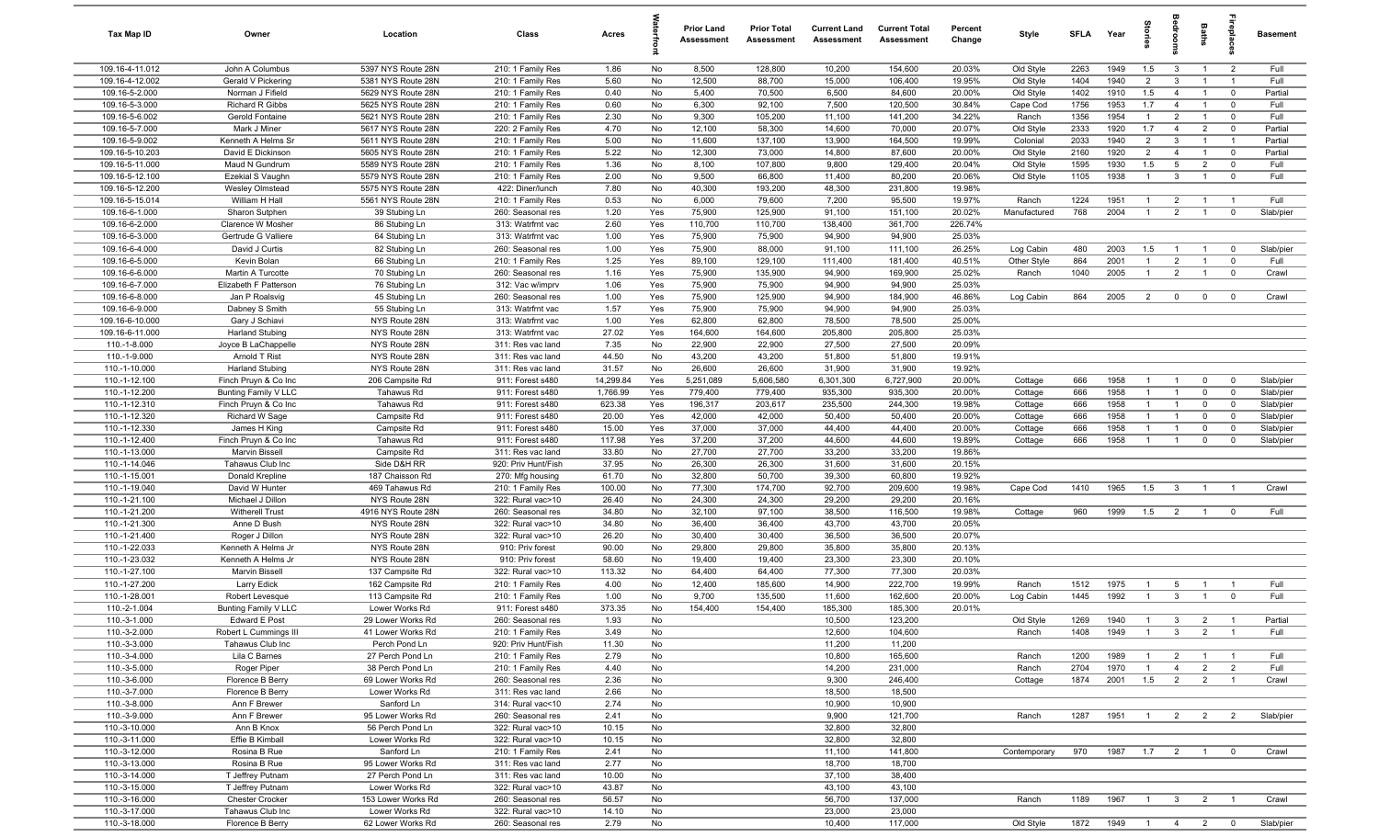| Tax Map ID                         | Owner                                      | Location                                 | Class                                  | Acres          |            | <b>Prior Land</b><br>Assessment | <b>Prior Total</b><br>Assessment | <b>Current Land</b><br>Assessment | <b>Current Total</b><br>Assessment | Percent<br>Change | Style              | SFI A        | Year         | tories                       | <b>B</b>                | Baths                          |                            | <b>Basement</b>        |
|------------------------------------|--------------------------------------------|------------------------------------------|----------------------------------------|----------------|------------|---------------------------------|----------------------------------|-----------------------------------|------------------------------------|-------------------|--------------------|--------------|--------------|------------------------------|-------------------------|--------------------------------|----------------------------|------------------------|
| 109.16-4-11.012                    | John A Columbus                            | 5397 NYS Route 28N                       | 210: 1 Family Res                      | 1.86           | No         | 8,500                           | 128,800                          | 10,200                            | 154,600                            | 20.03%            | Old Style          | 2263         | 1949         | 1.5                          | $\mathbf{3}$            | $\overline{1}$                 | $\overline{2}$             | Full                   |
| 109.16-4-12.002                    | Gerald V Pickering                         | 5381 NYS Route 28N                       | 210: 1 Family Res                      | 5.60           | No         | 12,500                          | 88,700                           | 15,000                            | 106,400                            | 19.95%            | Old Style          | 1404         | 1940         | $\overline{2}$               | $\mathbf{3}$            | $\overline{1}$                 | $\overline{1}$             | Full                   |
| 109.16-5-2.000                     | Norman J Fifield                           | 5629 NYS Route 28N                       | 210: 1 Family Res                      | 0.40           | No         | 5,400                           | 70,500                           | 6,500                             | 84,600                             | 20.00%            | Old Style          | 1402         | 1910         | 1.5                          | $\overline{4}$          | $\overline{1}$                 | $\mathbf 0$                | Partial                |
| 109.16-5-3.000                     | Richard R Gibbs                            | 5625 NYS Route 28N                       | 210: 1 Family Res                      | 0.60           | No         | 6,300                           | 92,100                           | 7,500                             | 120,500                            | 30.84%            | Cape Cod           | 1756         | 1953         | 1.7                          | $\overline{4}$          | $\overline{1}$                 | $\mathbf 0$                | Full                   |
| 109.16-5-6.002                     | Gerold Fontaine                            | 5621 NYS Route 28N                       | 210: 1 Family Res                      | 2.30           | No         | 9,300                           | 105,200                          | 11,100                            | 141,200                            | 34.22%            | Ranch              | 1356         | 1954         | $\mathbf{1}$                 | $\overline{2}$          | $\overline{1}$                 | $\mathbf 0$                | Full                   |
| 109.16-5-7.000                     | Mark J Miner                               | 5617 NYS Route 28N                       | 220: 2 Family Res                      | 4.70           | No         | 12,100                          | 58,300                           | 14,600                            | 70,000                             | 20.07%            | Old Style          | 2333         | 1920         | 1.7                          | $\overline{4}$          | $\overline{2}$                 | $\mathbf 0$                | Partial                |
| 109.16-5-9.002                     | Kenneth A Helms Sr                         | 5611 NYS Route 28N                       | 210: 1 Family Res                      | 5.00           | No         | 11,600                          | 137,100                          | 13,900                            | 164,500                            | 19.99%            | Colonial           | 2033         | 1940         | 2                            | $\mathbf{3}$            | $\overline{1}$                 | $\overline{1}$             | Partial                |
| 109.16-5-10.203                    | David E Dickinson                          | 5605 NYS Route 28N                       | 210: 1 Family Res                      | 5.22           | No         | 12,300                          | 73,000                           | 14,800                            | 87,600                             | 20.00%            | Old Style          | 2160         | 1920         | $\overline{2}$               | $\overline{4}$          | $\overline{1}$                 | $\mathbf 0$                | Partial                |
| 109.16-5-11.000                    | Maud N Gundrum                             | 5589 NYS Route 28N                       | 210: 1 Family Res                      | 1.36           | No         | 8,100                           | 107,800                          | 9,800                             | 129,400                            | 20.04%            | Old Style          | 1595         | 1930         | 1.5                          | $5\overline{5}$         | $\overline{2}$                 | $\mathbf 0$                | Full                   |
| 109.16-5-12.100                    | Ezekial S Vaughn<br><b>Wesley Olmstead</b> | 5579 NYS Route 28N                       | 210: 1 Family Res                      | 2.00           | No         | 9,500                           | 66,800                           | 11,400                            | 80,200                             | 20.06%            | Old Style          | 1105         | 1938         | $\overline{1}$               | $\mathbf{3}$            | $\overline{1}$                 | $\mathbf{0}$               | Full                   |
| 109.16-5-12.200<br>109.16-5-15.014 | William H Hall                             | 5575 NYS Route 28N<br>5561 NYS Route 28N | 422: Diner/lunch<br>210: 1 Family Res  | 7.80<br>0.53   | No<br>No   | 40,300<br>6,000                 | 193,200<br>79,600                | 48,300<br>7,200                   | 231,800<br>95,500                  | 19.98%<br>19.97%  | Ranch              | 1224         | 1951         | $\overline{1}$               | $\overline{2}$          | $\overline{1}$                 | $\overline{1}$             | Full                   |
| 109.16-6-1.000                     | Sharon Sutphen                             | 39 Stubing Ln                            | 260: Seasonal res                      | 1.20           | Yes        | 75,900                          | 125,900                          | 91,100                            | 151,100                            | 20.02%            | Manufactured       | 768          | 2004         | $\overline{1}$               | 2                       | $\overline{1}$                 | $\mathbf 0$                | Slab/pier              |
| 109.16-6-2.000                     | Clarence W Mosher                          | 86 Stubing Ln                            | 313: Watrfrnt vac                      | 2.60           | Yes        | 110,700                         | 110,700                          | 138,400                           | 361,700                            | 226.74%           |                    |              |              |                              |                         |                                |                            |                        |
| 109.16-6-3.000                     | Gertrude G Valliere                        | 64 Stubing Ln                            | 313: Watrfrnt vac                      | 1.00           | Yes        | 75,900                          | 75,900                           | 94,900                            | 94,900                             | 25.03%            |                    |              |              |                              |                         |                                |                            |                        |
| 109.16-6-4.000                     | David J Curtis                             | 82 Stubing Ln                            | 260: Seasonal res                      | 1.00           | Yes        | 75,900                          | 88,000                           | 91,100                            | 111,100                            | 26.25%            | Log Cabin          | 480          | 2003         | 1.5                          |                         | $\overline{1}$                 | $\overline{\mathbf{0}}$    | Slab/pier              |
| 109.16-6-5.000                     | Kevin Bolan                                | 66 Stubing Ln                            | 210: 1 Family Res                      | 1.25           | Yes        | 89,100                          | 129,100                          | 111,400                           | 181,400                            | 40.51%            | Other Style        | 864          | 2001         | $\overline{1}$               | $\overline{2}$          | $\overline{1}$                 | $\mathbf 0$                | Full                   |
| 109.16-6-6.000                     | Martin A Turcotte                          | 70 Stubing Ln                            | 260: Seasonal res                      | 1.16           | Yes        | 75,900                          | 135,900                          | 94,900                            | 169,900                            | 25.02%            | Ranch              | 1040         | 2005         | $\overline{1}$               | $\overline{2}$          | $\overline{1}$                 | $\mathbf 0$                | Crawl                  |
| 109.16-6-7.000                     | Elizabeth F Patterson                      | 76 Stubing Ln                            | 312: Vac w/imprv                       | 1.06           | Yes        | 75,900                          | 75,900                           | 94,900                            | 94,900                             | 25.03%            |                    |              |              |                              |                         |                                |                            |                        |
| 109.16-6-8.000                     | Jan P Roalsvig                             | 45 Stubing Ln                            | 260: Seasonal res                      | 1.00           | Yes        | 75,900                          | 125,900                          | 94,900                            | 184,900                            | 46.86%            | Log Cabin          | 864          | 2005         | $\overline{2}$               | $\overline{0}$          | $\mathbf 0$                    | $\mathbf 0$                | Crawl                  |
| 109.16-6-9.000                     | Dabney S Smith                             | 55 Stubing Ln                            | 313: Watrfrnt vac                      | 1.57           | Yes        | 75,900                          | 75,900                           | 94,900                            | 94,900                             | 25.03%            |                    |              |              |                              |                         |                                |                            |                        |
| 109.16-6-10.000                    | Gary J Schiavi                             | NYS Route 28N                            | 313: Watrfrnt vac                      | 1.00           | Yes        | 62,800                          | 62,800                           | 78,500                            | 78,500                             | 25.00%            |                    |              |              |                              |                         |                                |                            |                        |
| 109.16-6-11.000                    | <b>Harland Stubing</b>                     | NYS Route 28N                            | 313: Watrfrnt vac                      | 27.02          | Yes        | 164,600                         | 164,600                          | 205,800                           | 205,800                            | 25.03%            |                    |              |              |                              |                         |                                |                            |                        |
| 110.-1-8.000                       | Joyce B LaChappelle                        | NYS Route 28N                            | 311: Res vac land                      | 7.35           | No         | 22,900                          | 22,900                           | 27,500                            | 27,500                             | 20.09%            |                    |              |              |                              |                         |                                |                            |                        |
| 110.-1-9.000                       | Arnold T Rist                              | NYS Route 28N                            | 311: Res vac land                      | 44.50          | No         | 43,200                          | 43,200                           | 51,800                            | 51,800                             | 19.91%            |                    |              |              |                              |                         |                                |                            |                        |
| 110.-1-10.000                      | <b>Harland Stubing</b>                     | NYS Route 28N                            | 311: Res vac land                      | 31.57          | No         | 26,600                          | 26,600                           | 31,900                            | 31,900                             | 19.92%            |                    |              |              |                              |                         |                                |                            |                        |
| 110.-1-12.100                      | Finch Pruyn & Co Inc                       | 206 Campsite Rd                          | 911: Forest s480                       | 14,299.84      | Yes        | 5,251,089                       | 5,606,580                        | 6,301,300                         | 6,727,900                          | 20.00%            | Cottage            | 666          | 1958         | $\overline{1}$               | $\overline{1}$          | $\mathbf 0$                    | $\overline{0}$             | Slab/pier              |
| 110.-1-12.200                      | Bunting Family V LLC                       | Tahawus Rd                               | 911: Forest s480                       | 1,766.99       | Yes        | 779,400                         | 779,400                          | 935,300                           | 935,300                            | 20.00%            | Cottage            | 666          | 1958         | $\mathbf{1}$                 | $\overline{1}$          | $\mathbf{0}$                   | $\mathbf 0$                | Slab/pier              |
| 110.-1-12.310                      | Finch Pruyn & Co Inc                       | Tahawus Rd                               | 911: Forest s480                       | 623.38         | Yes        | 196,317                         | 203,617<br>42,000                | 235,500<br>50,400                 | 244,300                            | 19.98%            | Cottage            | 666          | 1958<br>1958 | $\mathbf{1}$<br>$\mathbf{1}$ | $\overline{1}$<br>-1    | $\mathbf 0$                    | $\overline{\mathbf{0}}$    | Slab/pier              |
| 110.-1-12.320<br>110.-1-12.330     | Richard W Sage<br>James H King             | Campsite Rd<br>Campsite Rd               | 911: Forest s480<br>911: Forest s480   | 20.00<br>15.00 | Yes<br>Yes | 42,000<br>37,000                | 37,000                           | 44,400                            | 50,400<br>44,400                   | 20.00%<br>20.00%  | Cottage<br>Cottage | 666<br>666   | 1958         | $\mathbf{1}$                 |                         | $\mathbf 0$<br>0               | $\mathbf 0$<br>$\mathbf 0$ | Slab/pier<br>Slab/pier |
| 110.-1-12.400                      | Finch Pruyn & Co Inc                       | Tahawus Rd                               | 911: Forest s480                       | 117.98         | Yes        | 37,200                          | 37,200                           | 44,600                            | 44,600                             | 19.89%            | Cottage            | 666          | 1958         | $\overline{1}$               | $\overline{1}$          | $\mathbf 0$                    | $\overline{0}$             | Slab/pier              |
| 110.-1-13.000                      | Marvin Bissell                             | Campsite Rd                              | 311: Res vac land                      | 33.80          | No         | 27,700                          | 27,700                           | 33,200                            | 33,200                             | 19.86%            |                    |              |              |                              |                         |                                |                            |                        |
| 110.-1-14.046                      | Tahawus Club Inc                           | Side D&H RR                              | 920: Priv Hunt/Fish                    | 37.95          | No         | 26,300                          | 26,300                           | 31,600                            | 31,600                             | 20.15%            |                    |              |              |                              |                         |                                |                            |                        |
| 110.-1-15.001                      | Donald Krepline                            | 187 Chaisson Rd                          | 270: Mfg housing                       | 61.70          | No         | 32,800                          | 50,700                           | 39,300                            | 60,800                             | 19.92%            |                    |              |              |                              |                         |                                |                            |                        |
| 110.-1-19.040                      | David W Hunter                             | 469 Tahawus Rd                           | 210: 1 Family Res                      | 100.00         | No         | 77,300                          | 174,700                          | 92,700                            | 209,600                            | 19.98%            | Cape Cod           | 1410         | 1965         | 1.5                          | $\mathbf{3}$            | $\overline{1}$                 | $\overline{1}$             | Crawl                  |
| 110.-1-21.100                      | Michael J Dillon                           | NYS Route 28N                            | 322: Rural vac>10                      | 26.40          | No         | 24,300                          | 24,300                           | 29,200                            | 29,200                             | 20.16%            |                    |              |              |                              |                         |                                |                            |                        |
| 110.-1-21.200                      | <b>Witherell Trust</b>                     | 4916 NYS Route 28N                       | 260: Seasonal res                      | 34.80          | No         | 32,100                          | 97,100                           | 38,500                            | 116,500                            | 19.98%            | Cottage            | 960          | 1999         | 1.5                          | $\overline{2}$          | $\overline{1}$                 | $\overline{0}$             | Full                   |
| 110.-1-21.300                      | Anne D Bush                                | NYS Route 28N                            | 322: Rural vac>10                      | 34.80          | No         | 36,400                          | 36,400                           | 43,700                            | 43,700                             | 20.05%            |                    |              |              |                              |                         |                                |                            |                        |
| 110.-1-21.400                      | Roger J Dillon                             | NYS Route 28N                            | 322: Rural vac>10                      | 26.20          | No         | 30,400                          | 30,400                           | 36,500                            | 36,500                             | 20.07%            |                    |              |              |                              |                         |                                |                            |                        |
| 110.-1-22.033                      | Kenneth A Helms Jr                         | NYS Route 28N                            | 910: Priv forest                       | 90.00          | No         | 29,800                          | 29,800                           | 35,800                            | 35,800                             | 20.13%            |                    |              |              |                              |                         |                                |                            |                        |
| 110.-1-23.032                      | Kenneth A Helms Jr                         | NYS Route 28N                            | 910: Priv forest                       | 58.60          | No         | 19,400                          | 19,400                           | 23,300                            | 23,300                             | 20.10%            |                    |              |              |                              |                         |                                |                            |                        |
| 110.-1-27.100                      | Marvin Bissell                             | 137 Campsite Rd                          | 322: Rural vac>10                      | 113.32         | No         | 64,400                          | 64,400                           | 77,300                            | 77,300                             | 20.03%            |                    |              |              |                              |                         |                                |                            |                        |
| 110.-1-27.200<br>110.-1-28.001     | Larry Edick<br>Robert Levesque             | 162 Campsite Rd<br>113 Campsite Rd       | 210: 1 Family Res<br>210: 1 Family Res | 4.00<br>1.00   | No<br>No   | 12,400<br>9,700                 | 185,600<br>135,500               | 14,900<br>11,600                  | 222,700<br>162,600                 | 19.99%<br>20.00%  | Ranch<br>Log Cabin | 1512<br>1445 | 1975<br>1992 | -1<br>$\overline{1}$         | 5<br>$\mathbf{3}$       | $\mathbf{1}$<br>$\overline{1}$ | $\Omega$                   | Full<br>Full           |
| 110.-2-1.004                       | Bunting Family V LLC                       | Lower Works Rd                           | 911: Forest s480                       | 373.35         | No         | 154,400                         | 154,400                          | 185,300                           | 185,300                            | 20.01%            |                    |              |              |                              |                         |                                |                            |                        |
| 110.-3-1.000                       | Edward E Post                              | 29 Lower Works Rd                        | 260: Seasonal res                      | 1.93           | No         |                                 |                                  | 10,500                            | 123,200                            |                   | Old Style          | 1269         | 1940         | $\overline{1}$               | $\mathbf{3}$            | $\overline{2}$                 |                            | Partial                |
| 110.-3-2.000                       | Robert L Cummings III                      | 41 Lower Works Rd                        | 210: 1 Family Res                      | 3.49           | No         |                                 |                                  | 12,600                            | 104,600                            |                   | Ranch              | 1408         | 1949         | $\overline{1}$               | $\overline{3}$          | 2                              | $\overline{1}$             | Full                   |
| 110.-3-3.000                       | Tahawus Club Inc                           | Perch Pond Ln                            | 920: Priv Hunt/Fish                    | 11.30          | No         |                                 |                                  | 11,200                            | 11,200                             |                   |                    |              |              |                              |                         |                                |                            |                        |
| 110.-3-4.000                       | Lila C Barnes                              | 27 Perch Pond Ln                         | 210: 1 Family Res                      | 2.79           | No         |                                 |                                  | 10,800                            | 165,600                            |                   | Ranch              | 1200         | 1989         | $\overline{1}$               | $\overline{2}$          | $\overline{1}$                 |                            | Full                   |
| 110.-3-5.000                       | Roger Piper                                | 38 Perch Pond Ln                         | 210: 1 Family Res                      | 4.40           | No         |                                 |                                  | 14,200                            | 231,000                            |                   | Ranch              | 2704         | 1970         | $\overline{1}$               | $\overline{4}$          | $\overline{2}$                 | $\overline{2}$             | Full                   |
| 110.-3-6.000                       | Florence B Berry                           | 69 Lower Works Rd                        | 260: Seasonal res                      | 2.36           | No         |                                 |                                  | 9,300                             | 246,400                            |                   | Cottage            | 1874         | 2001         | 1.5                          | $\overline{2}$          | $\overline{2}$                 | $\overline{1}$             | Crawl                  |
| 110.-3-7.000                       | Florence B Berry                           | Lower Works Rd                           | 311: Res vac land                      | 2.66           | No         |                                 |                                  | 18,500                            | 18,500                             |                   |                    |              |              |                              |                         |                                |                            |                        |
| 110.-3-8.000                       | Ann F Brewer                               | Sanford Ln                               | 314: Rural vac<10                      | 2.74           | No         |                                 |                                  | 10,900                            | 10,900                             |                   |                    |              |              |                              |                         |                                |                            |                        |
| 110.-3-9.000                       | Ann F Brewer                               | 95 Lower Works Rd                        | 260: Seasonal res                      | 2.41           | No         |                                 |                                  | 9,900                             | 121,700                            |                   | Ranch              | 1287         | 1951         | $\overline{1}$               | $\overline{2}$          | $\overline{2}$                 | $\overline{2}$             | Slab/pier              |
| 110.-3-10.000                      | Ann B Knox                                 | 56 Perch Pond Ln                         | 322: Rural vac>10                      | 10.15          | No         |                                 |                                  | 32,800                            | 32,800                             |                   |                    |              |              |                              |                         |                                |                            |                        |
| 110.-3-11.000                      | Effie B Kimball                            | Lower Works Rd                           | 322: Rural vac>10                      | 10.15          | No         |                                 |                                  | 32,800                            | 32,800                             |                   |                    |              |              |                              |                         |                                |                            |                        |
| 110.-3-12.000                      | Rosina B Rue                               | Sanford Ln                               | 210: 1 Family Res                      | 2.41           | No         |                                 |                                  | 11,100                            | 141,800                            |                   | Contemporary       | 970          | 1987         | 1.7                          | $\overline{2}$          | $\overline{1}$                 | $\mathbf 0$                | Crawl                  |
| 110.-3-13.000<br>110.-3-14.000     | Rosina B Rue<br>T Jeffrey Putnam           | 95 Lower Works Rd<br>27 Perch Pond Ln    | 311: Res vac land<br>311: Res vac land | 2.77<br>10.00  | No<br>No   |                                 |                                  | 18,700<br>37,100                  | 18,700<br>38,400                   |                   |                    |              |              |                              |                         |                                |                            |                        |
| 110.-3-15.000                      | T Jeffrey Putnam                           | Lower Works Rd                           | 322: Rural vac>10                      | 43.87          | No         |                                 |                                  | 43,100                            | 43,100                             |                   |                    |              |              |                              |                         |                                |                            |                        |
| 110.-3-16.000                      | <b>Chester Crocker</b>                     | 153 Lower Works Rd                       | 260: Seasonal res                      | 56.57          | No         |                                 |                                  | 56,700                            | 137,000                            |                   | Ranch              | 1189         | 1967         | $\overline{1}$               | $\overline{\mathbf{3}}$ | $\overline{2}$                 | $\overline{1}$             | Crawl                  |
| 110.-3-17.000                      | Tahawus Club Inc                           | Lower Works Rd                           | 322: Rural vac>10                      | 14.10          | No         |                                 |                                  | 23,000                            | 23,000                             |                   |                    |              |              |                              |                         |                                |                            |                        |
| 110.-3-18.000                      | Florence B Berry                           | 62 Lower Works Rd                        | 260: Seasonal res                      | 2.79           | No         |                                 |                                  | 10,400                            | 117,000                            |                   | Old Style          | 1872         | 1949 1 4 2 0 |                              |                         |                                |                            | Slab/pier              |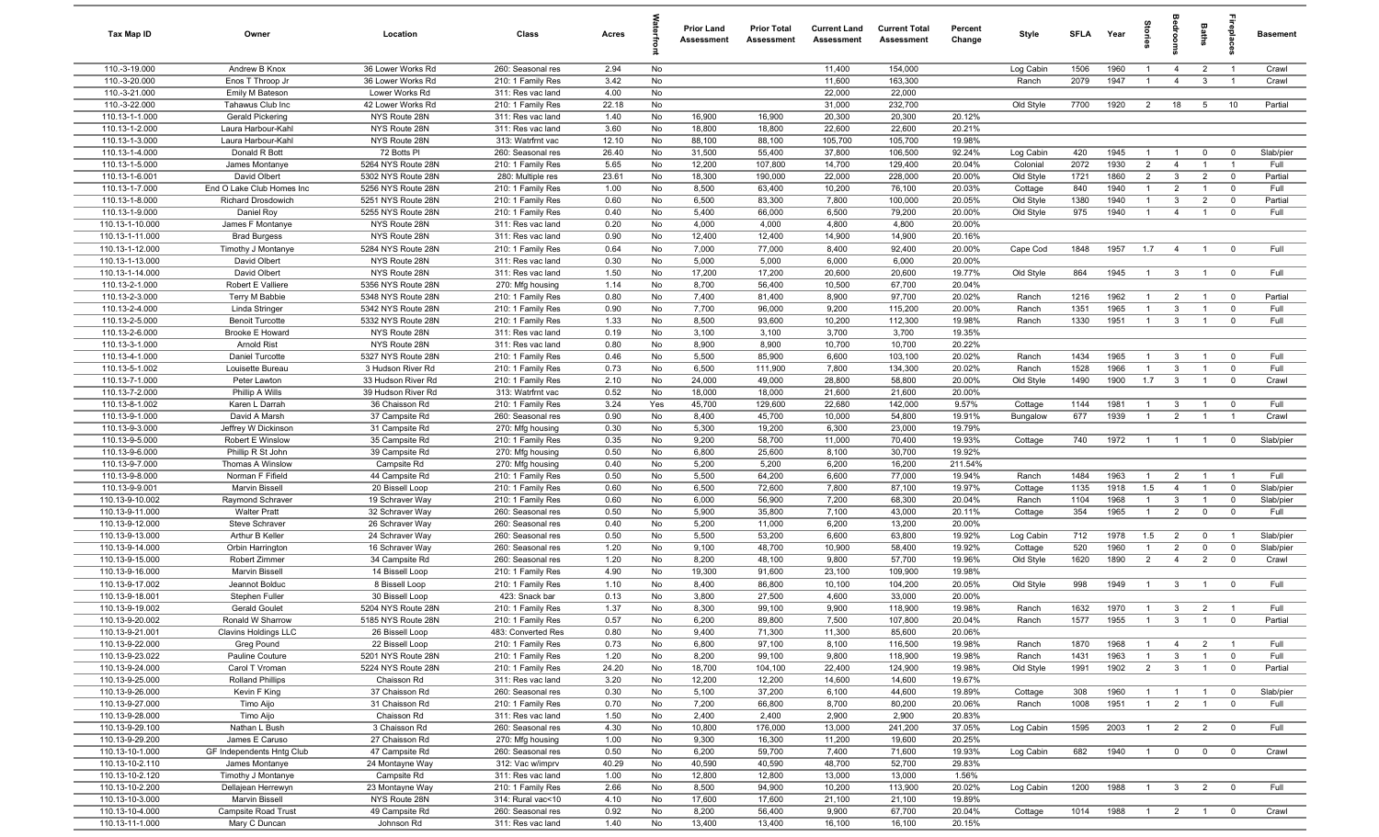| Tax Map ID                         | Owner                                           | Location                                 | Class                                   | Acres        |          | <b>Prior Land</b><br>Assessment | <b>Prior Total</b><br>Assessment | <b>Current Land</b><br>Assessment | <b>Current Total</b><br>Assessment | Percent<br>Change | Style              | <b>SFLA</b>  | Year         | $\frac{1}{2}$                    |                                | <b>Baths</b>                     | repla                        | <b>Basement</b>   |
|------------------------------------|-------------------------------------------------|------------------------------------------|-----------------------------------------|--------------|----------|---------------------------------|----------------------------------|-----------------------------------|------------------------------------|-------------------|--------------------|--------------|--------------|----------------------------------|--------------------------------|----------------------------------|------------------------------|-------------------|
| 110.-3-19.000                      | Andrew B Knox                                   | 36 Lower Works Rd                        | 260: Seasonal res                       | 2.94         | No       |                                 |                                  | 11,400                            | 154,000                            |                   | Log Cabin          | 1506         | 1960         | $\overline{1}$                   | $\overline{4}$                 | $\overline{2}$                   | $\overline{1}$               | Crawl             |
| 110.-3-20.000                      | Enos T Throop Jr                                | 36 Lower Works Rd                        | 210: 1 Family Res                       | 3.42         | No       |                                 |                                  | 11,600                            | 163,300                            |                   | Ranch              | 2079         | 1947         | $\overline{1}$                   | $\overline{4}$                 | $\mathbf{3}$                     | $\overline{1}$               | Crawl             |
| 110.-3-21.000                      | Emily M Bateson                                 | Lower Works Rd                           | 311: Res vac land                       | 4.00         | No       |                                 |                                  | 22,000                            | 22,000                             |                   |                    |              |              |                                  |                                |                                  |                              |                   |
| 110.-3-22.000                      | Tahawus Club Inc                                | 42 Lower Works Rd                        | 210: 1 Family Res                       | 22.18        | No       |                                 |                                  | 31,000                            | 232,700                            |                   | Old Style          | 7700         | 1920         | $\overline{2}$                   | 18                             | 5 <sup>5</sup>                   | 10                           | Partial           |
| 110.13-1-1.000<br>110.13-1-2.000   | Gerald Pickering<br>Laura Harbour-Kahl          | NYS Route 28N<br>NYS Route 28N           | 311: Res vac land<br>311: Res vac land  | 1.40<br>3.60 | No<br>No | 16,900<br>18,800                | 16,900<br>18,800                 | 20,300<br>22,600                  | 20,300<br>22,600                   | 20.12%<br>20.21%  |                    |              |              |                                  |                                |                                  |                              |                   |
| 110.13-1-3.000                     | Laura Harbour-Kahl                              | NYS Route 28N                            | 313: Watrfrnt vac                       | 12.10        | No       | 88,100                          | 88,100                           | 105,700                           | 105,700                            | 19.98%            |                    |              |              |                                  |                                |                                  |                              |                   |
| 110.13-1-4.000                     | Donald R Bott                                   | 72 Botts PI                              | 260: Seasonal res                       | 26.40        | No       | 31,500                          | 55,400                           | 37,800                            | 106,500                            | 92.24%            | Log Cabin          | 420          | 1945         | $\overline{1}$                   | $\overline{1}$                 | $\mathbf 0$                      | $\mathbf 0$                  | Slab/pier         |
| 110.13-1-5.000                     | James Montanye                                  | 5264 NYS Route 28N                       | 210: 1 Family Res                       | 5.65         | No       | 12,200                          | 107,800                          | 14,700                            | 129,400                            | 20.04%            | Colonial           | 2072         | 1930         | $\overline{2}$                   | $\overline{4}$                 | $\overline{1}$                   | $\overline{1}$               | Full              |
| 110.13-1-6.001                     | David Olbert                                    | 5302 NYS Route 28N                       | 280: Multiple res                       | 23.61        | No       | 18,300                          | 190,000                          | 22,000                            | 228,000                            | 20.00%            | Old Style          | 1721         | 1860         | $\overline{2}$                   | $\mathbf{3}$                   | $\overline{2}$                   | $\mathbf 0$                  | Partial           |
| 110.13-1-7.000                     | End O Lake Club Homes Inc                       | 5256 NYS Route 28N                       | 210: 1 Family Res                       | 1.00         | No       | 8,500                           | 63,400                           | 10,200                            | 76,100                             | 20.03%            | Cottage            | 840          | 1940         | $\overline{1}$                   | $\overline{2}$                 | $\overline{1}$                   | $\mathbf 0$                  | Full              |
| 110.13-1-8.000                     | Richard Drosdowich                              | 5251 NYS Route 28N                       | 210: 1 Family Res                       | 0.60         | No       | 6,500                           | 83,300                           | 7,800                             | 100,000                            | 20.05%            | Old Style          | 1380         | 1940         | $\overline{1}$                   | $\mathbf{3}$                   | $\overline{2}$                   | $\mathbf 0$                  | Partial           |
| 110.13-1-9.000                     | Daniel Roy                                      | 5255 NYS Route 28N                       | 210: 1 Family Res                       | 0.40         | No       | 5,400                           | 66,000                           | 6,500                             | 79,200                             | 20.00%            | Old Style          | 975          | 1940         | $\overline{1}$                   | $\overline{4}$                 | $\overline{1}$                   | $\Omega$                     | Full              |
| 110.13-1-10.000                    | James F Montanye                                | NYS Route 28N                            | 311: Res vac land                       | 0.20         | No       | 4,000                           | 4,000                            | 4,800                             | 4,800                              | 20.00%            |                    |              |              |                                  |                                |                                  |                              |                   |
| 110.13-1-11.000<br>110.13-1-12.000 | <b>Brad Burgess</b><br>Timothy J Montanye       | NYS Route 28N<br>5284 NYS Route 28N      | 311: Res vac land<br>210: 1 Family Res  | 0.90<br>0.64 | No<br>No | 12,400<br>7,000                 | 12,400<br>77,000                 | 14,900<br>8,400                   | 14,900<br>92,400                   | 20.16%<br>20.00%  | Cape Cod           | 1848         | 1957         | 1.7                              | $\overline{4}$                 | $\overline{1}$                   | $\mathbf 0$                  | Full              |
| 110.13-1-13.000                    | David Olbert                                    | NYS Route 28N                            | 311: Res vac land                       | 0.30         | No       | 5,000                           | 5,000                            | 6,000                             | 6,000                              | 20.00%            |                    |              |              |                                  |                                |                                  |                              |                   |
| 110.13-1-14.000                    | David Olbert                                    | NYS Route 28N                            | 311: Res vac land                       | 1.50         | No       | 17,200                          | 17,200                           | 20,600                            | 20,600                             | 19.77%            | Old Style          | 864          | 1945         | $\overline{1}$                   | $\mathbf{3}$                   | $\overline{1}$                   | $\mathbf 0$                  | Full              |
| 110.13-2-1.000                     | Robert E Valliere                               | 5356 NYS Route 28N                       | 270: Mfg housing                        | 1.14         | No       | 8,700                           | 56,400                           | 10,500                            | 67,700                             | 20.04%            |                    |              |              |                                  |                                |                                  |                              |                   |
| 110.13-2-3.000                     | Terry M Babbie                                  | 5348 NYS Route 28N                       | 210: 1 Family Res                       | 0.80         | No       | 7,400                           | 81,400                           | 8,900                             | 97,700                             | 20.02%            | Ranch              | 1216         | 1962         |                                  | $\overline{2}$                 | $\overline{1}$                   | $\mathbf 0$                  | Partial           |
| 110.13-2-4.000                     | Linda Stringer                                  | 5342 NYS Route 28N                       | 210: 1 Family Res                       | 0.90         | No       | 7,700                           | 96,000                           | 9,200                             | 115,200                            | 20.00%            | Ranch              | 1351         | 1965         | $\mathbf{1}$                     | $\mathbf{3}$                   | $\overline{1}$                   | $\overline{0}$               | Full              |
| 110.13-2-5.000                     | <b>Benoit Turcotte</b>                          | 5332 NYS Route 28N                       | 210: 1 Family Res                       | 1.33         | No       | 8,500                           | 93,600                           | 10,200                            | 112,300                            | 19.98%            | Ranch              | 1330         | 1951         | $\overline{1}$                   | $\mathbf{3}$                   | $\overline{1}$                   | $\mathbf 0$                  | Full              |
| 110.13-2-6.000                     | Brooke E Howard                                 | NYS Route 28N                            | 311: Res vac land                       | 0.19         | No       | 3,100                           | 3,100                            | 3,700                             | 3,700                              | 19.35%            |                    |              |              |                                  |                                |                                  |                              |                   |
| 110.13-3-1.000                     | <b>Arnold Rist</b>                              | NYS Route 28N                            | 311: Res vac land                       | 0.80         | No       | 8,900                           | 8,900                            | 10,700                            | 10,700                             | 20.22%            |                    |              |              |                                  |                                |                                  |                              |                   |
| 110.13-4-1.000                     | Daniel Turcotte                                 | 5327 NYS Route 28N                       | 210: 1 Family Res                       | 0.46         | No       | 5,500                           | 85,900                           | 6,600                             | 103,100                            | 20.02%            | Ranch              | 1434         | 1965         | $\overline{1}$                   | $\mathbf{3}$                   | $\overline{1}$                   | $\mathbf 0$                  | Full              |
| 110.13-5-1.002<br>110.13-7-1.000   | Louisette Bureau<br>Peter Lawton                | 3 Hudson River Rd<br>33 Hudson River Rd  | 210: 1 Family Res                       | 0.73<br>2.10 | No<br>No | 6,500<br>24,000                 | 111,900<br>49,000                | 7,800<br>28,800                   | 134,300<br>58,800                  | 20.02%<br>20.00%  | Ranch<br>Old Style | 1528<br>1490 | 1966<br>1900 | $\overline{1}$<br>1.7            | $\mathbf{3}$<br>$\mathbf{3}$   | $\overline{1}$<br>$\overline{1}$ | $\mathbf 0$<br>$\mathbf 0$   | Full<br>Crawl     |
| 110.13-7-2.000                     | Phillip A Wills                                 | 39 Hudson River Rd                       | 210: 1 Family Res<br>313: Watrfrnt vac  | 0.52         | No       | 18,000                          | 18,000                           | 21,600                            | 21,600                             | 20.00%            |                    |              |              |                                  |                                |                                  |                              |                   |
| 110.13-8-1.002                     | Karen L Darrah                                  | 36 Chaisson Rd                           | 210: 1 Family Res                       | 3.24         | Yes      | 45,700                          | 129,600                          | 22,680                            | 142,000                            | 9.57%             | Cottage            | 1144         | 1981         | $\mathbf{1}$                     | $\mathbf{3}$                   | $\overline{1}$                   | $\mathbf 0$                  | Full              |
| 110.13-9-1.000                     | David A Marsh                                   | 37 Campsite Rd                           | 260: Seasonal res                       | 0.90         | No       | 8,400                           | 45,700                           | 10,000                            | 54,800                             | 19.91%            | Bungalow           | 677          | 1939         | $\overline{1}$                   | $\overline{2}$                 |                                  |                              | Crawl             |
| 110.13-9-3.000                     | Jeffrey W Dickinson                             | 31 Campsite Rd                           | 270: Mfg housing                        | 0.30         | No       | 5,300                           | 19,200                           | 6,300                             | 23,000                             | 19.79%            |                    |              |              |                                  |                                |                                  |                              |                   |
| 110.13-9-5.000                     | Robert E Winslow                                | 35 Campsite Rd                           | 210: 1 Family Res                       | 0.35         | No       | 9,200                           | 58,700                           | 11,000                            | 70,400                             | 19.93%            | Cottage            | 740          | 1972         | $\overline{1}$                   | $\overline{1}$                 |                                  | $\mathbf 0$                  | Slab/pier         |
| 110.13-9-6.000                     | Phillip R St John                               | 39 Campsite Rd                           | 270: Mfg housing                        | 0.50         | No       | 6,800                           | 25,600                           | 8,100                             | 30,700                             | 19.92%            |                    |              |              |                                  |                                |                                  |                              |                   |
| 110.13-9-7.000                     | Thomas A Winslow                                | Campsite Rd                              | 270: Mfg housing                        | 0.40         | No       | 5,200                           | 5,200                            | 6,200                             | 16,200                             | 211.54%           |                    |              |              |                                  |                                |                                  |                              |                   |
| 110.13-9-8.000                     | Norman F Fifield                                | 44 Campsite Rd                           | 210: 1 Family Res                       | 0.50         | No       | 5,500                           | 64,200                           | 6,600                             | 77,000                             | 19.94%            | Ranch              | 1484         | 1963         | $\overline{1}$                   | $\overline{2}$                 | $\overline{1}$                   | $\overline{1}$               | Full              |
| 110.13-9-9.001                     | Marvin Bissell                                  | 20 Bissell Loop                          | 210: 1 Family Res                       | 0.60         | No       | 6,500                           | 72,600                           | 7,800                             | 87,100                             | 19.97%            | Cottage            | 1135         | 1918         | 1.5                              | $\overline{4}$                 | $\overline{1}$                   | $\mathbf 0$                  | Slab/pier         |
| 110.13-9-10.002<br>110.13-9-11.000 | Raymond Schraver<br><b>Walter Pratt</b>         | 19 Schraver Way<br>32 Schraver Way       | 210: 1 Family Res<br>260: Seasonal res  | 0.60<br>0.50 | No<br>No | 6,000<br>5,900                  | 56,900<br>35,800                 | 7,200<br>7,100                    | 68,300<br>43,000                   | 20.04%<br>20.11%  | Ranch<br>Cottage   | 1104<br>354  | 1968<br>1965 | $\overline{1}$<br>$\overline{1}$ | $\mathbf{3}$<br>$\overline{2}$ | $\overline{1}$<br>$\mathbf 0$    | $\overline{0}$<br>$^{\circ}$ | Slab/pier<br>Full |
| 110.13-9-12.000                    | Steve Schraver                                  | 26 Schraver Way                          | 260: Seasonal res                       | 0.40         | No       | 5,200                           | 11,000                           | 6,200                             | 13,200                             | 20.00%            |                    |              |              |                                  |                                |                                  |                              |                   |
| 110.13-9-13.000                    | Arthur B Keller                                 | 24 Schraver Way                          | 260: Seasonal res                       | 0.50         | No       | 5,500                           | 53,200                           | 6,600                             | 63,800                             | 19.92%            | Log Cabin          | 712          | 1978         | 1.5                              | $\overline{2}$                 | $\mathbf 0$                      | $\overline{1}$               | Slab/pier         |
| 110.13-9-14.000                    | Orbin Harrington                                | 16 Schraver Way                          | 260: Seasonal res                       | 1.20         | No       | 9,100                           | 48,700                           | 10,900                            | 58,400                             | 19.92%            | Cottage            | 520          | 1960         | $\overline{1}$                   | $\overline{2}$                 | $\mathbf 0$                      | $\mathbf 0$                  | Slab/pier         |
| 110.13-9-15.000                    | Robert Zimmer                                   | 34 Campsite Rd                           | 260: Seasonal res                       | 1.20         | No       | 8,200                           | 48,100                           | 9,800                             | 57,700                             | 19.96%            | Old Style          | 1620         | 1890         | $\overline{2}$                   | $\overline{4}$                 | $\overline{2}$                   | $\mathbf 0$                  | Crawl             |
| 110.13-9-16.000                    | Marvin Bissell                                  | 14 Bissell Loop                          | 210: 1 Family Res                       | 4.90         | No       | 19,300                          | 91,600                           | 23,100                            | 109,900                            | 19.98%            |                    |              |              |                                  |                                |                                  |                              |                   |
| 110.13-9-17.002                    | Jeannot Bolduc                                  | 8 Bissell Loop                           | 210: 1 Family Res                       | 1.10         | No       | 8,400                           | 86,800                           | 10,100                            | 104,200                            | 20.05%            | Old Style          | 998          | 1949         | $\overline{1}$                   | $\mathbf{3}$                   | $\overline{1}$                   | $\mathbf 0$                  | Full              |
| 110.13-9-18.001                    | Stephen Fuller                                  | 30 Bissell Loop                          | 423: Snack bar                          | 0.13         | No       | 3,800                           | 27,500                           | 4,600                             | 33,000                             | 20.00%            |                    |              |              |                                  |                                |                                  |                              |                   |
| 110.13-9-19.002<br>110.13-9-20.002 | <b>Gerald Goulet</b>                            | 5204 NYS Route 28N<br>5185 NYS Route 28N | 210: 1 Family Res                       | 1.37<br>0.57 | No       | 8,300                           | 99,100<br>89,800                 | 9,900<br>7,500                    | 118,900<br>107,800                 | 19.98%<br>20.04%  | Ranch              | 1632<br>1577 | 1970         | $\overline{1}$                   | $\mathbf{3}$<br>$\mathcal{R}$  | $\overline{2}$<br>$\overline{1}$ |                              | Full<br>Partial   |
| 110.13-9-21.001                    | Ronald W Sharrow<br><b>Clavins Holdings LLC</b> | 26 Bissell Loop                          | 210: 1 Family Res<br>483: Converted Res | 0.80         | No<br>No | 6,200<br>9,400                  | 71,300                           | 11,300                            | 85,600                             | 20.06%            | Ranch              |              | 1955         |                                  |                                |                                  |                              |                   |
| 110.13-9-22.000                    | Greg Pound                                      | 22 Bissell Loop                          | 210: 1 Family Res                       | 0.73         | No       | 6,800                           | 97,100                           | 8,100                             | 116,500                            | 19.98%            | Ranch              | 1870         | 1968         | $\overline{1}$                   | $\overline{4}$                 | $\overline{2}$                   | $\overline{1}$               | Full              |
| 110.13-9-23.022                    | Pauline Couture                                 | 5201 NYS Route 28N                       | 210: 1 Family Res                       | 1.20         | No       | 8,200                           | 99,100                           | 9,800                             | 118,900                            | 19.98%            | Ranch              | 1431         | 1963         | $\overline{1}$                   | $\mathbf{3}$                   | $\overline{1}$                   | $\mathbf 0$                  | Full              |
| 110.13-9-24.000                    | Carol T Vroman                                  | 5224 NYS Route 28N                       | 210: 1 Family Res                       | 24.20        | No       | 18,700                          | 104,100                          | 22,400                            | 124,900                            | 19.98%            | Old Style          | 1991         | 1902         | $\overline{2}$                   | $\mathbf{3}$                   | $\overline{1}$                   | $\mathbf 0$                  | Partial           |
| 110.13-9-25.000                    | <b>Rolland Phillips</b>                         | Chaisson Rd                              | 311: Res vac land                       | 3.20         | No       | 12,200                          | 12,200                           | 14,600                            | 14,600                             | 19.67%            |                    |              |              |                                  |                                |                                  |                              |                   |
| 110.13-9-26.000                    | Kevin F King                                    | 37 Chaisson Rd                           | 260: Seasonal res                       | 0.30         | No       | 5,100                           | 37,200                           | 6,100                             | 44,600                             | 19.89%            | Cottage            | 308          | 1960         | $\overline{1}$                   | $\overline{1}$                 | $\overline{1}$                   | $\overline{\mathbf{0}}$      | Slab/pier         |
| 110.13-9-27.000                    | Timo Aijo                                       | 31 Chaisson Rd                           | 210: 1 Family Res                       | 0.70         | No       | 7,200                           | 66,800                           | 8,700                             | 80,200                             | 20.06%            | Ranch              | 1008         | 1951         | $\overline{1}$                   | 2                              | $\overline{1}$                   | $\mathbf 0$                  | Full              |
| 110.13-9-28.000                    | Timo Aijo                                       | Chaisson Rd                              | 311: Res vac land                       | 1.50         | No       | 2,400                           | 2,400                            | 2,900                             | 2,900                              | 20.83%            |                    |              |              |                                  |                                |                                  |                              |                   |
| 110.13-9-29.100                    | Nathan L Bush                                   | 3 Chaisson Rd                            | 260: Seasonal res                       | 4.30         | No       | 10,800                          | 176,000                          | 13,000                            | 241,200                            | 37.05%            | Log Cabin          | 1595         | 2003         |                                  | $\overline{2}$                 | $\overline{2}$                   | $\mathbf 0$                  | Full              |
| 110.13-9-29.200<br>110.13-10-1.000 | James E Caruso<br>GF Independents Hntg Club     | 27 Chaisson Rd<br>47 Campsite Rd         | 270: Mfg housing<br>260: Seasonal res   | 1.00<br>0.50 | No<br>No | 9,300<br>6,200                  | 16,300<br>59,700                 | 11,200<br>7,400                   | 19,600<br>71,600                   | 20.25%<br>19.93%  | Log Cabin          | 682          | 1940         | $\overline{1}$                   | $\overline{0}$                 | $\overline{0}$                   | $\overline{0}$               | Crawl             |
| 110.13-10-2.110                    | James Montanye                                  | 24 Montayne Way                          | 312: Vac w/imprv                        | 40.29        | No       | 40,590                          | 40,590                           | 48,700                            | 52,700                             | 29.83%            |                    |              |              |                                  |                                |                                  |                              |                   |
| 110.13-10-2.120                    | Timothy J Montanye                              | Campsite Rd                              | 311: Res vac land                       | 1.00         | No       | 12,800                          | 12,800                           | 13,000                            | 13,000                             | 1.56%             |                    |              |              |                                  |                                |                                  |                              |                   |
| 110.13-10-2.200                    | Dellajean Herrewyn                              | 23 Montayne Way                          | 210: 1 Family Res                       | 2.66         | No       | 8,500                           | 94,900                           | 10,200                            | 113,900                            | 20.02%            | Log Cabin          | 1200         | 1988         | $\overline{1}$                   | $\mathbf{3}$                   | $\overline{2}$                   | $\overline{0}$               | Full              |
| 110.13-10-3.000                    | Marvin Bissell                                  | NYS Route 28N                            | 314: Rural vac<10                       | 4.10         | No       | 17,600                          | 17,600                           | 21,100                            | 21,100                             | 19.89%            |                    |              |              |                                  |                                |                                  |                              |                   |
| 110.13-10-4.000                    | <b>Campsite Road Trust</b>                      | 49 Campsite Rd                           | 260: Seasonal res                       | 0.92         | No       | 8,200                           | 56,400                           | 9,900                             | 67,700                             | 20.04%            | Cottage            | 1014         | 1988         | $\overline{1}$                   | $\overline{2}$                 | $\overline{1}$                   | $\mathbf 0$                  | Crawl             |
| 110.13-11-1.000                    | Mary C Duncan                                   | Johnson Rd                               | 311: Res vac land                       | 1.40         | No       | 13,400                          | 13,400                           | 16,100                            | 16,100                             | 20.15%            |                    |              |              |                                  |                                |                                  |                              |                   |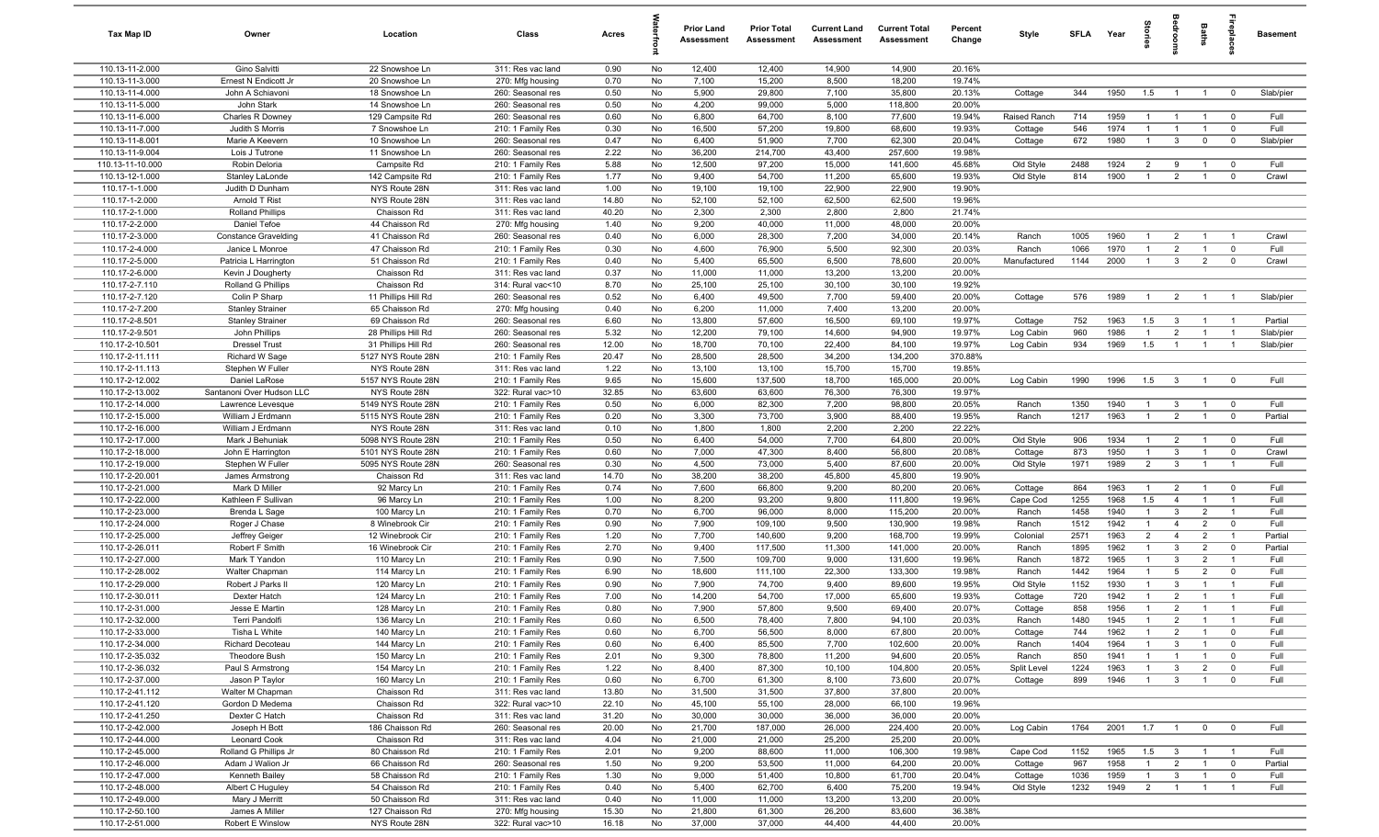| Tax Map ID                         | Owner                                   | Location                            | Class                                  | Acres        |          | <b>Prior Land</b><br>Assessment | <b>Prior Total</b><br>Assessment | <b>Current Land</b><br><b>Assessment</b> | <b>Current Total</b><br>Assessment | Percent<br>Change | Style              | <b>SFI A</b> | Year         | $\frac{1}{2}$                    |                                | Baths                            | <b>Lepla</b>                  | <b>Basement</b> |
|------------------------------------|-----------------------------------------|-------------------------------------|----------------------------------------|--------------|----------|---------------------------------|----------------------------------|------------------------------------------|------------------------------------|-------------------|--------------------|--------------|--------------|----------------------------------|--------------------------------|----------------------------------|-------------------------------|-----------------|
| 110.13-11-2.000                    | Gino Salvitti                           | 22 Snowshoe Ln                      | 311: Res vac land                      | 0.90         | No       | 12,400                          | 12,400                           | 14,900                                   | 14,900                             | 20.16%            |                    |              |              |                                  |                                |                                  |                               |                 |
| 110.13-11-3.000                    | Ernest N Endicott Jr                    | 20 Snowshoe Ln                      | 270: Mfg housing                       | 0.70         | No       | 7,100                           | 15,200                           | 8,500                                    | 18,200                             | 19.74%            |                    |              |              |                                  |                                |                                  |                               |                 |
| 110.13-11-4.000                    | John A Schiavoni                        | 18 Snowshoe Ln                      | 260: Seasonal res                      | 0.50         | No       | 5,900                           | 29,800                           | 7,100                                    | 35,800                             | 20.13%            | Cottage            | 344          | 1950         | 1.5                              |                                |                                  | $^{\circ}$                    | Slab/pier       |
| 110.13-11-5.000<br>110.13-11-6.000 | John Stark<br>Charles R Downey          | 14 Snowshoe Ln<br>129 Campsite Rd   | 260: Seasonal res<br>260: Seasonal res | 0.50<br>0.60 | No<br>No | 4,200<br>6,800                  | 99,000<br>64,700                 | 5,000<br>8,100                           | 118,800<br>77,600                  | 20.00%<br>19.94%  | Raised Ranch       | 714          | 1959         | $\overline{1}$                   | $\overline{1}$                 | $\overline{1}$                   | $\mathbf 0$                   | Full            |
| 110.13-11-7.000                    | Judith S Morris                         | 7 Snowshoe Ln                       | 210: 1 Family Res                      | 0.30         | No       | 16,500                          | 57,200                           | 19,800                                   | 68,600                             | 19.93%            | Cottage            | 546          | 1974         | $\mathbf{1}$                     | $\overline{1}$                 |                                  | $\mathbf 0$                   | Full            |
| 110.13-11-8.001                    | Marie A Keevern                         | 10 Snowshoe Ln                      | 260: Seasonal res                      | 0.47         | No       | 6,400                           | 51,900                           | 7,700                                    | 62,300                             | 20.04%            | Cottage            | 672          | 1980         | $\overline{1}$                   | $\mathbf{3}$                   | $\mathbf 0$                      | $\mathbf 0$                   | Slab/pier       |
| 110.13-11-9.004                    | Lois J Tutrone                          | 11 Snowshoe Ln                      | 260: Seasonal res                      | 2.22         | No       | 36,200                          | 214,700                          | 43,400                                   | 257,600                            | 19.98%            |                    |              |              |                                  |                                |                                  |                               |                 |
| 110.13-11-10.000                   | Robin Deloria                           | Campsite Rd                         | 210: 1 Family Res                      | 5.88         | No       | 12,500                          | 97,200                           | 15,000                                   | 141,600                            | 45.68%            | Old Style          | 2488         | 1924         | $\overline{2}$                   | 9                              | $\overline{1}$                   | $^{\circ}$                    | Full            |
| 110.13-12-1.000                    | Stanley LaLonde                         | 142 Campsite Rd                     | 210: 1 Family Res                      | 1.77         | No       | 9,400                           | 54,700                           | 11,200                                   | 65,600                             | 19.93%            | Old Style          | 814          | 1900         | $\overline{1}$                   | $\overline{2}$                 | $\overline{1}$                   | $^{\circ}$                    | Crawl           |
| 110.17-1-1.000                     | Judith D Dunham                         | NYS Route 28N                       | 311: Res vac land                      | 1.00         | No       | 19,100                          | 19,100                           | 22,900                                   | 22,900                             | 19.90%            |                    |              |              |                                  |                                |                                  |                               |                 |
| 110.17-1-2.000                     | Arnold T Rist                           | NYS Route 28N                       | 311: Res vac land                      | 14.80        | No       | 52,100                          | 52,100                           | 62,500                                   | 62,500                             | 19.96%            |                    |              |              |                                  |                                |                                  |                               |                 |
| 110.17-2-1.000                     | <b>Rolland Phillips</b>                 | Chaisson Rd                         | 311: Res vac land                      | 40.20        | No       | 2,300                           | 2,300                            | 2,800                                    | 2,800                              | 21.74%            |                    |              |              |                                  |                                |                                  |                               |                 |
| 110.17-2-2.000                     | Daniel Tefoe                            | 44 Chaisson Rd                      | 270: Mfg housing                       | 1.40         | No       | 9,200                           | 40,000                           | 11,000                                   | 48,000                             | 20.00%            |                    |              |              |                                  |                                |                                  |                               |                 |
| 110.17-2-3.000                     | <b>Constance Gravelding</b>             | 41 Chaisson Rd                      | 260: Seasonal res                      | 0.40         | No       | 6,000                           | 28,300                           | 7,200                                    | 34,000                             | 20.14%            | Ranch              | 1005         | 1960         | $\mathbf{1}$                     | $\overline{2}$                 |                                  |                               | Crawl           |
| 110.17-2-4.000                     | Janice L Monroe                         | 47 Chaisson Rd                      | 210: 1 Family Res                      | 0.30         | No       | 4,600                           | 76,900                           | 5,500                                    | 92,300                             | 20.03%            | Ranch              | 1066         | 1970         | 1                                | $\overline{2}$                 |                                  | $^{\circ}$                    | Full            |
| 110.17-2-5.000<br>110.17-2-6.000   | Patricia L Harrington                   | 51 Chaisson Rd                      | 210: 1 Family Res                      | 0.40         | No       | 5,400                           | 65,500                           | 6,500                                    | 78,600<br>13,200                   | 20.00%<br>20.00%  | Manufactured       | 1144         | 2000         | $\mathbf{1}$                     | $\mathbf{3}$                   | $\overline{2}$                   | $\mathbf 0$                   | Crawl           |
| 110.17-2-7.110                     | Kevin J Dougherty<br>Rolland G Phillips | Chaisson Rd<br>Chaisson Rd          | 311: Res vac land<br>314: Rural vac<10 | 0.37<br>8.70 | No<br>No | 11,000<br>25,100                | 11,000<br>25,100                 | 13,200<br>30,100                         | 30,100                             | 19.92%            |                    |              |              |                                  |                                |                                  |                               |                 |
| 110.17-2-7.120                     | Colin P Sharp                           | 11 Phillips Hill Rd                 | 260: Seasonal res                      | 0.52         | No       | 6,400                           | 49,500                           | 7,700                                    | 59,400                             | 20.00%            | Cottage            | 576          | 1989         | $\overline{1}$                   | $\overline{2}$                 | $\overline{1}$                   | $\overline{1}$                | Slab/pier       |
| 110.17-2-7.200                     | <b>Stanley Strainer</b>                 | 65 Chaisson Rd                      | 270: Mfg housing                       | 0.40         | No       | 6,200                           | 11,000                           | 7,400                                    | 13,200                             | 20.00%            |                    |              |              |                                  |                                |                                  |                               |                 |
| 110.17-2-8.501                     | <b>Stanley Strainer</b>                 | 69 Chaisson Rd                      | 260: Seasonal res                      | 6.60         | No       | 13,800                          | 57,600                           | 16,500                                   | 69,100                             | 19.97%            | Cottage            | 752          | 1963         | 1.5                              | $\mathbf{3}$                   | $\overline{1}$                   | $\overline{1}$                | Partial         |
| 110.17-2-9.501                     | John Phillips                           | 28 Phillips Hill Rd                 | 260: Seasonal res                      | 5.32         | No       | 12,200                          | 79,100                           | 14,600                                   | 94,900                             | 19.97%            | Log Cabin          | 960          | 1986         | $\overline{1}$                   | $\overline{2}$                 | $\overline{1}$                   | $\overline{1}$                | Slab/pier       |
| 110.17-2-10.501                    | <b>Dressel Trust</b>                    | 31 Phillips Hill Rd                 | 260: Seasonal res                      | 12.00        | No       | 18,700                          | 70,100                           | 22,400                                   | 84,100                             | 19.97%            | Log Cabin          | 934          | 1969         | 1.5                              | $\overline{1}$                 | $\overline{1}$                   | - 1                           | Slab/pier       |
| 110.17-2-11.111                    | Richard W Sage                          | 5127 NYS Route 28N                  | 210: 1 Family Res                      | 20.47        | No       | 28,500                          | 28,500                           | 34,200                                   | 134,200                            | 370.88%           |                    |              |              |                                  |                                |                                  |                               |                 |
| 110.17-2-11.113                    | Stephen W Fuller                        | NYS Route 28N                       | 311: Res vac land                      | 1.22         | No       | 13,100                          | 13,100                           | 15,700                                   | 15,700                             | 19.85%            |                    |              |              |                                  |                                |                                  |                               |                 |
| 110.17-2-12.002                    | Daniel LaRose                           | 5157 NYS Route 28N                  | 210: 1 Family Res                      | 9.65         | No       | 15,600                          | 137,500                          | 18,700                                   | 165,000                            | 20.00%            | Log Cabin          | 1990         | 1996         | 1.5                              | $\mathbf{3}$                   | $\overline{1}$                   | $\mathbf 0$                   | Full            |
| 110.17-2-13.002                    | Santanoni Over Hudson LLC               | NYS Route 28N                       | 322: Rural vac>10                      | 32.85        | No       | 63,600                          | 63,600                           | 76,300                                   | 76,300                             | 19.97%            |                    |              |              |                                  |                                |                                  |                               |                 |
| 110.17-2-14.000                    | Lawrence Levesque                       | 5149 NYS Route 28N                  | 210: 1 Family Res                      | 0.50         | No       | 6,000                           | 82,300                           | 7,200                                    | 98,800                             | 20.05%            | Ranch              | 1350         | 1940         | -1                               | $\mathbf{3}$                   |                                  | $^{\circ}$                    | Full            |
| 110.17-2-15.000<br>110.17-2-16.000 | William J Erdmann<br>William J Erdmann  | 5115 NYS Route 28N<br>NYS Route 28N | 210: 1 Family Res<br>311: Res vac land | 0.20<br>0.10 | No<br>No | 3,300<br>1,800                  | 73,700<br>1,800                  | 3,900<br>2,200                           | 88,400<br>2,200                    | 19.95%<br>22.22%  | Ranch              | 1217         | 1963         | $\overline{1}$                   | $\overline{2}$                 |                                  | $\mathbf 0$                   | Partial         |
| 110.17-2-17.000                    | Mark J Behuniak                         | 5098 NYS Route 28N                  | 210: 1 Family Res                      | 0.50         | No       | 6,400                           | 54,000                           | 7,700                                    | 64,800                             | 20.00%            | Old Style          | 906          | 1934         | $\overline{1}$                   | $\overline{2}$                 | $\overline{1}$                   | $\mathbf 0$                   | Full            |
| 110.17-2-18.000                    | John E Harrington                       | 5101 NYS Route 28N                  | 210: 1 Family Res                      | 0.60         | No       | 7,000                           | 47,300                           | 8,400                                    | 56,800                             | 20.08%            | Cottage            | 873          | 1950         | $\overline{1}$                   | $\mathbf{3}$                   | $\overline{1}$                   | $\mathbf 0$                   | Crawl           |
| 110.17-2-19.000                    | Stephen W Fuller                        | 5095 NYS Route 28N                  | 260: Seasonal res                      | 0.30         | No       | 4,500                           | 73,000                           | 5,400                                    | 87,600                             | 20.00%            | Old Style          | 1971         | 1989         | $\overline{2}$                   | $\mathbf{3}$                   | $\overline{1}$                   | $\overline{1}$                | Full            |
| 110.17-2-20.001                    | James Armstrong                         | Chaisson Rd                         | 311: Res vac land                      | 14.70        | No       | 38,200                          | 38,200                           | 45,800                                   | 45,800                             | 19.90%            |                    |              |              |                                  |                                |                                  |                               |                 |
| 110.17-2-21.000                    | Mark D Miller                           | 92 Marcy Ln                         | 210: 1 Family Res                      | 0.74         | No       | 7,600                           | 66,800                           | 9,200                                    | 80,200                             | 20.06%            | Cottage            | 864          | 1963         | $\mathbf{1}$                     | $\overline{2}$                 | $\overline{1}$                   | $\mathbf 0$                   | Full            |
| 110.17-2-22.000                    | Kathleen F Sullivan                     | 96 Marcy Ln                         | 210: 1 Family Res                      | 1.00         | No       | 8,200                           | 93,200                           | 9,800                                    | 111,800                            | 19.96%            | Cape Cod           | 1255         | 1968         | 1.5                              | $\overline{4}$                 | $\overline{1}$                   | $\overline{1}$                | Full            |
| 110.17-2-23.000                    | Brenda L Sage                           | 100 Marcy Ln                        | 210: 1 Family Res                      | 0.70         | No       | 6,700                           | 96,000                           | 8,000                                    | 115,200                            | 20.00%            | Ranch              | 1458         | 1940         | $\overline{1}$                   | $\mathbf{3}$                   | $\overline{2}$                   | $\overline{1}$                | Full            |
| 110.17-2-24.000                    | Roger J Chase                           | 8 Winebrook Cir                     | 210: 1 Family Res                      | 0.90         | No       | 7,900                           | 109,100                          | 9,500                                    | 130,900                            | 19.98%            | Ranch              | 1512         | 1942         | $\mathbf{1}$                     | $\overline{4}$                 | $\overline{2}$                   | $\mathbf 0$                   | Full            |
| 110.17-2-25.000                    | Jeffrey Geiger                          | 12 Winebrook Cir                    | 210: 1 Family Res                      | 1.20         | No       | 7,700                           | 140,600                          | 9,200                                    | 168,700                            | 19.99%            | Colonial           | 2571         | 1963         | $\overline{2}$                   | $\overline{4}$                 | $\overline{2}$                   | $\overline{1}$                | Partial         |
| 110.17-2-26.011                    | Robert F Smith                          | 16 Winebrook Cir                    | 210: 1 Family Res                      | 2.70         | No       | 9,400                           | 117,500                          | 11,300                                   | 141,000                            | 20.00%            | Ranch              | 1895         | 1962         | $\mathbf{1}$                     | $\mathbf{3}$                   | $\overline{2}$                   | $^{\circ}$                    | Partial         |
| 110.17-2-27.000                    | Mark T Yandon                           | 110 Marcy Ln                        | 210: 1 Family Res                      | 0.90         | No       | 7,500                           | 109,700                          | 9,000                                    | 131,600                            | 19.96%            | Ranch              | 1872         | 1965         | $\mathbf{1}$                     | $\mathbf{3}$                   | $\overline{2}$                   | - 1                           | Full            |
| 110.17-2-28.002<br>110.17-2-29.000 | Walter Chapman<br>Robert J Parks II     | 114 Marcy Ln<br>120 Marcy Ln        | 210: 1 Family Res<br>210: 1 Family Res | 6.90<br>0.90 | No<br>No | 18,600<br>7,900                 | 111,100<br>74,700                | 22,300<br>9,400                          | 133,300<br>89,600                  | 19.98%<br>19.95%  | Ranch<br>Old Style | 1442<br>1152 | 1964<br>1930 | $\overline{1}$<br>$\overline{1}$ | 5<br>$\mathbf{3}$              | $\overline{2}$<br>$\overline{1}$ | $\mathbf 0$<br>$\overline{1}$ | Full<br>Full    |
| 110.17-2-30.011                    | Dexter Hatch                            | 124 Marcy Ln                        | 210: 1 Family Res                      | 7.00         | No       | 14,200                          | 54,700                           | 17,000                                   | 65,600                             | 19.93%            | Cottage            | 720          | 1942         | $\mathbf{1}$                     | $\overline{2}$                 |                                  | $\overline{1}$                | Full            |
| 110.17-2-31.000                    | Jesse E Martin                          | 128 Marcy Ln                        | 210: 1 Family Res                      | 0.80         | No       | 7,900                           | 57,800                           | 9,500                                    | 69,400                             | 20.07%            | Cottage            | 858          | 1956         | $\mathbf{1}$                     | $\overline{2}$                 | $\overline{1}$                   | $\overline{1}$                | Full            |
| 110.17-2-32.000                    | Terri Pandolfi                          | 136 Marcy Ln                        | 210: 1 Family Res                      | 0.60         | No.      | 6,500                           | 78,400                           | 7,800                                    | 94,100                             | 20.03%            | Ranch              | 1480         | 1945         | $\overline{1}$                   | 2                              | $\overline{1}$                   |                               | Full            |
| 110.17-2-33.000                    | Tisha L White                           | 140 Marcy Ln                        | 210: 1 Family Res                      | 0.60         | No       | 6,700                           | 56,500                           | 8,000                                    | 67,800                             | 20.00%            | Cottage            | 744          | 1962         | $\overline{1}$                   | $\overline{2}$                 | $\overline{1}$                   | $\overline{0}$                | Full            |
| 110.17-2-34.000                    | Richard Decoteau                        | 144 Marcy Ln                        | 210: 1 Family Res                      | 0.60         | No       | 6,400                           | 85,500                           | 7,700                                    | 102,600                            | 20.00%            | Ranch              | 1404         | 1964         | 1                                | $\mathbf{3}$                   | $\overline{1}$                   | $\mathbf 0$                   | Full            |
| 110.17-2-35.032                    | Theodore Bush                           | 150 Marcy Ln                        | 210: 1 Family Res                      | 2.01         | No       | 9,300                           | 78,800                           | 11,200                                   | 94,600                             | 20.05%            | Ranch              | 850          | 1941         | $\overline{1}$                   | $\overline{1}$                 | $\overline{1}$                   | $\mathbf 0$                   | Full            |
| 110.17-2-36.032                    | Paul S Armstrong                        | 154 Marcy Ln                        | 210: 1 Family Res                      | 1.22         | No       | 8,400                           | 87,300                           | 10,100                                   | 104,800                            | 20.05%            | Split Level        | 1224         | 1963         | $\mathbf{1}$                     | $\mathbf{3}$                   | $\overline{2}$                   | $\mathbf 0$                   | Full            |
| 110.17-2-37.000                    | Jason P Taylor                          | 160 Marcy Ln                        | 210: 1 Family Res                      | 0.60         | No       | 6,700                           | 61,300                           | 8,100                                    | 73,600                             | 20.07%            | Cottage            | 899          | 1946         | $\overline{1}$                   | $\mathbf{3}$                   |                                  | $\mathbf 0$                   | Full            |
| 110.17-2-41.112                    | Walter M Chapman                        | Chaisson Rd                         | 311: Res vac land                      | 13.80        | No       | 31,500                          | 31,500                           | 37,800                                   | 37,800                             | 20.00%            |                    |              |              |                                  |                                |                                  |                               |                 |
| 110.17-2-41.120                    | Gordon D Medema                         | Chaisson Rd                         | 322: Rural vac>10                      | 22.10        | No       | 45,100                          | 55,100                           | 28,000                                   | 66,100                             | 19.96%            |                    |              |              |                                  |                                |                                  |                               |                 |
| 110.17-2-41.250                    | Dexter C Hatch                          | Chaisson Rd                         | 311: Res vac land                      | 31.20        | No       | 30,000                          | 30,000                           | 36,000                                   | 36,000                             | 20.00%            |                    |              |              |                                  |                                |                                  |                               |                 |
| 110.17-2-42.000                    | Joseph H Bott                           | 186 Chaisson Rd                     | 260: Seasonal res                      | 20.00        | No       | 21,700                          | 187,000                          | 26,000                                   | 224,400                            | 20.00%            | Log Cabin          | 1764         | 2001         | 1.7                              | $\overline{1}$                 | $\mathbf 0$                      | $\overline{0}$                | Full            |
| 110.17-2-44.000<br>110.17-2-45.000 | Leonard Cook<br>Rolland G Phillips Jr   | Chaisson Rd<br>80 Chaisson Rd       | 311: Res vac land                      | 4.04<br>2.01 | No<br>No | 21,000<br>9,200                 | 21,000<br>88,600                 | 25,200<br>11,000                         | 25,200<br>106,300                  | 20.00%<br>19.98%  | Cape Cod           | 1152         | 1965         | 1.5                              |                                | $\overline{1}$                   | $\overline{1}$                | Full            |
| 110.17-2-46.000                    | Adam J Walion Jr                        | 66 Chaisson Rd                      | 210: 1 Family Res<br>260: Seasonal res | 1.50         | No       | 9,200                           | 53,500                           | 11,000                                   | 64,200                             | 20.00%            | Cottage            | 967          | 1958         | $\overline{1}$                   | $\mathbf{3}$<br>$\overline{2}$ | $\overline{1}$                   | $\overline{0}$                | Partial         |
| 110.17-2-47.000                    | Kenneth Bailey                          | 58 Chaisson Rd                      | 210: 1 Family Res                      | 1.30         | No       | 9,000                           | 51,400                           | 10,800                                   | 61,700                             | 20.04%            | Cottage            | 1036         | 1959         | $\mathbf{1}$                     | $\mathbf{3}$                   | $\overline{1}$                   | $\overline{0}$                | Full            |
| 110.17-2-48.000                    | Albert C Huguley                        | 54 Chaisson Rd                      | 210: 1 Family Res                      | 0.40         | No       | 5,400                           | 62,700                           | 6,400                                    | 75,200                             | 19.94%            | Old Style          | 1232         | 1949         | $\overline{2}$                   | $\overline{1}$                 | $\overline{1}$                   | $\overline{1}$                | Full            |
| 110.17-2-49.000                    | Mary J Merritt                          | 50 Chaisson Rd                      | 311: Res vac land                      | 0.40         | No       | 11,000                          | 11,000                           | 13,200                                   | 13,200                             | 20.00%            |                    |              |              |                                  |                                |                                  |                               |                 |
| 110.17-2-50.100                    | James A Miller                          | 127 Chaisson Rd                     | 270: Mfg housing                       | 15.30        | No       | 21,800                          | 61,300                           | 26,200                                   | 83,600                             | 36.38%            |                    |              |              |                                  |                                |                                  |                               |                 |
| 110.17-2-51.000                    | Robert E Winslow                        | NYS Route 28N                       | 322: Rural vac>10                      | 16.18        | No       | 37,000                          | 37,000                           | 44,400                                   | 44,400                             | 20.00%            |                    |              |              |                                  |                                |                                  |                               |                 |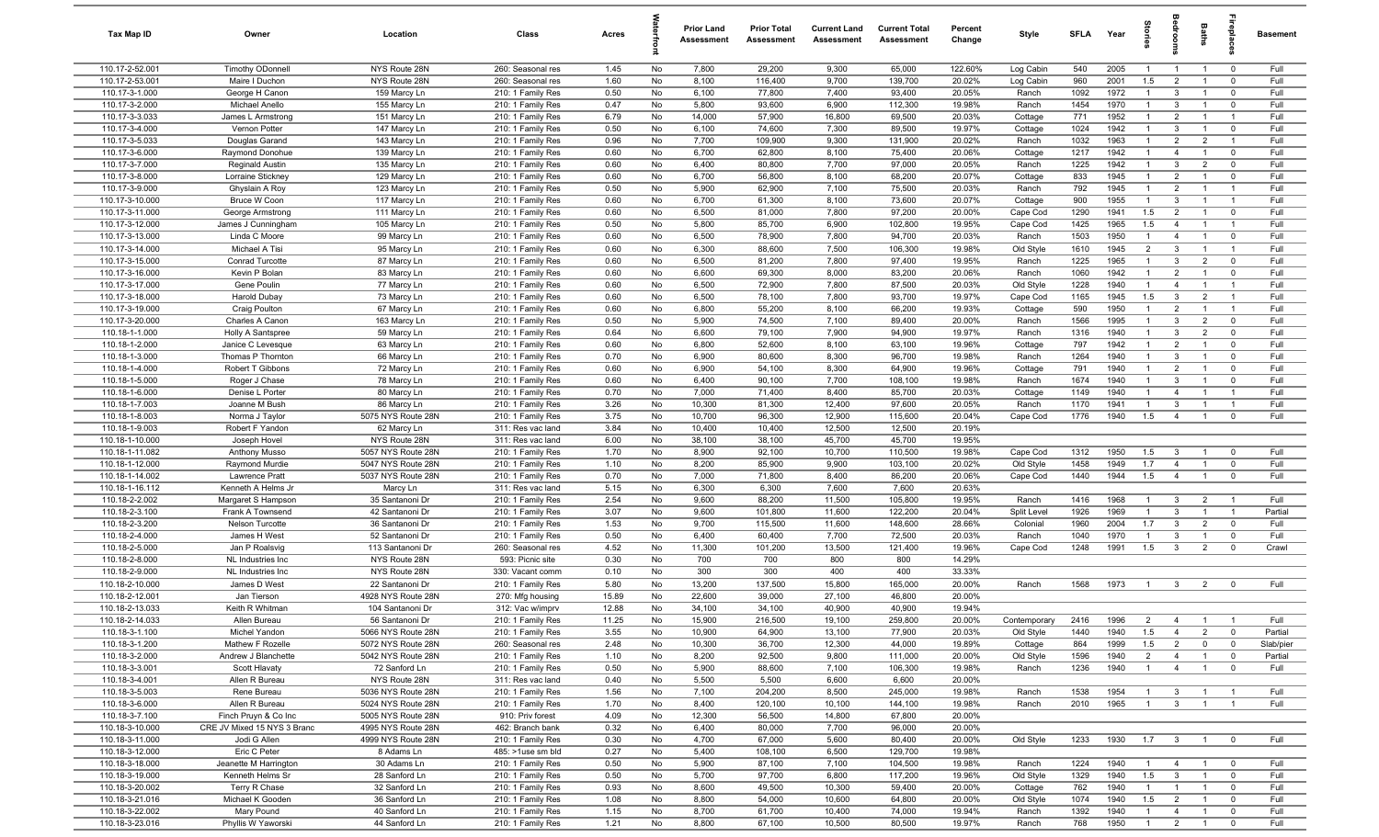| Tax Map ID                         | Owner                                               | Location                                 | Class                                  | Acres          |          | <b>Prior Land</b><br>Assessment | <b>Prior Total</b><br>Assessment | <b>Current Land</b><br>Assessment | <b>Current Total</b><br>Assessment | Percent<br>Change | Style              | <b>SFLA</b>  | Year         |                                  | droom                          | Baths                            | epla                      | Basement     |
|------------------------------------|-----------------------------------------------------|------------------------------------------|----------------------------------------|----------------|----------|---------------------------------|----------------------------------|-----------------------------------|------------------------------------|-------------------|--------------------|--------------|--------------|----------------------------------|--------------------------------|----------------------------------|---------------------------|--------------|
| 110.17-2-52.001                    | <b>Timothy ODonnell</b>                             | NYS Route 28N                            | 260: Seasonal res                      | 1.45           | No       | 7,800                           | 29,200                           | 9,300                             | 65,000                             | 122.60%           | Log Cabin          | 540          | 2005         | $\mathbf{1}$                     | $\overline{1}$                 | $\overline{1}$                   | $^{\circ}$                | Full         |
| 110.17-2-53.001                    | Maire I Duchon                                      | NYS Route 28N                            | 260: Seasonal res                      | 1.60           | No       | 8,100                           | 116,400                          | 9,700                             | 139,700                            | 20.02%            | Log Cabin          | 960          | 2001         | 1.5                              | $\overline{2}$                 | $\overline{1}$                   | $^{\circ}$                | Full         |
| 110.17-3-1.000                     | George H Canon                                      | 159 Marcy Ln                             | 210: 1 Family Res                      | 0.50           | No       | 6,100                           | 77,800                           | 7,400                             | 93,400                             | 20.05%            | Ranch              | 1092         | 1972         | $\mathbf{1}$                     | $\mathbf{3}$                   | $\overline{1}$                   | $\mathbf 0$               | Full         |
| 110.17-3-2.000<br>110.17-3-3.033   | Michael Anello                                      | 155 Marcy Ln<br>151 Marcy Ln             | 210: 1 Family Res                      | 0.47           | No<br>No | 5,800<br>14,000                 | 93,600<br>57,900                 | 6,900<br>16,800                   | 112,300<br>69,500                  | 19.98%<br>20.03%  | Ranch              | 1454<br>771  | 1970<br>1952 | $\overline{1}$<br>$\mathbf{1}$   | $\mathbf{3}$<br>$\overline{2}$ |                                  | $^{\circ}$<br>-1          | Full<br>Full |
| 110.17-3-4.000                     | James L Armstrong<br>Vernon Potter                  | 147 Marcy Ln                             | 210: 1 Family Res<br>210: 1 Family Res | 6.79<br>0.50   | No       | 6,100                           | 74,600                           | 7,300                             | 89,500                             | 19.97%            | Cottage<br>Cottage | 1024         | 1942         | $\overline{1}$                   | $\mathbf{3}$                   |                                  | $\mathbf 0$               | Full         |
| 110.17-3-5.033                     | Douglas Garand                                      | 143 Marcy Ln                             | 210: 1 Family Res                      | 0.96           | No       | 7,700                           | 109,900                          | 9,300                             | 131,900                            | 20.02%            | Ranch              | 1032         | 1963         | $\mathbf{1}$                     | $\overline{2}$                 | $\overline{2}$                   | $\overline{1}$            | Full         |
| 110.17-3-6.000                     | Raymond Donohue                                     | 139 Marcy Ln                             | 210: 1 Family Res                      | 0.60           | No       | 6,700                           | 62,800                           | 8,100                             | 75,400                             | 20.06%            | Cottage            | 1217         | 1942         | $\mathbf{1}$                     | $\overline{4}$                 | $\overline{1}$                   | $\mathbf 0$               | Full         |
| 110.17-3-7.000                     | <b>Reginald Austin</b>                              | 135 Marcy Ln                             | 210: 1 Family Res                      | 0.60           | No       | 6,400                           | 80,800                           | 7,700                             | 97,000                             | 20.05%            | Ranch              | 1225         | 1942         | $\overline{1}$                   | $\mathbf{3}$                   | $\overline{2}$                   | $\mathbf 0$               | Full         |
| 110.17-3-8.000                     | Lorraine Stickney                                   | 129 Marcy Ln                             | 210: 1 Family Res                      | 0.60           | No       | 6,700                           | 56,800                           | 8,100                             | 68,200                             | 20.07%            | Cottage            | 833          | 1945         | $\overline{1}$                   | $\overline{2}$                 | $\overline{1}$                   | $^{\circ}$                | Full         |
| 110.17-3-9.000                     | Ghyslain A Roy                                      | 123 Marcy Ln                             | 210: 1 Family Res                      | 0.50           | No       | 5,900                           | 62,900                           | 7,100                             | 75,500                             | 20.03%            | Ranch              | 792          | 1945         | $\overline{1}$                   | $\overline{2}$                 | $\overline{1}$                   | $\overline{1}$            | Full         |
| 110.17-3-10.000                    | Bruce W Coon                                        | 117 Marcy Ln                             | 210: 1 Family Res                      | 0.60           | No       | 6,700                           | 61,300                           | 8,100                             | 73,600                             | 20.07%            | Cottage            | 900          | 1955         | $\overline{1}$                   | $\mathbf{3}$                   | $\overline{1}$                   | $\overline{1}$            | Full         |
| 110.17-3-11.000                    | George Armstrong                                    | 111 Marcy Ln                             | 210: 1 Family Res                      | 0.60           | No       | 6,500                           | 81,000                           | 7,800                             | 97,200                             | 20.00%            | Cape Cod           | 1290         | 1941         | 1.5                              | $\overline{2}$                 | $\overline{1}$                   | $\mathbf 0$               | Full         |
| 110.17-3-12.000                    | James J Cunningham                                  | 105 Marcy Ln                             | 210: 1 Family Res                      | 0.50           | No       | 5,800                           | 85,700                           | 6,900                             | 102,800                            | 19.95%            | Cape Cod           | 1425         | 1965         | 1.5                              | $\overline{4}$                 | $\overline{1}$                   | $\overline{1}$            | Full         |
| 110.17-3-13.000<br>110.17-3-14.000 | Linda C Moore<br>Michael A Tisi                     | 99 Marcy Ln<br>95 Marcy Ln               | 210: 1 Family Res<br>210: 1 Family Res | 0.60<br>0.60   | No<br>No | 6,500<br>6,300                  | 78,900<br>88,600                 | 7,800<br>7,500                    | 94,700<br>106,300                  | 20.03%<br>19.98%  | Ranch<br>Old Style | 1503<br>1610 | 1950<br>1945 | $\overline{1}$<br>$\overline{2}$ | $\overline{4}$<br>$\mathbf{3}$ |                                  | $^{\circ}$<br>- 1         | Full<br>Full |
| 110.17-3-15.000                    | Conrad Turcotte                                     | 87 Marcy Ln                              | 210: 1 Family Res                      | 0.60           | No       | 6,500                           | 81,200                           | 7,800                             | 97,400                             | 19.95%            | Ranch              | 1225         | 1965         | $\mathbf{1}$                     | 3                              | $\overline{2}$                   | $^{\circ}$                | Full         |
| 110.17-3-16.000                    | Kevin P Bolan                                       | 83 Marcy Ln                              | 210: 1 Family Res                      | 0.60           | No       | 6,600                           | 69,300                           | 8,000                             | 83,200                             | 20.06%            | Ranch              | 1060         | 1942         | $\mathbf{1}$                     | $\overline{2}$                 | $\mathbf{1}$                     | $^{\circ}$                | Full         |
| 110.17-3-17.000                    | Gene Poulin                                         | 77 Marcy Ln                              | 210: 1 Family Res                      | 0.60           | No       | 6,500                           | 72,900                           | 7,800                             | 87,500                             | 20.03%            | Old Style          | 1228         | 1940         | $\overline{1}$                   | $\overline{4}$                 |                                  | $\overline{1}$            | Full         |
| 110.17-3-18.000                    | <b>Harold Dubay</b>                                 | 73 Marcy Ln                              | 210: 1 Family Res                      | 0.60           | No       | 6,500                           | 78,100                           | 7,800                             | 93,700                             | 19.97%            | Cape Cod           | 1165         | 1945         | 1.5                              | $\mathbf{3}$                   | $\overline{2}$                   | $\overline{1}$            | Full         |
| 110.17-3-19.000                    | Craig Poulton                                       | 67 Marcy Ln                              | 210: 1 Family Res                      | 0.60           | No       | 6,800                           | 55,200                           | 8,100                             | 66,200                             | 19.93%            | Cottage            | 590          | 1950         | $\overline{1}$                   | $\overline{2}$                 | $\overline{1}$                   | $\overline{1}$            | Full         |
| 110.17-3-20.000                    | Charles A Canon                                     | 163 Marcy Ln                             | 210: 1 Family Res                      | 0.50           | No       | 5,900                           | 74,500                           | 7,100                             | 89,400                             | 20.00%            | Ranch              | 1566         | 1995         | $\mathbf{1}$                     | $\mathbf{3}$                   | $\overline{2}$                   | $\mathbf 0$               | Full         |
| 110.18-1-1.000                     | Holly A Santspree                                   | 59 Marcy Ln                              | 210: 1 Family Res                      | 0.64           | No       | 6,600                           | 79,100                           | 7,900                             | 94,900                             | 19.97%            | Ranch              | 1316         | 1940         | $\overline{1}$                   | $\mathbf{3}$                   | $\overline{2}$                   | $\mathbf 0$               | Full         |
| 110.18-1-2.000                     | Janice C Levesque                                   | 63 Marcy Ln                              | 210: 1 Family Res                      | 0.60           | No       | 6,800                           | 52,600                           | 8,100                             | 63,100                             | 19.96%            | Cottage            | 797          | 1942         | $\overline{1}$                   | $\overline{2}$                 | $\overline{1}$                   | $^{\circ}$                | Full         |
| 110.18-1-3.000                     | Thomas P Thornton                                   | 66 Marcy Ln                              | 210: 1 Family Res                      | 0.70           | No       | 6,900                           | 80,600                           | 8,300                             | 96,700                             | 19.98%<br>19.96%  | Ranch              | 1264         | 1940         | $\overline{1}$                   | $\mathbf{3}$                   | $\overline{1}$                   | $\mathbf 0$               | Full         |
| 110.18-1-4.000<br>110.18-1-5.000   | Robert T Gibbons<br>Roger J Chase                   | 72 Marcy Ln<br>78 Marcy Ln               | 210: 1 Family Res<br>210: 1 Family Res | 0.60<br>0.60   | No<br>No | 6,900<br>6,400                  | 54,100<br>90,100                 | 8,300<br>7,700                    | 64,900<br>108,100                  | 19.98%            | Cottage<br>Ranch   | 791<br>1674  | 1940<br>1940 | $\overline{1}$<br>$\mathbf{1}$   | $\overline{2}$<br>$\mathbf{3}$ | $\overline{1}$<br>$\overline{1}$ | $^{\circ}$<br>$\mathbf 0$ | Full<br>Full |
| 110.18-1-6.000                     | Denise L Porter                                     | 80 Marcy Ln                              | 210: 1 Family Res                      | 0.70           | No       | 7,000                           | 71,400                           | 8,400                             | 85,700                             | 20.03%            | Cottage            | 1149         | 1940         | $\mathbf{1}$                     | $\overline{4}$                 |                                  |                           | Full         |
| 110.18-1-7.003                     | Joanne M Bush                                       | 86 Marcy Ln                              | 210: 1 Family Res                      | 3.26           | No       | 10,300                          | 81,300                           | 12,400                            | 97,600                             | 20.05%            | Ranch              | 1170         | 1941         | $\mathbf{1}$                     | $\mathbf{3}$                   |                                  | - 1                       | Full         |
| 110.18-1-8.003                     | Norma J Taylor                                      | 5075 NYS Route 28N                       | 210: 1 Family Res                      | 3.75           | No       | 10,700                          | 96,300                           | 12,900                            | 115,600                            | 20.04%            | Cape Cod           | 1776         | 1940         | 1.5                              | $\overline{4}$                 |                                  | $^{\circ}$                | Full         |
| 110.18-1-9.003                     | Robert F Yandon                                     | 62 Marcy Ln                              | 311: Res vac land                      | 3.84           | No       | 10,400                          | 10,400                           | 12,500                            | 12,500                             | 20.19%            |                    |              |              |                                  |                                |                                  |                           |              |
| 110.18-1-10.000                    | Joseph Hovel                                        | NYS Route 28N                            | 311: Res vac land                      | 6.00           | No       | 38,100                          | 38,100                           | 45,700                            | 45,700                             | 19.95%            |                    |              |              |                                  |                                |                                  |                           |              |
| 110.18-1-11.082                    | <b>Anthony Musso</b>                                | 5057 NYS Route 28N                       | 210: 1 Family Res                      | 1.70           | No       | 8,900                           | 92,100                           | 10,700                            | 110,500                            | 19.98%            | Cape Cod           | 1312         | 1950         | 1.5                              | $\mathbf{3}$                   | $\overline{1}$                   | $^{\circ}$                | Full         |
| 110.18-1-12.000                    | Raymond Murdie                                      | 5047 NYS Route 28N                       | 210: 1 Family Res                      | 1.10           | No       | 8,200                           | 85,900                           | 9,900                             | 103,100                            | 20.02%            | Old Style          | 1458         | 1949         | 1.7                              | $\overline{4}$                 | $\overline{1}$                   | $\mathbf 0$               | Full         |
| 110.18-1-14.002<br>110.18-1-16.112 | Lawrence Pratt                                      | 5037 NYS Route 28N                       | 210: 1 Family Res                      | 0.70<br>5.15   | No       | 7,000                           | 71,800                           | 8,400<br>7,600                    | 86,200<br>7,600                    | 20.06%<br>20.63%  | Cape Cod           | 1440         | 1944         | 1.5                              | $\overline{4}$                 | $\overline{1}$                   | $\mathbf 0$               | Full         |
| 110.18-2-2.002                     | Kenneth A Helms Jr<br>Margaret S Hampson            | Marcy Ln<br>35 Santanoni Dr              | 311: Res vac land<br>210: 1 Family Res | 2.54           | No<br>No | 6,300<br>9,600                  | 6,300<br>88,200                  | 11,500                            | 105,800                            | 19.95%            | Ranch              | 1416         | 1968         | $\overline{1}$                   | 3                              | $\overline{2}$                   | $\overline{1}$            | Full         |
| 110.18-2-3.100                     | Frank A Townsend                                    | 42 Santanoni Dr                          | 210: 1 Family Res                      | 3.07           | No       | 9,600                           | 101,800                          | 11,600                            | 122,200                            | 20.04%            | Split Level        | 1926         | 1969         | $\overline{1}$                   | $\mathbf{3}$                   | $\overline{1}$                   | $\overline{1}$            | Partial      |
| 110.18-2-3.200                     | <b>Nelson Turcotte</b>                              | 36 Santanoni Dr                          | 210: 1 Family Res                      | 1.53           | No       | 9,700                           | 115,500                          | 11,600                            | 148,600                            | 28.66%            | Colonial           | 1960         | 2004         | 1.7                              | $\mathbf{3}$                   | $\overline{2}$                   | $\mathbf 0$               | Full         |
| 110.18-2-4.000                     | James H West                                        | 52 Santanoni Dr                          | 210: 1 Family Res                      | 0.50           | No       | 6,400                           | 60,400                           | 7,700                             | 72,500                             | 20.03%            | Ranch              | 1040         | 1970         | $\overline{1}$                   | $\mathbf{3}$                   | $\overline{1}$                   | $^{\circ}$                | Full         |
| 110.18-2-5.000                     | Jan P Roalsvig                                      | 113 Santanoni Dr                         | 260: Seasonal res                      | 4.52           | No       | 11,300                          | 101,200                          | 13,500                            | 121,400                            | 19.96%            | Cape Cod           | 1248         | 1991         | 1.5                              | $\mathbf{3}$                   | $\overline{2}$                   | $\mathbf 0$               | Crawl        |
| 110.18-2-8.000                     | NL Industries Inc                                   | NYS Route 28N                            | 593: Picnic site                       | 0.30           | No       | 700                             | 700                              | 800                               | 800                                | 14.29%            |                    |              |              |                                  |                                |                                  |                           |              |
| 110.18-2-9.000                     | NL Industries Inc                                   | NYS Route 28N                            | 330: Vacant comm                       | 0.10           | No       | 300                             | 300                              | 400                               | 400                                | 33.33%            |                    |              |              |                                  |                                |                                  |                           |              |
| 110.18-2-10.000                    | James D West                                        | 22 Santanoni Dr                          | 210: 1 Family Res                      | 5.80           | No       | 13,200                          | 137,500                          | 15,800                            | 165,000                            | 20.00%            | Ranch              | 1568         | 1973         | $\overline{1}$                   | $\mathbf{3}$                   | $\overline{2}$                   | $\mathbf 0$               | Full         |
| 110.18-2-12.001<br>110.18-2-13.033 | Jan Tierson<br>Keith R Whitman                      | 4928 NYS Route 28N<br>104 Santanoni Dr   | 270: Mfg housing<br>312: Vac w/imprv   | 15.89<br>12.88 | No<br>No | 22,600<br>34,100                | 39,000<br>34,100                 | 27,100<br>40,900                  | 46,800<br>40,900                   | 20.00%<br>19.94%  |                    |              |              |                                  |                                |                                  |                           |              |
| 110.18-2-14.033                    | Allen Bureau                                        | 56 Santanoni Dr                          | 210: 1 Family Res                      | 11.25          | No       | 15,900                          | 216,500                          | 19,100                            | 259,800                            | 20.00%            | Contemporary       | 2416         | 1996         | $\overline{2}$                   | $\mathbf{A}$                   |                                  |                           | Full         |
| 110.18-3-1.100                     | Michel Yandon                                       | 5066 NYS Route 28N                       | 210: 1 Family Res                      | 3.55           | No       | 10,900                          | 64,900                           | 13,100                            | 77,900                             | 20.03%            | Old Style          | 1440         | 1940         | 1.5                              | $\overline{4}$                 | $\overline{2}$                   | $\overline{0}$            | Partial      |
| 110.18-3-1.200                     | Mathew F Rozelle                                    | 5072 NYS Route 28N                       | 260: Seasonal res                      | 2.48           | No       | 10,300                          | 36,700                           | 12,300                            | 44,000                             | 19.89%            | Cottage            | 864          | 1999         | 1.5                              | $\overline{2}$                 | $\mathbf 0$                      | $\mathbf 0$               | Slab/pier    |
| 110.18-3-2.000                     | Andrew J Blanchette                                 | 5042 NYS Route 28N                       | 210: 1 Family Res                      | 1.10           | No       | 8,200                           | 92,500                           | 9,800                             | 111,000                            | 20.00%            | Old Style          | 1596         | 1940         | $\overline{2}$                   | $\overline{4}$                 | $\mathbf{1}$                     | $\mathbf 0$               | Partial      |
| 110.18-3-3.001                     | Scott Hlavaty                                       | 72 Sanford Ln                            | 210: 1 Family Res                      | 0.50           | No       | 5,900                           | 88,600                           | 7,100                             | 106,300                            | 19.98%            | Ranch              | 1236         | 1940         | $\overline{1}$                   | $\overline{4}$                 | $\overline{1}$                   | $\mathbf 0$               | Full         |
| 110.18-3-4.001                     | Allen R Bureau                                      | NYS Route 28N                            | 311: Res vac land                      | 0.40           | No       | 5,500                           | 5,500                            | 6,600                             | 6,600                              | 20.00%            |                    |              |              |                                  |                                |                                  |                           |              |
| 110.18-3-5.003                     | Rene Bureau                                         | 5036 NYS Route 28N                       | 210: 1 Family Res                      | 1.56           | No       | 7,100                           | 204,200                          | 8,500                             | 245,000                            | 19.98%            | Ranch              | 1538         | 1954         | $\mathbf{1}$                     | $\mathbf{3}$                   | $\overline{1}$                   | $\overline{1}$            | Full         |
| 110.18-3-6.000                     | Allen R Bureau                                      | 5024 NYS Route 28N                       | 210: 1 Family Res                      | 1.70           | No       | 8,400                           | 120,100                          | 10,100                            | 144,100                            | 19.98%            | Ranch              | 2010         | 1965         | $\overline{1}$                   | $\mathbf{3}$                   |                                  |                           | Full         |
| 110.18-3-7.100<br>110.18-3-10.000  | Finch Pruyn & Co Inc<br>CRE JV Mixed 15 NYS 3 Branc | 5005 NYS Route 28N<br>4995 NYS Route 28N | 910: Priv forest<br>462: Branch bank   | 4.09<br>0.32   | No<br>No | 12,300<br>6,400                 | 56,500<br>80,000                 | 14,800<br>7,700                   | 67,800<br>96,000                   | 20.00%<br>20.00%  |                    |              |              |                                  |                                |                                  |                           |              |
| 110.18-3-11.000                    | Jodi G Allen                                        | 4999 NYS Route 28N                       | 210: 1 Family Res                      | 0.30           | No       | 4,700                           | 67,000                           | 5,600                             | 80,400                             | 20.00%            | Old Style          | 1233         | 1930         | 1.7                              | $\overline{\mathbf{3}}$        | $\overline{1}$                   | $\overline{\mathbf{0}}$   | Full         |
| 110.18-3-12.000                    | Eric C Peter                                        | 8 Adams Ln                               | 485: >1use sm bld                      | 0.27           | No       | 5,400                           | 108,100                          | 6,500                             | 129,700                            | 19.98%            |                    |              |              |                                  |                                |                                  |                           |              |
| 110.18-3-18.000                    | Jeanette M Harrington                               | 30 Adams Ln                              | 210: 1 Family Res                      | 0.50           | No       | 5,900                           | 87,100                           | 7,100                             | 104,500                            | 19.98%            | Ranch              | 1224         | 1940         | $\overline{1}$                   | $\overline{4}$                 | $\overline{1}$                   | $^{\circ}$                | Full         |
| 110.18-3-19.000                    | Kenneth Helms Sr                                    | 28 Sanford Ln                            | 210: 1 Family Res                      | 0.50           | No       | 5,700                           | 97,700                           | 6,800                             | 117,200                            | 19.96%            | Old Style          | 1329         | 1940         | 1.5                              | $\overline{3}$                 | $\mathbf{1}$                     | $\overline{0}$            | Full         |
| 110.18-3-20.002                    | Terry R Chase                                       | 32 Sanford Ln                            | 210: 1 Family Res                      | 0.93           | No       | 8,600                           | 49,500                           | 10,300                            | 59,400                             | 20.00%            | Cottage            | 762          | 1940         | $\mathbf{1}$                     | $\overline{1}$                 | $\overline{1}$                   | $\mathbf 0$               | Full         |
| 110.18-3-21.016                    | Michael K Gooden                                    | 36 Sanford Ln                            | 210: 1 Family Res                      | 1.08           | No       | 8,800                           | 54,000                           | 10,600                            | 64,800                             | 20.00%            | Old Style          | 1074         | 1940         | 1.5                              | $\overline{2}$                 | $\mathbf{1}$                     | $\overline{0}$            | Full         |
| 110.18-3-22.002                    | Mary Pound                                          | 40 Sanford Ln                            | 210: 1 Family Res                      | 1.15           | No       | 8,700                           | 61,700                           | 10,400                            | 74,000                             | 19.94%            | Ranch              | 1392         | 1940         | $\overline{1}$                   | $\overline{4}$                 | $\mathbf{1}$                     | $\mathbf 0$               | Full         |
| 110.18-3-23.016                    | Phyllis W Yaworski                                  | 44 Sanford Ln                            | 210: 1 Family Res                      | 1.21           | No       | 8,800                           | 67,100                           | 10,500                            | 80,500                             | 19.97%            | Ranch              | 768          | 1950         | $\overline{1}$                   | $\overline{2}$                 | $\overline{1}$                   | $\mathbf 0$               | Full         |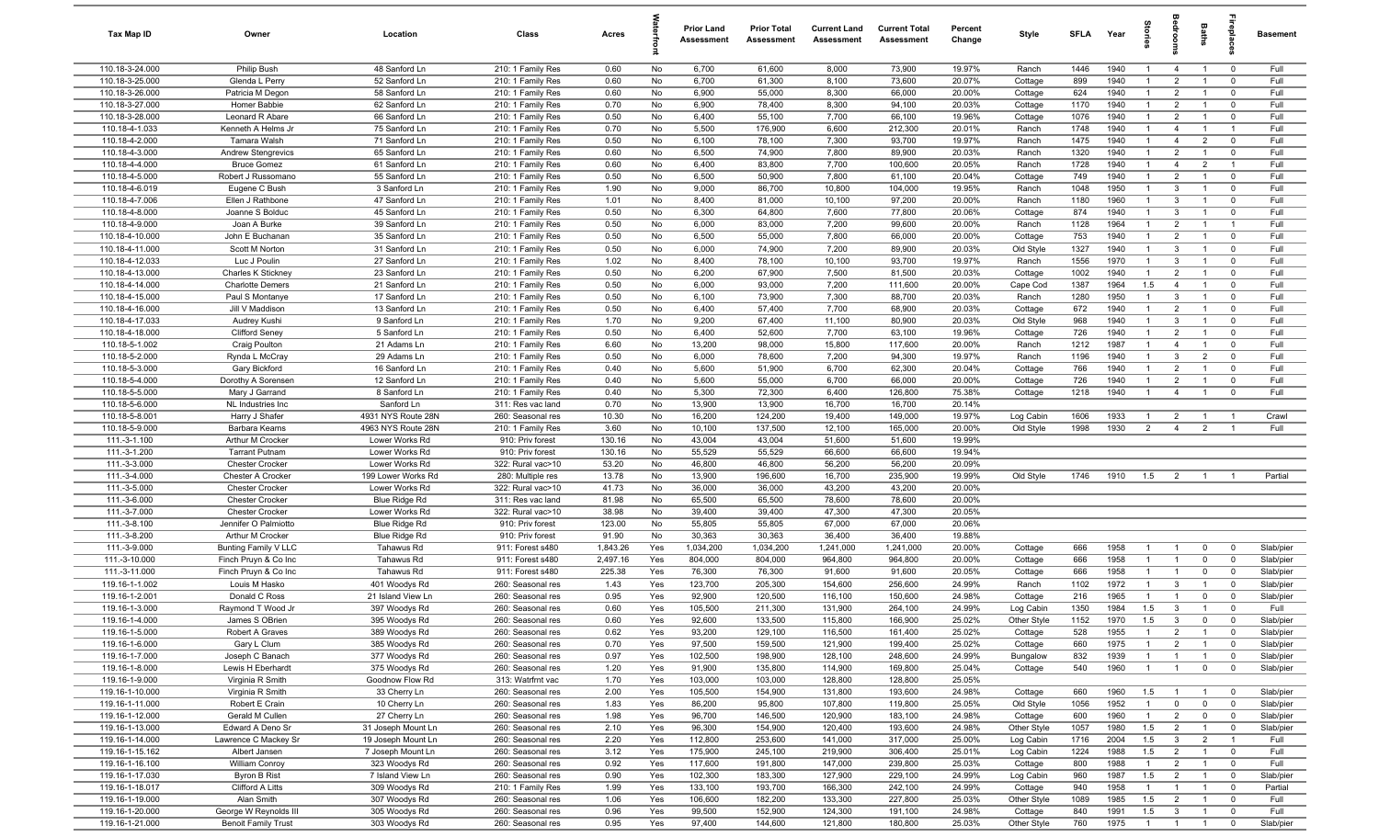| Tax Map ID                         | Owner                                       | Location                             | Class                                  | Acres          |            | <b>Prior Land</b><br>Assessment | <b>Prior Total</b><br>Assessment | <b>Current Land</b><br>Assessment | <b>Current Total</b><br>Assessment | Percent<br>Change | Style                  | <b>SFLA</b> | Year         |                                  | drooi                            | Baths                            | epla                          | Basement               |
|------------------------------------|---------------------------------------------|--------------------------------------|----------------------------------------|----------------|------------|---------------------------------|----------------------------------|-----------------------------------|------------------------------------|-------------------|------------------------|-------------|--------------|----------------------------------|----------------------------------|----------------------------------|-------------------------------|------------------------|
| 110.18-3-24.000                    | Philip Bush                                 | 48 Sanford Ln                        | 210: 1 Family Res                      | 0.60           | No         | 6,700                           | 61,600                           | 8,000                             | 73,900                             | 19.97%            | Ranch                  | 1446        | 1940         | $\overline{1}$                   | $\overline{4}$                   | $\overline{1}$                   | $\mathbf 0$                   | Full                   |
| 110.18-3-25.000                    | Glenda L Perry                              | 52 Sanford Ln                        | 210: 1 Family Res                      | 0.60           | No         | 6,700                           | 61,300                           | 8,100                             | 73,600                             | 20.07%            | Cottage                | 899         | 1940         | $\overline{1}$                   | $\overline{2}$                   | $\overline{1}$                   | $^{\circ}$                    | Full                   |
| 110.18-3-26.000                    | Patricia M Degon                            | 58 Sanford Ln                        | 210: 1 Family Res                      | 0.60           | No         | 6,900                           | 55,000                           | 8,300                             | 66,000                             | 20.00%            | Cottage                | 624         | 1940         | $\mathbf{1}$                     | $\overline{2}$                   | $\overline{1}$                   | $\mathbf 0$                   | Full                   |
| 110.18-3-27.000                    | Homer Babbie                                | 62 Sanford Ln                        | 210: 1 Family Res                      | 0.70           | No         | 6,900                           | 78,400                           | 8,300                             | 94,100                             | 20.03%            | Cottage                | 1170        | 1940         | $\mathbf{1}$                     | $\overline{2}$                   |                                  | $\mathbf 0$                   | Full                   |
| 110.18-3-28.000                    | Leonard R Abare                             | 66 Sanford Ln                        | 210: 1 Family Res                      | 0.50           | No         | 6,400                           | 55,100                           | 7,700                             | 66,100                             | 19.96%            | Cottage                | 1076        | 1940         | 1                                | $\overline{2}$                   | $\overline{1}$                   | $^{\circ}$                    | Full                   |
| 110.18-4-1.033                     | Kenneth A Helms Jr                          | 75 Sanford Ln                        | 210: 1 Family Res                      | 0.70           | No         | 5,500                           | 176,900                          | 6,600                             | 212,300                            | 20.01%            | Ranch                  | 1748        | 1940         | $\mathbf{1}$                     | 4                                |                                  | - 1                           | Full                   |
| 110.18-4-2.000                     | Tamara Walsh                                | 71 Sanford Ln                        | 210: 1 Family Res                      | 0.50           | No         | 6,100                           | 78,100                           | 7,300                             | 93,700                             | 19.97%            | Ranch                  | 1475        | 1940         | $\overline{1}$                   | $\overline{4}$                   | $\overline{2}$                   | $\mathbf 0$                   | Full                   |
| 110.18-4-3.000                     | <b>Andrew Stengrevics</b>                   | 65 Sanford Ln                        | 210: 1 Family Res                      | 0.60           | No         | 6,500                           | 74,900                           | 7,800                             | 89,900                             | 20.03%            | Ranch                  | 1320        | 1940         | $\overline{1}$                   | $\overline{2}$                   | $\overline{1}$                   | $\mathbf 0$                   | Full                   |
| 110.18-4-4.000<br>110.18-4-5.000   | <b>Bruce Gomez</b><br>Robert J Russomano    | 61 Sanford Ln<br>55 Sanford Ln       | 210: 1 Family Res<br>210: 1 Family Res | 0.60<br>0.50   | No         | 6,400<br>6,500                  | 83,800<br>50,900                 | 7,700<br>7,800                    | 100,600<br>61,100                  | 20.05%<br>20.04%  | Ranch                  | 1728<br>749 | 1940<br>1940 | $\overline{1}$<br>$\overline{1}$ | $\overline{4}$<br>$\overline{2}$ | $\overline{2}$<br>$\overline{1}$ | $\overline{1}$<br>$\mathbf 0$ | Full<br>Full           |
| 110.18-4-6.019                     | Eugene C Bush                               | 3 Sanford Ln                         | 210: 1 Family Res                      | 1.90           | No<br>No   | 9,000                           | 86,700                           | 10,800                            | 104,000                            | 19.95%            | Cottage<br>Ranch       | 1048        | 1950         | $\mathbf{1}$                     | 3                                | $\overline{1}$                   | $^{\circ}$                    | Full                   |
| 110.18-4-7.006                     | Ellen J Rathbone                            | 47 Sanford Ln                        | 210: 1 Family Res                      | 1.01           | No         | 8,400                           | 81,000                           | 10,100                            | 97,200                             | 20.00%            | Ranch                  | 1180        | 1960         | $\overline{1}$                   | $\mathbf{3}$                     | $\overline{1}$                   | $^{\circ}$                    | Full                   |
| 110.18-4-8.000                     | Joanne S Bolduc                             | 45 Sanford Ln                        | 210: 1 Family Res                      | 0.50           | No         | 6,300                           | 64,800                           | 7,600                             | 77,800                             | 20.06%            | Cottage                | 874         | 1940         | $\overline{1}$                   | $\mathbf{3}$                     | $\overline{1}$                   | $^{\circ}$                    | Full                   |
| 110.18-4-9.000                     | Joan A Burke                                | 39 Sanford Ln                        | 210: 1 Family Res                      | 0.50           | No         | 6,000                           | 83,000                           | 7,200                             | 99,600                             | 20.00%            | Ranch                  | 1128        | 1964         | -1                               | $\overline{2}$                   | $\overline{1}$                   | $\overline{1}$                | Full                   |
| 110.18-4-10.000                    | John E Buchanan                             | 35 Sanford Ln                        | 210: 1 Family Res                      | 0.50           | No         | 6,500                           | 55,000                           | 7,800                             | 66,000                             | 20.00%            | Cottage                | 753         | 1940         | $\overline{1}$                   | $\overline{2}$                   |                                  | $\mathbf 0$                   | Full                   |
| 110.18-4-11.000                    | Scott M Norton                              | 31 Sanford Ln                        | 210: 1 Family Res                      | 0.50           | No         | 6,000                           | 74,900                           | 7,200                             | 89,900                             | 20.03%            | Old Style              | 1327        | 1940         | $\mathbf{1}$                     | $\mathbf{3}$                     |                                  | $\mathbf 0$                   | Full                   |
| 110.18-4-12.033                    | Luc J Poulin                                | 27 Sanford Ln                        | 210: 1 Family Res                      | 1.02           | No         | 8,400                           | 78,100                           | 10,100                            | 93,700                             | 19.97%            | Ranch                  | 1556        | 1970         | 1                                | 3                                |                                  | $^{\circ}$                    | Full                   |
| 110.18-4-13.000                    | Charles K Stickney                          | 23 Sanford Ln                        | 210: 1 Family Res                      | 0.50           | No         | 6,200                           | 67,900                           | 7,500                             | 81,500                             | 20.03%            | Cottage                | 1002        | 1940         | $\mathbf{1}$                     | $\overline{2}$                   |                                  | $^{\circ}$                    | Full                   |
| 110.18-4-14.000                    | <b>Charlotte Demers</b>                     | 21 Sanford Ln                        | 210: 1 Family Res                      | 0.50           | No         | 6,000                           | 93,000                           | 7,200                             | 111,600                            | 20.00%            | Cape Cod               | 1387        | 1964         | 1.5                              | $\overline{4}$                   |                                  | $\Omega$                      | Full                   |
| 110.18-4-15.000                    | Paul S Montanye                             | 17 Sanford Ln                        | 210: 1 Family Res                      | 0.50           | No         | 6,100                           | 73,900                           | 7,300                             | 88,700                             | 20.03%            | Ranch                  | 1280        | 1950         | $\overline{1}$                   | $\mathbf{3}$                     | $\overline{1}$                   | $\mathbf 0$                   | Full                   |
| 110.18-4-16.000                    | Jill V Maddison                             | 13 Sanford Ln                        | 210: 1 Family Res                      | 0.50           | No         | 6,400                           | 57,400                           | 7,700                             | 68,900                             | 20.03%            | Cottage                | 672         | 1940         | $\overline{1}$                   | $\overline{2}$                   | $\overline{1}$                   | $\mathbf 0$                   | Full                   |
| 110.18-4-17.033                    | Audrey Kushi                                | 9 Sanford Ln                         | 210: 1 Family Res                      | 1.70           | No         | 9,200                           | 67,400                           | 11,100                            | 80,900                             | 20.03%            | Old Style              | 968         | 1940         | $\overline{1}$                   | $\mathbf{3}$                     | $\overline{1}$                   | $\mathbf 0$                   | Full                   |
| 110.18-4-18.000                    | <b>Clifford Seney</b>                       | 5 Sanford Ln                         | 210: 1 Family Res                      | 0.50           | No         | 6,400                           | 52,600                           | 7,700                             | 63,100                             | 19.96%            | Cottage                | 726         | 1940         | $\overline{1}$                   | $\overline{2}$                   | $\overline{1}$                   | $\mathbf 0$                   | Full                   |
| 110.18-5-1.002                     | <b>Craig Poulton</b>                        | 21 Adams Ln                          | 210: 1 Family Res                      | 6.60           | No         | 13,200                          | 98,000                           | 15,800                            | 117,600                            | 20.00%            | Ranch                  | 1212        | 1987         | $\overline{1}$                   | $\overline{4}$                   | $\overline{1}$                   | $^{\circ}$                    | Full                   |
| 110.18-5-2.000                     | Rynda L McCray                              | 29 Adams Ln                          | 210: 1 Family Res                      | 0.50           | No         | 6,000                           | 78,600                           | 7,200                             | 94,300                             | 19.97%            | Ranch                  | 1196        | 1940         | $\overline{1}$                   | $\mathbf{3}$                     | $\overline{2}$                   | $\mathbf 0$                   | Full                   |
| 110.18-5-3.000                     | Gary Bickford                               | 16 Sanford Ln                        | 210: 1 Family Res                      | 0.40           | No         | 5,600                           | 51,900                           | 6,700                             | 62,300                             | 20.04%            | Cottage                | 766         | 1940         | $\overline{1}$                   | $\overline{2}$                   | $\overline{1}$                   | $^{\circ}$                    | Full                   |
| 110.18-5-4.000                     | Dorothy A Sorensen                          | 12 Sanford Ln                        | 210: 1 Family Res                      | 0.40           | No         | 5,600                           | 55,000                           | 6,700                             | 66,000                             | 20.00%            | Cottage                | 726         | 1940         | $\overline{1}$                   | $\overline{2}$                   | $\overline{1}$                   | $\mathbf 0$                   | Full                   |
| 110.18-5-5.000                     | Mary J Garrand                              | 8 Sanford Ln                         | 210: 1 Family Res                      | 0.40           | No         | 5,300                           | 72,300                           | 6,400                             | 126,800                            | 75.38%            | Cottage                | 1218        | 1940         | $\mathbf{1}$                     | $\overline{4}$                   |                                  | $\mathbf 0$                   | Full                   |
| 110.18-5-6.000                     | NL Industries Inc                           | Sanford Ln                           | 311: Res vac land                      | 0.70           | No         | 13,900                          | 13,900                           | 16,700                            | 16,700                             | 20.14%            |                        |             |              |                                  |                                  |                                  |                               |                        |
| 110.18-5-8.001                     | Harry J Shafer                              | 4931 NYS Route 28N                   | 260: Seasonal res                      | 10.30          | No         | 16,200                          | 124,200                          | 19,400                            | 149,000                            | 19.97%            | Log Cabin              | 1606        | 1933         | $\mathbf{1}$                     | $\overline{2}$                   |                                  | $\overline{1}$                | Crawl                  |
| 110.18-5-9.000                     | Barbara Kearns                              | 4963 NYS Route 28N                   | 210: 1 Family Res                      | 3.60           | No         | 10,100                          | 137,500                          | 12,100                            | 165,000                            | 20.00%            | Old Style              | 1998        | 1930         | $\overline{2}$                   | $\overline{4}$                   | $\overline{2}$                   | - 1                           | Full                   |
| 111.-3-1.100                       | Arthur M Crocker                            | Lower Works Rd                       | 910: Priv forest                       | 130.16         | No         | 43,004                          | 43,004                           | 51,600                            | 51,600                             | 19.99%            |                        |             |              |                                  |                                  |                                  |                               |                        |
| 111.-3-1.200                       | <b>Tarrant Putnam</b>                       | Lower Works Rd                       | 910: Priv forest                       | 130.16         | No         | 55,529                          | 55,529                           | 66,600                            | 66,600                             | 19.94%            |                        |             |              |                                  |                                  |                                  |                               |                        |
| 111.-3-3.000                       | <b>Chester Crocker</b>                      | Lower Works Rd                       | 322: Rural vac>10                      | 53.20          | No         | 46,800                          | 46,800                           | 56,200                            | 56,200                             | 20.09%            |                        |             |              |                                  |                                  |                                  |                               |                        |
| 111.-3-4.000<br>111.-3-5.000       | Chester A Crocker<br><b>Chester Crocker</b> | 199 Lower Works Rd<br>Lower Works Rd | 280: Multiple res<br>322: Rural vac>10 | 13.78<br>41.73 | No<br>No   | 13,900<br>36,000                | 196,600<br>36,000                | 16,700<br>43,200                  | 235,900<br>43,200                  | 19.99%<br>20.00%  | Old Style              | 1746        | 1910         | 1.5                              | $\overline{2}$                   | $\overline{1}$                   |                               | Partial                |
| 111.-3-6.000                       | <b>Chester Crocker</b>                      | Blue Ridge Rd                        | 311: Res vac land                      | 81.98          | No         | 65,500                          | 65,500                           | 78,600                            | 78,600                             | 20.00%            |                        |             |              |                                  |                                  |                                  |                               |                        |
| 111.-3-7.000                       | <b>Chester Crocker</b>                      | Lower Works Rd                       | 322: Rural vac>10                      | 38.98          | No         | 39,400                          | 39,400                           | 47,300                            | 47,300                             | 20.05%            |                        |             |              |                                  |                                  |                                  |                               |                        |
| 111.-3-8.100                       | Jennifer O Palmiotto                        | Blue Ridge Rd                        | 910: Priv forest                       | 123.00         | No         | 55,805                          | 55,805                           | 67,000                            | 67,000                             | 20.06%            |                        |             |              |                                  |                                  |                                  |                               |                        |
| 111.-3-8.200                       | Arthur M Crocker                            | Blue Ridge Rd                        | 910: Priv forest                       | 91.90          | No         | 30,363                          | 30,363                           | 36,400                            | 36,400                             | 19.88%            |                        |             |              |                                  |                                  |                                  |                               |                        |
| 111.-3-9.000                       | Bunting Family V LLC                        | Tahawus Rd                           | 911: Forest s480                       | 1,843.26       | Yes        | 1,034,200                       | 1,034,200                        | 1,241,000                         | 1,241,000                          | 20.00%            | Cottage                | 666         | 1958         | $\overline{1}$                   | $\overline{1}$                   | $\mathbf 0$                      | $\mathbf 0$                   | Slab/pier              |
| 111.-3-10.000                      | Finch Pruyn & Co Inc                        | Tahawus Rd                           | 911: Forest s480                       | 2,497.16       | Yes        | 804,000                         | 804,000                          | 964,800                           | 964,800                            | 20.00%            | Cottage                | 666         | 1958         | $\mathbf{1}$                     | $\overline{1}$                   | $\mathbf 0$                      | $^{\circ}$                    | Slab/pier              |
| 111.-3-11.000                      | Finch Pruyn & Co Inc                        | Tahawus Rd                           | 911: Forest s480                       | 225.38         | Yes        | 76,300                          | 76,300                           | 91,600                            | 91,600                             | 20.05%            | Cottage                | 666         | 1958         | $\mathbf{1}$                     |                                  | $\mathbf 0$                      | $^{\circ}$                    | Slab/pier              |
| 119.16-1-1.002                     | Louis M Hasko                               | 401 Woodys Rd                        | 260: Seasonal res                      | 1.43           | Yes        | 123,700                         | 205,300                          | 154,600                           | 256,600                            | 24.99%            | Ranch                  | 1102        | 1972         | $\mathbf{1}$                     | $\mathbf{3}$                     |                                  | $\mathbf 0$                   | Slab/pier              |
| 119.16-1-2.001                     | Donald C Ross                               | 21 Island View Ln                    | 260: Seasonal res                      | 0.95           | Yes        | 92,900                          | 120,500                          | 116,100                           | 150,600                            | 24.98%            | Cottage                | 216         | 1965         | $\overline{1}$                   |                                  | $\Omega$                         | $\Omega$                      | Slab/pier              |
| 119.16-1-3.000                     | Raymond T Wood Jr                           | 397 Woodys Rd                        | 260: Seasonal res                      | 0.60           | Yes        | 105,500                         | 211,300                          | 131,900                           | 264,100                            | 24.99%            | Log Cabin              | 1350        | 1984         | 1.5                              | $\mathbf{3}$                     | $\overline{1}$                   | $\Omega$                      | Full                   |
| 119.16-1-4.000                     | James S OBrien                              | 395 Woodys Rd                        | 260: Seasonal res                      | 0.60           | Yes        | 92,600                          | 133,500                          | 115,800                           | 166,900                            | 25.02%            | Other Style            | 1152        | 1970         | 1.5                              | $\overline{3}$                   | $\mathbf 0$                      |                               | Slab/pier              |
| 119.16-1-5.000                     | Robert A Graves                             | 389 Woodys Rd                        | 260: Seasonal res                      | 0.62           | Yes        | 93,200                          | 129,100                          | 116,500                           | 161,400                            | 25.02%            | Cottage                | 528         | 1955         | $\mathbf{1}$                     | $\overline{2}$                   | $\overline{1}$                   | $\mathbf 0$                   | Slab/pier              |
| 119.16-1-6.000                     | Gary L Clum                                 | 385 Woodys Rd                        | 260: Seasonal res                      | 0.70           | Yes        | 97,500                          | 159,500                          | 121,900                           | 199,400                            | 25.02%            | Cottage                | 660         | 1975         | $\mathbf{1}$                     | $\overline{2}$                   | $\overline{1}$                   | $\mathbf 0$                   | Slab/pier              |
| 119.16-1-7.000                     | Joseph C Banach                             | 377 Woodys Rd                        | 260: Seasonal res                      | 0.97           | Yes        | 102,500                         | 198,900                          | 128,100                           | 248,600                            | 24.99%            | Bungalow               | 832         | 1939         | $\mathbf{1}$                     | $\overline{1}$                   | $\mathbf{1}$                     | $\mathbf 0$                   | Slab/pier              |
| 119.16-1-8.000                     | Lewis H Eberhardt                           | 375 Woodys Rd                        | 260: Seasonal res                      | 1.20           | Yes        | 91,900                          | 135,800                          | 114,900                           | 169,800                            | 25.04%            | Cottage                | 540         | 1960         | $\mathbf{1}$                     | $\overline{1}$                   | $\mathbf 0$                      | $\mathbf 0$                   | Slab/pier              |
| 119.16-1-9.000                     | Virginia R Smith                            | Goodnow Flow Rd                      | 313: Watrfrnt vac                      | 1.70           | Yes        | 103,000                         | 103,000                          | 128,800                           | 128,800                            | 25.05%            |                        |             |              |                                  |                                  |                                  |                               |                        |
| 119.16-1-10.000                    | Virginia R Smith                            | 33 Cherry Ln                         | 260: Seasonal res                      | 2.00           | Yes        | 105,500                         | 154,900                          | 131,800                           | 193,600                            | 24.98%            | Cottage                | 660         | 1960         | 1.5                              | $\overline{1}$                   | $\mathbf{1}$                     | $\overline{0}$                | Slab/pier              |
| 119.16-1-11.000                    | Robert E Crain                              | 10 Cherry Ln                         | 260: Seasonal res                      | 1.83           | Yes        | 86,200                          | 95,800                           | 107,800                           | 119,800                            | 25.05%            | Old Style              | 1056        | 1952<br>1960 | $\mathbf{1}$<br>$\mathbf{1}$     | $\mathbf 0$                      | $\mathbf 0$                      | $\mathbf 0$                   | Slab/pier              |
| 119.16-1-12.000<br>119.16-1-13.000 | Gerald M Cullen<br>Edward A Deno Sr         | 27 Cherry Ln<br>31 Joseph Mount Ln   | 260: Seasonal res<br>260: Seasonal res | 1.98<br>2.10   | Yes<br>Yes | 96,700<br>96,300                | 146,500<br>154,900               | 120,900<br>120,400                | 183,100<br>193,600                 | 24.98%<br>24.98%  | Cottage<br>Other Style | 600<br>1057 | 1980         | 1.5                              | $\overline{2}$<br>$\overline{2}$ | $\mathbf{0}$<br>$\overline{1}$   | $\mathbf 0$<br>$\mathbf 0$    | Slab/pier<br>Slab/pier |
| 119.16-1-14.000                    | Lawrence C Mackey Sr                        | 19 Joseph Mount Ln                   | 260: Seasonal res                      | 2.20           | Yes        | 112,800                         | 253,600                          | 141,000                           | 317,000                            | 25.00%            | Log Cabin              | 1716        | 2004         | 1.5                              | $\mathbf{3}$                     | $\overline{2}$                   | $\overline{1}$                | Full                   |
| 119.16-1-15.162                    | Albert Jansen                               | 7 Joseph Mount Ln                    | 260: Seasonal res                      | 3.12           | Yes        | 175,900                         | 245,100                          | 219,900                           | 306,400                            | 25.01%            | Log Cabin              | 1224        | 1988         | 1.5                              | $\overline{2}$                   | $\overline{1}$                   | $\overline{0}$                | Full                   |
| 119.16-1-16.100                    | <b>William Conroy</b>                       | 323 Woodys Rd                        | 260: Seasonal res                      | 0.92           | Yes        | 117,600                         | 191,800                          | 147,000                           | 239,800                            | 25.03%            | Cottage                | 800         | 1988         | $\mathbf{1}$                     | $\overline{2}$                   | $\overline{1}$                   | $\overline{0}$                | Full                   |
| 119.16-1-17.030                    | <b>Byron B Rist</b>                         | 7 Island View Ln                     | 260: Seasonal res                      | 0.90           | Yes        | 102,300                         | 183,300                          | 127,900                           | 229,100                            | 24.99%            | Log Cabin              | 960         | 1987         | 1.5                              | $\overline{2}$                   | $\overline{1}$                   | $\overline{0}$                | Slab/pier              |
| 119.16-1-18.017                    | Clifford A Litts                            | 309 Woodys Rd                        | 210: 1 Family Res                      | 1.99           | Yes        | 133,100                         | 193,700                          | 166,300                           | 242,100                            | 24.99%            | Cottage                | 940         | 1958         | $\overline{1}$                   | $\overline{1}$                   | $\overline{1}$                   | $\mathbf 0$                   | Partial                |
| 119.16-1-19.000                    | Alan Smith                                  | 307 Woodys Rd                        | 260: Seasonal res                      | 1.06           | Yes        | 106,600                         | 182,200                          | 133,300                           | 227,800                            | 25.03%            | Other Style            | 1089        | 1985         | 1.5                              | $\overline{2}$                   | $\overline{1}$                   | $\overline{0}$                | Full                   |
| 119.16-1-20.000                    | George W Reynolds III                       | 305 Woodys Rd                        | 260: Seasonal res                      | 0.96           | Yes        | 99,500                          | 152,900                          | 124,300                           | 191,100                            | 24.98%            | Cottage                | 840         | 1991         | 1.5                              | $\mathbf{3}$                     | $\mathbf{1}$                     | $\mathbf 0$                   | Full                   |
| 119.16-1-21.000                    | <b>Benoit Family Trust</b>                  | 303 Woodys Rd                        | 260: Seasonal res                      | 0.95           | Yes        | 97,400                          | 144,600                          | 121,800                           | 180,800                            | 25.03%            | Other Style            | 760         | 1975         | $\overline{1}$                   | $\overline{1}$                   | $\overline{1}$                   | $\mathbf 0$                   | Slab/pier              |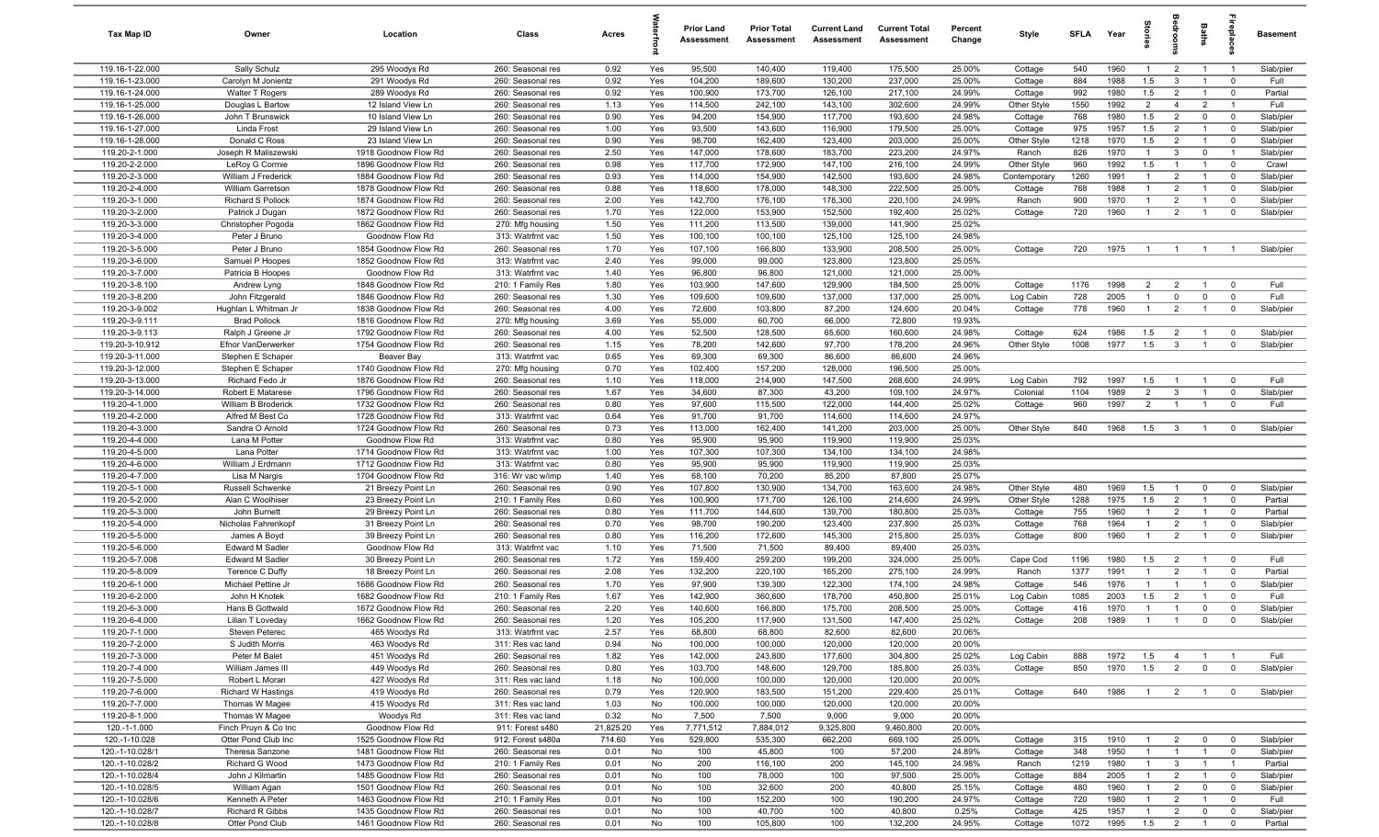| Tax Map ID                         | Owner                                | Location                                     | Class                                  | Acres        |            | <b>Prior Land</b><br>Assessment | <b>Prior Total</b><br>Assessment | <b>Current Land</b><br><b>Assessment</b> | <b>Current Total</b><br>Assessment | Percent<br>Change | Style              | SFLA        | Year         | <b>Darles</b>                    |                                  | Baths                          | 흉                             | <b>Basement</b>        |
|------------------------------------|--------------------------------------|----------------------------------------------|----------------------------------------|--------------|------------|---------------------------------|----------------------------------|------------------------------------------|------------------------------------|-------------------|--------------------|-------------|--------------|----------------------------------|----------------------------------|--------------------------------|-------------------------------|------------------------|
| 119.16-1-22.000                    | Sally Schulz                         | 295 Woodys Rd                                | 260: Seasonal res                      | 0.92         | Yes        | 95,500                          | 140,400                          | 119,400                                  | 175,500                            | 25.00%            | Cottage            | 540         | 1960         | $\overline{1}$                   | $\overline{2}$                   | $\overline{1}$                 | $\overline{1}$                | Slab/pier              |
| 119.16-1-23.000                    | Carolyn M Jonientz                   | 291 Woodys Rd                                | 260: Seasonal res                      | 0.92         | Yes        | 104,200                         | 189,600                          | 130,200                                  | 237,000                            | 25.00%            | Cottage            | 884         | 1988         | 1.5                              | 3                                |                                | $\mathbf 0$                   | Full                   |
| 119.16-1-24.000                    | Walter T Rogers                      | 289 Woodys Rd                                | 260: Seasonal res                      | 0.92         | Yes        | 100,900                         | 173,700                          | 126,100                                  | 217,100                            | 24.99%            | Cottage            | 992         | 1980         | 1.5                              | $\overline{2}$                   | $\overline{1}$                 | $\mathbf 0$                   | Partial                |
| 119.16-1-25.000                    | Douglas L Bartow                     | 12 Island View Ln<br>10 Island View Ln       | 260: Seasonal res<br>260: Seasonal res | 1.13<br>0.90 | Yes<br>Yes | 114,500<br>94,200               | 242,100<br>154,900               | 143,100<br>117,700                       | 302,600<br>193,600                 | 24.99%<br>24.98%  | Other Style        | 1550<br>768 | 1992<br>1980 | $\overline{2}$<br>1.5            | $\overline{4}$<br>$\overline{2}$ | $\overline{2}$<br>$\mathbf 0$  | $\overline{1}$<br>$\mathbf 0$ | Full                   |
| 119.16-1-26.000<br>119.16-1-27.000 | John T Brunswick<br>Linda Frost      | 29 Island View Ln                            | 260: Seasonal res                      | 1.00         | Yes        | 93,500                          | 143,600                          | 116,900                                  | 179,500                            | 25.00%            | Cottage<br>Cottage | 975         | 1957         | 1.5                              | $\overline{2}$                   | $\overline{1}$                 | $\mathbf 0$                   | Slab/pier<br>Slab/pier |
| 119.16-1-28.000                    | Donald C Ross                        | 23 Island View Ln                            | 260: Seasonal res                      | 0.90         | Yes        | 98,700                          | 162,400                          | 123,400                                  | 203,000                            | 25.00%            | Other Style        | 1218        | 1970         | 1.5                              | $\overline{2}$                   | $\overline{1}$                 | $\mathbf 0$                   | Slab/pier              |
| 119.20-2-1.000                     | Joseph R Maliszewski                 | 1918 Goodnow Flow Rd                         | 260: Seasonal res                      | 2.50         | Yes        | 147,000                         | 178,600                          | 183,700                                  | 223,200                            | 24.97%            | Ranch              | 826         | 1970         | $\overline{1}$                   | 3                                | $\mathbf 0$                    | $\overline{1}$                | Slab/pier              |
| 119.20-2-2.000                     | LeRoy G Cormie                       | 1896 Goodnow Flow Rd                         | 260: Seasonal res                      | 0.98         | Yes        | 117,700                         | 172,900                          | 147,100                                  | 216,100                            | 24.99%            | Other Style        | 960         | 1992         | 1.5                              | $\overline{1}$                   | $\overline{1}$                 | $\mathbf 0$                   | Crawl                  |
| 119.20-2-3.000                     | William J Frederick                  | 1884 Goodnow Flow Rd                         | 260: Seasonal res                      | 0.93         | Yes        | 114,000                         | 154,900                          | 142,500                                  | 193,600                            | 24.98%            | Contemporary       | 1260        | 1991         | $\overline{1}$                   | $\overline{2}$                   | $\overline{1}$                 | $\mathbf 0$                   | Slab/pier              |
| 119.20-2-4.000                     | <b>William Garretson</b>             | 1878 Goodnow Flow Rd                         | 260: Seasonal res                      | 0.88         | Yes        | 118,600                         | 178,000                          | 148,300                                  | 222,500                            | 25.00%            | Cottage            | 768         | 1988         | $\overline{1}$                   | $\overline{2}$                   | $\overline{1}$                 | $\mathbf 0$                   | Slab/pier              |
| 119.20-3-1.000                     | <b>Richard S Pollock</b>             | 1874 Goodnow Flow Rd                         | 260: Seasonal res                      | 2.00         | Yes        | 142,700                         | 176,100                          | 178,300                                  | 220,100                            | 24.99%            | Ranch              | 900         | 1970         | $\overline{1}$                   | 2                                | $\overline{1}$                 | $\mathbf 0$                   | Slab/pier              |
| 119.20-3-2.000                     | Patrick J Dugan                      | 1872 Goodnow Flow Rd                         | 260: Seasonal res                      | 1.70         | Yes        | 122,000                         | 153,900                          | 152,500                                  | 192,400                            | 25.02%            | Cottage            | 720         | 1960         | $\overline{1}$                   | $\overline{2}$                   | $\overline{1}$                 | $\mathbf 0$                   | Slab/pier              |
| 119.20-3-3.000                     | Christopher Pogoda                   | 1862 Goodnow Flow Rd                         | 270: Mfg housing                       | 1.50         | Yes        | 111,200                         | 113,500                          | 139,000                                  | 141,900                            | 25.02%            |                    |             |              |                                  |                                  |                                |                               |                        |
| 119.20-3-4.000                     | Peter J Bruno                        | Goodnow Flow Rd                              | 313: Watrfrnt vac                      | 1.50         | Yes        | 100,100                         | 100,100                          | 125,100                                  | 125,100                            | 24.98%            |                    |             |              |                                  |                                  |                                |                               |                        |
| 119.20-3-5.000                     | Peter J Bruno                        | 1854 Goodnow Flow Rd                         | 260: Seasonal res                      | 1.70         | Yes        | 107,100                         | 166,800                          | 133,900                                  | 208,500                            | 25.00%            | Cottage            | 720         | 1975         |                                  |                                  |                                |                               | Slab/pier              |
| 119.20-3-6.000                     | Samuel P Hoopes<br>Patricia B Hoopes | 1852 Goodnow Flow Rd                         | 313: Watrfrnt vac                      | 2.40<br>1.40 | Yes<br>Yes | 99,000<br>96,800                | 99,000<br>96,800                 | 123,800                                  | 123,800                            | 25.05%<br>25.00%  |                    |             |              |                                  |                                  |                                |                               |                        |
| 119.20-3-7.000<br>119.20-3-8.100   | Andrew Lyng                          | Goodnow Flow Rd<br>1848 Goodnow Flow Rd      | 313: Watrfrnt vac<br>210: 1 Family Res | 1.80         | Yes        | 103,900                         | 147,600                          | 121,000<br>129,900                       | 121,000<br>184,500                 | 25.00%            | Cottage            | 1176        | 1998         | $\overline{2}$                   | $\overline{2}$                   | $\overline{1}$                 | $\mathbf 0$                   | Full                   |
| 119.20-3-8.200                     | John Fitzgerald                      | 1846 Goodnow Flow Rd                         | 260: Seasonal res                      | 1.30         | Yes        | 109,600                         | 109,600                          | 137,000                                  | 137,000                            | 25.00%            | Log Cabin          | 728         | 2005         | $\overline{1}$                   | $\mathbf 0$                      | $\mathbf 0$                    | $\mathbf 0$                   | Full                   |
| 119.20-3-9.002                     | Hughlan L Whitman Jr                 | 1838 Goodnow Flow Rd                         | 260: Seasonal res                      | 4.00         | Yes        | 72,600                          | 103,800                          | 87,200                                   | 124,600                            | 20.04%            | Cottage            | 778         | 1960         | $\overline{1}$                   | 2                                | $\overline{1}$                 | $\mathbf 0$                   | Slab/pier              |
| 119.20-3-9.111                     | <b>Brad Pollock</b>                  | 1816 Goodnow Flow Rd                         | 270: Mfg housing                       | 3.69         | Yes        | 55,000                          | 60,700                           | 66,000                                   | 72,800                             | 19.93%            |                    |             |              |                                  |                                  |                                |                               |                        |
| 119.20-3-9.113                     | Ralph J Greene Jr                    | 1792 Goodnow Flow Rd                         | 260: Seasonal res                      | 4.00         | Yes        | 52,500                          | 128,500                          | 65,600                                   | 160,600                            | 24.98%            | Cottage            | 624         | 1986         | 1.5                              | $\overline{2}$                   | $\overline{1}$                 | $\mathbf 0$                   | Slab/pier              |
| 119.20-3-10.912                    | Efnor VanDerwerker                   | 1754 Goodnow Flow Rd                         | 260: Seasonal res                      | 1.15         | Yes        | 78,200                          | 142,600                          | 97,700                                   | 178,200                            | 24.96%            | Other Style        | 1008        | 1977         | 1.5                              | $\mathbf{3}$                     | $\overline{1}$                 | $\mathbf 0$                   | Slab/pier              |
| 119.20-3-11.000                    | Stephen E Schaper                    | Beaver Bay                                   | 313: Watrfrnt vac                      | 0.65         | Yes        | 69,300                          | 69,300                           | 86,600                                   | 86,600                             | 24.96%            |                    |             |              |                                  |                                  |                                |                               |                        |
| 119.20-3-12.000                    | Stephen E Schaper                    | 1740 Goodnow Flow Rd                         | 270: Mfg housing                       | 0.70         | Yes        | 102,400                         | 157,200                          | 128,000                                  | 196,500                            | 25.00%            |                    |             |              |                                  |                                  |                                |                               |                        |
| 119.20-3-13.000                    | Richard Fedo Jr                      | 1876 Goodnow Flow Rd                         | 260: Seasonal res                      | 1.10         | Yes        | 118,000                         | 214,900                          | 147,500                                  | 268,600                            | 24.99%            | Log Cabin          | 792         | 1997         | 1.5                              | $\overline{1}$                   |                                | $\mathbf 0$                   | Full                   |
| 119.20-3-14.000                    | Robert E Matarese                    | 1796 Goodnow Flow Rd                         | 260: Seasonal res                      | 1.67         | Yes        | 34,600                          | 87,300                           | 43,200                                   | 109,100                            | 24.97%            | Colonial           | 1104        | 1989         | $\overline{2}$                   | $\mathbf{3}$                     |                                | $\mathbf 0$                   | Slab/pier              |
| 119.20-4-1.000                     | William B Broderick                  | 1732 Goodnow Flow Rd                         | 260: Seasonal res                      | 0.80         | Yes        | 97,600                          | 115,500                          | 122,000                                  | 144,400                            | 25.02%            | Cottage            | 960         | 1997         | $\overline{2}$                   | $\overline{1}$                   | $\overline{1}$                 | $^{\circ}$                    | Full                   |
| 119.20-4-2.000                     | Alfred M Best Co                     | 1728 Goodnow Flow Rd                         | 313: Watrfrnt vac                      | 0.64         | Yes        | 91,700                          | 91,700                           | 114,600                                  | 114,600                            | 24.97%            |                    |             |              |                                  |                                  |                                |                               |                        |
| 119.20-4-3.000                     | Sandra O Arnold                      | 1724 Goodnow Flow Rd                         | 260: Seasonal res                      | 0.73         | Yes        | 113,000                         | 162,400                          | 141,200                                  | 203,000                            | 25.00%            | Other Style        | 840         | 1968         | 1.5                              | $\overline{3}$                   | $\overline{1}$                 | $\mathbf 0$                   | Slab/pier              |
| 119.20-4-4.000<br>119.20-4-5.000   | Lana M Potter<br>Lana Potter         | Goodnow Flow Rd<br>1714 Goodnow Flow Rd      | 313: Watrfrnt vac<br>313: Watrfrnt vac | 0.80<br>1.00 | Yes<br>Yes | 95,900<br>107,300               | 95,900<br>107,300                | 119,900<br>134,100                       | 119,900<br>134,100                 | 25.03%<br>24.98%  |                    |             |              |                                  |                                  |                                |                               |                        |
| 119.20-4-6.000                     | William J Erdmann                    | 1712 Goodnow Flow Rd                         | 313: Watrfrnt vac                      | 0.80         | Yes        | 95,900                          | 95,900                           | 119,900                                  | 119,900                            | 25.03%            |                    |             |              |                                  |                                  |                                |                               |                        |
| 119.20-4-7.000                     | Lisa M Nargis                        | 1704 Goodnow Flow Rd                         | 316: Wr vac w/imp                      | 1.40         | Yes        | 68,100                          | 70,200                           | 85,200                                   | 87,800                             | 25.07%            |                    |             |              |                                  |                                  |                                |                               |                        |
| 119.20-5-1.000                     | <b>Russell Schwenke</b>              | 21 Breezy Point Ln                           | 260: Seasonal res                      | 0.90         | Yes        | 107,800                         | 130,900                          | 134,700                                  | 163,600                            | 24.98%            | Other Style        | 480         | 1969         | 1.5                              | $\overline{1}$                   | $\mathbf 0$                    | $\mathbf 0$                   | Slab/pier              |
| 119.20-5-2.000                     | Alan C Woolhiser                     | 23 Breezy Point Ln                           | 210: 1 Family Res                      | 0.60         | Yes        | 100,900                         | 171,700                          | 126,100                                  | 214,600                            | 24.99%            | Other Style        | 1288        | 1975         | 1.5                              | $\overline{2}$                   | $\overline{1}$                 | $\mathbf{0}$                  | Partial                |
| 119.20-5-3.000                     | John Burnett                         | 29 Breezy Point Ln                           | 260: Seasonal res                      | 0.80         | Yes        | 111,700                         | 144,600                          | 139,700                                  | 180,800                            | 25.03%            | Cottage            | 755         | 1960         | $\mathbf{1}$                     | $\overline{2}$                   | $\overline{1}$                 | $\mathbf 0$                   | Partial                |
| 119.20-5-4.000                     | Nicholas Fahrenkopf                  | 31 Breezy Point Ln                           | 260: Seasonal res                      | 0.70         | Yes        | 98,700                          | 190,200                          | 123,400                                  | 237,800                            | 25.03%            | Cottage            | 768         | 1964         | $\overline{1}$                   | $\overline{2}$                   | $\mathbf{1}$                   | $\mathbf 0$                   | Slab/pier              |
| 119.20-5-5.000                     | James A Boyd                         | 39 Breezy Point Ln                           | 260: Seasonal res                      | 0.80         | Yes        | 116,200                         | 172,600                          | 145,300                                  | 215,800                            | 25.03%            | Cottage            | 800         | 1960         | $\mathbf{1}$                     | $\overline{2}$                   | $\overline{1}$                 | $\mathbf 0$                   | Slab/pier              |
| 119.20-5-6.000                     | Edward M Sadler                      | Goodnow Flow Rd                              | 313: Watrfrnt vac                      | 1.10         | Yes        | 71,500                          | 71,500                           | 89,400                                   | 89,400                             | 25.03%            |                    |             |              |                                  |                                  |                                |                               |                        |
| 119.20-5-7.008                     | <b>Edward M Sadler</b>               | 30 Breezy Point Ln                           | 260: Seasonal res                      | 1.72         | Yes        | 159,400                         | 259,200                          | 199,200                                  | 324,000                            | 25.00%            | Cape Cod           | 1196        | 1980         | 1.5                              | $\overline{2}$                   | $\overline{1}$                 | $\mathbf 0$                   | Full                   |
| 119.20-5-8.009                     | Terence C Duffy                      | 18 Breezy Point Ln                           | 260: Seasonal res                      | 2.08         | Yes        | 132,200                         | 220,100                          | 165,200                                  | 275,100                            | 24.99%            | Ranch              | 1377        | 1991         | $\overline{1}$                   | $\overline{2}$                   | $\overline{1}$                 | $\mathbf 0$                   | Partial                |
| 119.20-6-1.000                     | Michael Pettine Jr                   | 1686 Goodnow Flow Rd                         | 260: Seasonal res                      | 1.70         | Yes        | 97,900                          | 139,300                          | 122,300                                  | 174,100                            | 24.98%            | Cottage            | 546         | 1976<br>2003 | $\overline{1}$                   | $\overline{1}$                   | $\overline{1}$<br>$\mathbf{1}$ | $\mathbf 0$                   | Slab/pier              |
| 119.20-6-2.000<br>119.20-6-3.000   | John H Knotek                        | 1682 Goodnow Flow Rd                         | 210: 1 Family Res<br>260: Seasonal res | 1.67<br>2.20 | Yes<br>Yes | 142,900<br>140,600              | 360,600<br>166,800               | 178,700<br>175,700                       | 450,800<br>208,500                 | 25.01%<br>25.00%  | Log Cabin          | 1085<br>416 | 1970         | 1.5<br>$\overline{1}$            | $\overline{2}$<br>$\overline{1}$ | $\mathbf 0$                    | $\mathbf 0$<br>$\mathbf 0$    | Full<br>Slab/pier      |
| 119.20-6-4.000                     | Hans B Gottwald<br>Lilian T Loveday  | 1672 Goodnow Flow Rd<br>1662 Goodnow Flow Rd | 260: Seasonal res                      | 1.20         | Yes        | 105,200                         | 117,900                          | 131,500                                  | 147,400                            | 25.02%            | Cottage<br>Cottage | 208         | 1989         | $\overline{1}$                   | $\overline{1}$                   | $\Omega$                       | $\Omega$                      | Slab/pier              |
| 119.20-7-1.000                     | Steven Peterec                       | 465 Woodys Rd                                | 313: Watrfrnt vac                      | 2.57         | Yes        | 68,800                          | 68,800                           | 82,600                                   | 82,600                             | 20.06%            |                    |             |              |                                  |                                  |                                |                               |                        |
| 119.20-7-2.000                     | S Judith Morris                      | 463 Woodys Rd                                | 311: Res vac land                      | 0.94         | No         | 100,000                         | 100,000                          | 120,000                                  | 120,000                            | 20.00%            |                    |             |              |                                  |                                  |                                |                               |                        |
| 119.20-7-3.000                     | Peter M Balet                        | 451 Woodys Rd                                | 260: Seasonal res                      | 1.82         | Yes        | 142,000                         | 243,800                          | 177,600                                  | 304,800                            | 25.02%            | Log Cabin          | 888         | 1972         | 1.5                              | $\overline{4}$                   | $\overline{1}$                 | $\overline{1}$                | Full                   |
| 119.20-7-4.000                     | William James III                    | 449 Woodys Rd                                | 260: Seasonal res                      | 0.80         | Yes        | 103,700                         | 148,600                          | 129,700                                  | 185,800                            | 25.03%            | Cottage            | 850         | 1970         | 1.5                              | $\overline{2}$                   | $\overline{0}$                 | $\mathbf 0$                   | Slab/pier              |
| 119.20-7-5.000                     | Robert L Moran                       | 427 Woodys Rd                                | 311: Res vac land                      | 1.18         | No         | 100,000                         | 100,000                          | 120,000                                  | 120,000                            | 20.00%            |                    |             |              |                                  |                                  |                                |                               |                        |
| 119.20-7-6.000                     | Richard W Hastings                   | 419 Woodys Rd                                | 260: Seasonal res                      | 0.79         | Yes        | 120,900                         | 183,500                          | 151,200                                  | 229,400                            | 25.01%            | Cottage            | 640         | 1986         | $\overline{1}$                   | $\overline{2}$                   | $\overline{1}$                 | $\mathbf 0$                   | Slab/pier              |
| 119.20-7-7.000                     | Thomas W Magee                       | 415 Woodys Rd                                | 311: Res vac land                      | 1.03         | No         | 100,000                         | 100,000                          | 120,000                                  | 120,000                            | 20.00%            |                    |             |              |                                  |                                  |                                |                               |                        |
| 119.20-8-1.000                     | Thomas W Magee                       | Woodys Rd                                    | 311: Res vac land                      | 0.32         | No         | 7,500                           | 7,500                            | 9,000                                    | 9,000                              | 20.00%            |                    |             |              |                                  |                                  |                                |                               |                        |
| 120.-1-1.000                       | Finch Pruyn & Co Inc                 | Goodnow Flow Rd                              | 911: Forest s480                       | 21,825.20    | Yes        | 7,771,512                       | 7,884,012                        | 9,325,800                                | 9,460,800                          | 20.00%            |                    |             |              |                                  |                                  |                                |                               |                        |
| 120.-1-10.028                      | Otter Pond Club Inc                  | 1525 Goodnow Flow Rd                         | 912: Forest s480a                      | 714.60       | Yes        | 529,800                         | 535,300                          | 662,200                                  | 669,100                            | 25.00%            | Cottage            | 315         | 1910         | $\overline{1}$                   | $\overline{2}$                   | $\mathbf 0$                    | $\mathbf 0$                   | Slab/pier              |
| 120.-1-10.028/1                    | Theresa Sanzone                      | 1481 Goodnow Flow Rd                         | 260: Seasonal res                      | 0.01         | No         | 100                             | 45,800                           | 100                                      | 57,200                             | 24.89%            | Cottage            | 348         | 1950         | $\overline{1}$                   | $\overline{1}$                   | $\overline{1}$                 | $\overline{0}$                | Slab/pier              |
| 120.-1-10.028/2                    | Richard G Wood                       | 1473 Goodnow Flow Rd                         | 210: 1 Family Res                      | 0.01         | No         | 200                             | 116,100                          | 200                                      | 145,100                            | 24.98%            | Ranch              | 1219        | 1980         | $\mathbf{1}$                     | $\mathbf{3}$                     | $\overline{1}$                 | $\overline{1}$                | Partial                |
| 120.-1-10.028/4<br>120.-1-10.028/5 | John J Kilmartin                     | 1485 Goodnow Flow Rd<br>1501 Goodnow Flow Rd | 260: Seasonal res                      | 0.01         | No         | 100<br>100                      | 78,000<br>32,600                 | 100<br>200                               | 97,500<br>40,800                   | 25.00%            | Cottage            | 884         | 2005<br>1960 | $\overline{1}$<br>$\overline{1}$ | $\overline{2}$<br>$\overline{2}$ | $\overline{1}$                 | $\mathbf 0$<br>$\mathbf 0$    | Slab/pier              |
| 120.-1-10.028/6                    | William Agan<br>Kenneth A Peter      | 1463 Goodnow Flow Rd                         | 260: Seasonal res<br>210: 1 Family Res | 0.01<br>0.01 | No<br>No   | 100                             | 152,200                          | 100                                      | 190,200                            | 25.15%<br>24.97%  | Cottage<br>Cottage | 480<br>720  | 1980         | $\mathbf{1}$                     | $\overline{2}$                   | $\mathbf{0}$<br>$\overline{1}$ | $\mathbf 0$                   | Slab/pier<br>Full      |
| 120.-1-10.028/7                    | Richard R Gibbs                      | 1435 Goodnow Flow Rd                         | 260: Seasonal res                      | 0.01         | No         | 100                             | 40,700                           | 100                                      | 40,800                             | 0.25%             | Cottage            | 425         | 1957         | $\overline{1}$                   | $\overline{2}$                   | $\mathbf 0$                    | $\mathbf 0$                   | Slab/pier              |
| 120.-1-10.028/8                    | Otter Pond Club                      | 1461 Goodnow Flow Rd                         | 260: Seasonal res                      | 0.01         | No         | 100                             | 105,800                          | 100                                      | 132,200                            | 24.95%            | Cottage            | 1072        | 1995         | 1.5                              | $\overline{2}$                   | $\overline{1}$                 | $\overline{0}$                | Partial                |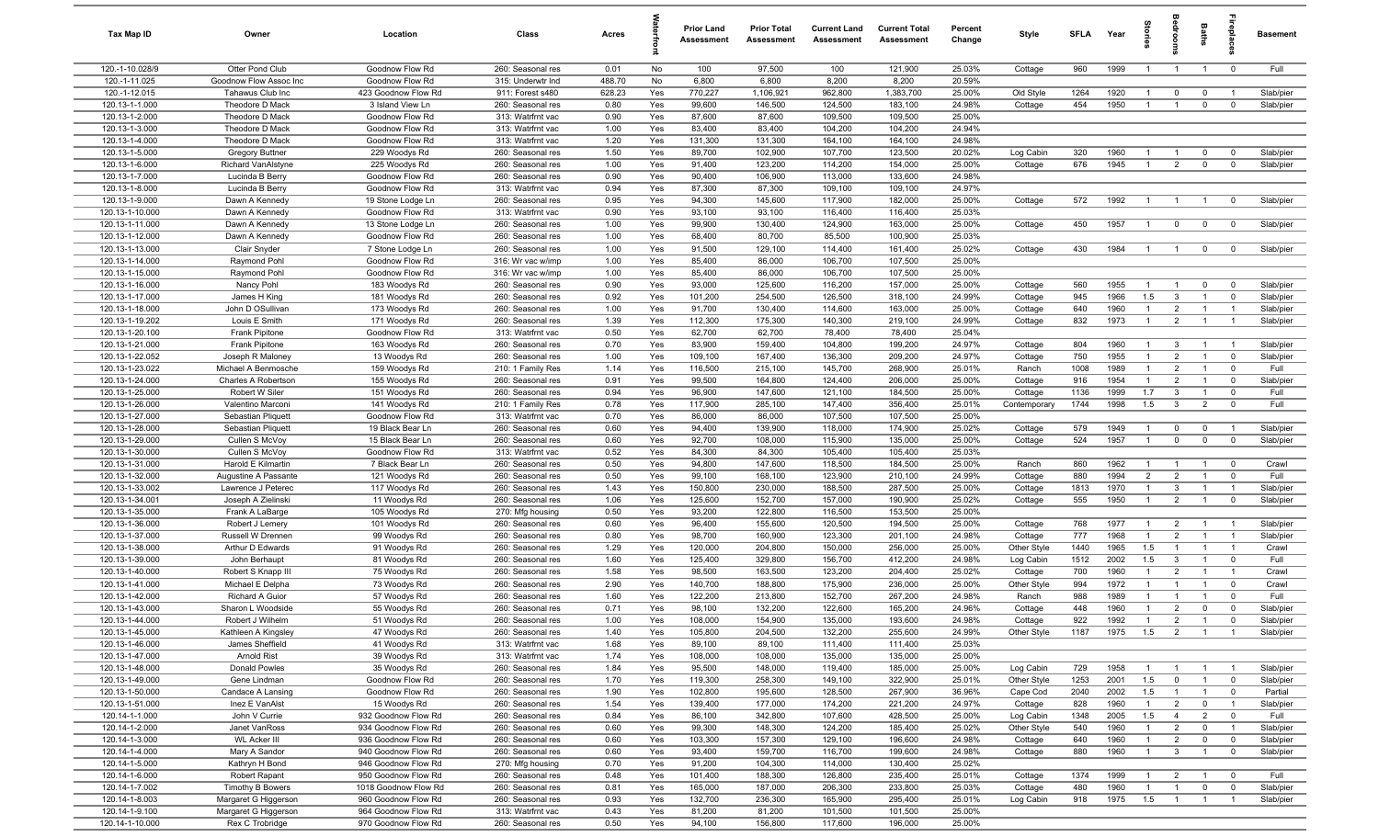| Tax Map ID                         | Owner                                      | Location                           | Class                                  | Acres        |            | <b>Prior Land</b><br>Assessment | <b>Prior Total</b><br>Assessment | <b>Current Land</b><br>Assessment | <b>Current Total</b><br>Assessment | Percent<br>Change | Style                  | SFLA        | Year         | tories                           | å                                | Baths                         |                               | <b>Basement</b>        |
|------------------------------------|--------------------------------------------|------------------------------------|----------------------------------------|--------------|------------|---------------------------------|----------------------------------|-----------------------------------|------------------------------------|-------------------|------------------------|-------------|--------------|----------------------------------|----------------------------------|-------------------------------|-------------------------------|------------------------|
| 120.-1-10.028/9                    | Otter Pond Club                            | Goodnow Flow Rd                    | 260: Seasonal res                      | 0.01         | No         | 100                             | 97,500                           | 100                               | 121,900                            | 25.03%            | Cottage                | 960         | 1999         | $\overline{1}$                   | $\overline{1}$                   | $\overline{1}$                | $\mathbf 0$                   | Full                   |
| 120.-1-11.025                      | Goodnow Flow Assoc Inc                     | Goodnow Flow Rd                    | 315: Underwtr Ind                      | 488.70       | No         | 6,800                           | 6,800                            | 8,200                             | 8,200                              | 20.59%            |                        |             |              |                                  |                                  |                               |                               |                        |
| 120.-1-12.015                      | Tahawus Club Inc                           | 423 Goodnow Flow Rd                | 911: Forest s480                       | 628.23       | Yes        | 770,227                         | 1,106,921                        | 962,800                           | 1,383,700                          | 25.00%            | Old Style              | 1264        | 1920         | $\overline{1}$                   | $\mathbf 0$                      | $\mathbf 0$                   | $\overline{1}$                | Slab/pier              |
| 120.13-1-1.000                     | Theodore D Mack                            | 3 Island View Ln                   | 260: Seasonal res                      | 0.80         | Yes        | 99,600                          | 146,500                          | 124,500                           | 183,100                            | 24.98%            | Cottage                | 454         | 1950         | $\overline{1}$                   | $\overline{1}$                   | $\mathbf 0$                   | $\mathbf 0$                   | Slab/pier              |
| 120.13-1-2.000<br>120.13-1-3.000   | Theodore D Mack<br>Theodore D Mack         | Goodnow Flow Rd<br>Goodnow Flow Rd | 313: Watrfrnt vac<br>313: Watrfrnt vac | 0.90<br>1.00 | Yes<br>Yes | 87,600<br>83,400                | 87,600<br>83,400                 | 109,500<br>104,200                | 109,500<br>104,200                 | 25.00%<br>24.94%  |                        |             |              |                                  |                                  |                               |                               |                        |
| 120.13-1-4.000                     | Theodore D Mack                            | Goodnow Flow Rd                    | 313: Watrfrnt vac                      | 1.20         | Yes        | 131,300                         | 131,300                          | 164,100                           | 164,100                            | 24.98%            |                        |             |              |                                  |                                  |                               |                               |                        |
| 120.13-1-5.000                     | <b>Gregory Buttner</b>                     | 229 Woodys Rd                      | 260: Seasonal res                      | 1.50         | Yes        | 89,700                          | 102,900                          | 107,700                           | 123,500                            | 20.02%            | Log Cabin              | 320         | 1960         | - 1                              | - 1                              | $\mathbf 0$                   | $\mathbf 0$                   | Slab/pier              |
| 120.13-1-6.000                     | <b>Richard VanAlstyne</b>                  | 225 Woodys Rd                      | 260: Seasonal res                      | 1.00         | Yes        | 91,400                          | 123,200                          | 114,200                           | 154,000                            | 25.00%            | Cottage                | 676         | 1945         | $\overline{1}$                   | $\overline{2}$                   | $\mathbf 0$                   | $\mathbf 0$                   | Slab/pier              |
| 120.13-1-7.000                     | Lucinda B Berry                            | Goodnow Flow Rd                    | 260: Seasonal res                      | 0.90         | Yes        | 90,400                          | 106,900                          | 113,000                           | 133,600                            | 24.98%            |                        |             |              |                                  |                                  |                               |                               |                        |
| 120.13-1-8.000                     | Lucinda B Berry                            | Goodnow Flow Rd                    | 313: Watrfrnt vac                      | 0.94         | Yes        | 87,300                          | 87,300                           | 109,100                           | 109,100                            | 24.97%            |                        |             |              |                                  |                                  |                               |                               |                        |
| 120.13-1-9.000                     | Dawn A Kennedy                             | 19 Stone Lodge Ln                  | 260: Seasonal res                      | 0.95         | Yes        | 94,300                          | 145,600                          | 117,900                           | 182,000                            | 25.00%            | Cottage                | 572         | 1992         | $\overline{1}$                   | $\overline{1}$                   | $\overline{1}$                | $\mathbf 0$                   | Slab/pier              |
| 120.13-1-10.000                    | Dawn A Kennedy                             | Goodnow Flow Rd                    | 313: Watrfrnt vac                      | 0.90         | Yes        | 93,100                          | 93,100                           | 116,400                           | 116,400                            | 25.03%            |                        |             |              |                                  |                                  |                               |                               |                        |
| 120.13-1-11.000                    | Dawn A Kennedy                             | 13 Stone Lodge Ln                  | 260: Seasonal res                      | 1.00         | Yes        | 99,900                          | 130,400                          | 124,900                           | 163,000                            | 25.00%            | Cottage                | 450         | 1957         | $\overline{1}$                   | $\mathbf 0$                      | $\mathbf 0$                   | $\overline{0}$                | Slab/pier              |
| 120.13-1-12.000                    | Dawn A Kennedy                             | Goodnow Flow Rd                    | 260: Seasonal res                      | 1.00         | Yes        | 68,400                          | 80,700                           | 85,500                            | 100,900                            | 25.03%            |                        |             |              |                                  |                                  |                               |                               |                        |
| 120.13-1-13.000                    | Clair Snyder                               | 7 Stone Lodge Ln                   | 260: Seasonal res                      | 1.00         | Yes        | 91,500                          | 129,100                          | 114,400                           | 161,400                            | 25.02%            | Cottage                | 430         | 1984         | $\overline{1}$                   | $\overline{1}$                   | $\mathbf{0}$                  | $\mathbf 0$                   | Slab/pier              |
| 120.13-1-14.000                    | Raymond Pohl                               | Goodnow Flow Rd                    | 316: Wr vac w/imp                      | 1.00         | Yes        | 85,400                          | 86,000                           | 106,700                           | 107,500                            | 25.00%            |                        |             |              |                                  |                                  |                               |                               |                        |
| 120.13-1-15.000<br>120.13-1-16.000 | Raymond Pohl                               | Goodnow Flow Rd                    | 316: Wr vac w/imp                      | 1.00         | Yes        | 85,400<br>93,000                | 86,000<br>125,600                | 106,700<br>116,200                | 107,500<br>157,000                 | 25.00%            |                        | 560         | 1955         | -1                               |                                  |                               |                               |                        |
| 120.13-1-17.000                    | Nancy Pohl<br>James H King                 | 183 Woodys Rd<br>181 Woodys Rd     | 260: Seasonal res<br>260: Seasonal res | 0.90<br>0.92 | Yes<br>Yes | 101,200                         | 254,500                          | 126,500                           | 318,100                            | 25.00%<br>24.99%  | Cottage<br>Cottage     | 945         | 1966         | 1.5                              | $\mathbf{3}$                     | $\mathbf 0$<br>$\overline{1}$ | $\mathbf 0$<br>$\mathbf 0$    | Slab/pier<br>Slab/pier |
| 120.13-1-18.000                    | John D OSullivan                           | 173 Woodys Rd                      | 260: Seasonal res                      | 1.00         | Yes        | 91,700                          | 130,400                          | 114,600                           | 163,000                            | 25.00%            | Cottage                | 640         | 1960         | $\overline{1}$                   | $\overline{2}$                   | $\overline{1}$                | $\overline{1}$                | Slab/pier              |
| 120.13-1-19.202                    | Louis E Smith                              | 171 Woodys Rd                      | 260: Seasonal res                      | 1.39         | Yes        | 112,300                         | 175,300                          | 140,300                           | 219,100                            | 24.99%            | Cottage                | 832         | 1973         | $\overline{1}$                   | $\overline{2}$                   | $\overline{1}$                | $\overline{1}$                | Slab/pier              |
| 120.13-1-20.100                    | Frank Pipitone                             | Goodnow Flow Rd                    | 313: Watrfrnt vac                      | 0.50         | Yes        | 62,700                          | 62,700                           | 78,400                            | 78,400                             | 25.04%            |                        |             |              |                                  |                                  |                               |                               |                        |
| 120.13-1-21.000                    | Frank Pipitone                             | 163 Woodys Rd                      | 260: Seasonal res                      | 0.70         | Yes        | 83,900                          | 159,400                          | 104,800                           | 199,200                            | 24.97%            | Cottage                | 804         | 1960         | $\overline{1}$                   | $\mathbf{3}$                     | $\overline{1}$                |                               | Slab/pier              |
| 120.13-1-22.052                    | Joseph R Maloney                           | 13 Woodys Rd                       | 260: Seasonal res                      | 1.00         | Yes        | 109,100                         | 167,400                          | 136,300                           | 209,200                            | 24.97%            | Cottage                | 750         | 1955         | $\overline{1}$                   | 2                                | $\overline{1}$                | $\mathbf 0$                   | Slab/pier              |
| 120.13-1-23.022                    | Michael A Benmosche                        | 159 Woodys Rd                      | 210: 1 Family Res                      | 1.14         | Yes        | 116,500                         | 215,100                          | 145,700                           | 268,900                            | 25.01%            | Ranch                  | 1008        | 1989         | $\overline{1}$                   | 2                                | $\overline{1}$                | $\overline{0}$                | Full                   |
| 120.13-1-24.000                    | Charles A Robertson                        | 155 Woodys Rd                      | 260: Seasonal res                      | 0.91         | Yes        | 99,500                          | 164,800                          | 124,400                           | 206,000                            | 25.00%            | Cottage                | 916         | 1954         | $\overline{1}$                   | $\overline{2}$                   | $\overline{1}$                | $\mathbf 0$                   | Slab/pier              |
| 120.13-1-25.000                    | Robert W Siler                             | 151 Woodys Rd                      | 260: Seasonal res                      | 0.94         | Yes        | 96,900                          | 147,600                          | 121,100                           | 184,500                            | 25.00%            | Cottage                | 1136        | 1999         | 1.7                              | $\overline{\mathbf{3}}$          | $\overline{1}$                | $\mathbf 0$                   | Full                   |
| 120.13-1-26.000                    | Valentino Marconi                          | 141 Woodys Rd                      | 210: 1 Family Res                      | 0.78         | Yes        | 117,900                         | 285,100                          | 147,400                           | 356,400                            | 25.01%            | Contemporary           | 1744        | 1998         | 1.5                              | $\mathbf{3}$                     | $\overline{2}$                | $\mathbf 0$                   | Full                   |
| 120.13-1-27.000                    | Sebastian Pliquett                         | Goodnow Flow Rd                    | 313: Watrfrnt vac                      | 0.70         | Yes        | 86,000                          | 86,000                           | 107,500                           | 107,500                            | 25.00%            |                        |             |              |                                  |                                  |                               |                               |                        |
| 120.13-1-28.000                    | Sebastian Pliquett                         | 19 Black Bear Ln                   | 260: Seasonal res                      | 0.60         | Yes        | 94,400                          | 139,900                          | 118,000                           | 174,900                            | 25.02%            | Cottage                | 579         | 1949         | $\mathbf{1}$                     | $\mathbf 0$                      | $\mathbf 0$                   | $\overline{1}$                | Slab/pier              |
| 120.13-1-29.000                    | Cullen S McVoy                             | 15 Black Bear Ln                   | 260: Seasonal res                      | 0.60         | Yes        | 92,700                          | 108,000                          | 115,900                           | 135,000                            | 25.00%            | Cottage                | 524         | 1957         | $\overline{1}$                   | $\mathbf 0$                      | $\mathbf 0$                   | $\overline{0}$                | Slab/pier              |
| 120.13-1-30.000                    | Cullen S McVoy                             | Goodnow Flow Rd                    | 313: Watrfrnt vac                      | 0.52         | Yes<br>Yes | 84,300                          | 84,300                           | 105,400                           | 105,400                            | 25.03%            |                        | 860         | 1962         | $\overline{1}$                   | -1                               | $\overline{1}$                |                               | Crawl                  |
| 120.13-1-31.000<br>120.13-1-32.000 | Harold E Kilmartin<br>Augustine A Passante | 7 Black Bear Ln<br>121 Woodys Rd   | 260: Seasonal res<br>260: Seasonal res | 0.50<br>0.50 | Yes        | 94,800<br>99,100                | 147,600<br>168,100               | 118,500<br>123,900                | 184,500<br>210,100                 | 25.00%<br>24.99%  | Ranch<br>Cottage       | 880         | 1994         | 2                                | $\overline{2}$                   | $\overline{1}$                | $\mathbf 0$<br>$\overline{0}$ | Full                   |
| 120.13-1-33.002                    | Lawrence J Peterec                         | 117 Woodys Rd                      | 260: Seasonal res                      | 1.43         | Yes        | 150,800                         | 230,000                          | 188,500                           | 287,500                            | 25.00%            | Cottage                | 1813        | 1970         | $\overline{1}$                   | $\mathbf{3}$                     | $\overline{1}$                | $\overline{1}$                | Slab/pier              |
| 120.13-1-34.001                    | Joseph A Zielinski                         | 11 Woodys Rd                       | 260: Seasonal res                      | 1.06         | Yes        | 125,600                         | 152,700                          | 157,000                           | 190,900                            | 25.02%            | Cottage                | 555         | 1950         | $\overline{1}$                   | $\overline{2}$                   | $\overline{1}$                | $\mathbf 0$                   | Slab/pier              |
| 120.13-1-35.000                    | Frank A LaBarge                            | 105 Woodys Rd                      | 270: Mfg housing                       | 0.50         | Yes        | 93,200                          | 122,800                          | 116,500                           | 153,500                            | 25.00%            |                        |             |              |                                  |                                  |                               |                               |                        |
| 120.13-1-36.000                    | Robert J Lemery                            | 101 Woodys Rd                      | 260: Seasonal res                      | 0.60         | Yes        | 96,400                          | 155,600                          | 120,500                           | 194,500                            | 25.00%            | Cottage                | 768         | 1977         | $\mathbf{1}$                     | $\overline{2}$                   | $\overline{1}$                |                               | Slab/pier              |
| 120.13-1-37.000                    | Russell W Drennen                          | 99 Woodys Rd                       | 260: Seasonal res                      | 0.80         | Yes        | 98,700                          | 160,900                          | 123,300                           | 201,100                            | 24.98%            | Cottage                | 777         | 1968         | $\overline{1}$                   | $\overline{2}$                   | $\overline{1}$                | $\overline{1}$                | Slab/pier              |
| 120.13-1-38.000                    | Arthur D Edwards                           | 91 Woodys Rd                       | 260: Seasonal res                      | 1.29         | Yes        | 120,000                         | 204,800                          | 150,000                           | 256,000                            | 25.00%            | Other Style            | 1440        | 1965         | 1.5                              |                                  | $\mathbf{1}$                  | $\overline{1}$                | Crawl                  |
| 120.13-1-39.000                    | John Berhaupt                              | 81 Woodys Rd                       | 260: Seasonal res                      | 1.60         | Yes        | 125,400                         | 329,800                          | 156,700                           | 412,200                            | 24.98%            | Log Cabin              | 1512        | 2002         | 1.5                              | $\mathbf{3}$                     | $\overline{1}$                | $\mathbf 0$                   | Full                   |
| 120.13-1-40.000                    | Robert S Knapp III                         | 75 Woodys Rd                       | 260: Seasonal res                      | 1.58         | Yes        | 98,500                          | 163,500                          | 123,200                           | 204,400                            | 25.02%            | Cottage                | 700         | 1960         | $\overline{1}$                   | $\overline{2}$                   | - 1                           | $\overline{1}$                | Crawl                  |
| 120.13-1-41.000                    | Michael E Delpha                           | 73 Woodys Rd                       | 260: Seasonal res                      | 2.90         | Yes        | 140,700                         | 188,800                          | 175,900                           | 236,000                            | 25.00%            | Other Style            | 994         | 1972         | $\overline{1}$                   |                                  | $\overline{1}$                | $\mathbf 0$                   | Crawl                  |
| 120.13-1-42.000                    | <b>Richard A Guior</b>                     | 57 Woodys Rd                       | 260: Seasonal res                      | 1.60         | Yes        | 122,200                         | 213,800                          | 152,700                           | 267,200                            | 24.98%            | Ranch                  | 988         | 1989         | $\overline{1}$                   |                                  | $\mathbf{1}$                  | $\mathbf{0}$                  | Full                   |
| 120.13-1-43.000                    | Sharon L Woodside                          | 55 Woodys Rd                       | 260: Seasonal res                      | 0.71         | Yes        | 98,100                          | 132,200                          | 122,600                           | 165,200                            | 24.96%            | Cottage                | 448         | 1960         | $\overline{1}$<br>$\overline{1}$ | $\overline{2}$                   | $\mathbf 0$                   | $\mathbf 0$                   | Slab/pier              |
| 120.13-1-44.000<br>120.13-1-45.000 | Robert J Wilhelm                           | 51 Woodys Rd                       | 260: Seasonal res                      | 1.00<br>1.40 | Yes<br>Yes | 108,000<br>105,800              | 154,900<br>204,500               | 135,000<br>132,200                | 193,600<br>255,600                 | 24.98%<br>24.99%  | Cottage<br>Other Style | 922<br>1187 | 1992<br>1975 | 1.5                              | $\overline{2}$<br>$\overline{2}$ | $\overline{1}$                | $\mathbf 0$<br>$\overline{1}$ | Slab/pier<br>Slab/pier |
| 120.13-1-46.000                    | Kathleen A Kingsley<br>James Sheffield     | 47 Woodys Rd<br>41 Woodys Rd       | 260: Seasonal res<br>313: Watrfrnt vac | 1.68         | Yes        | 89,100                          | 89,100                           | 111,400                           | 111,400                            | 25.03%            |                        |             |              |                                  |                                  |                               |                               |                        |
| 120.13-1-47.000                    | Arnold Rist                                | 39 Woodys Rd                       | 313: Watrfrnt vac                      | 1.74         | Yes        | 108,000                         | 108,000                          | 135,000                           | 135,000                            | 25.00%            |                        |             |              |                                  |                                  |                               |                               |                        |
| 120.13-1-48.000                    | Donald Powles                              | 35 Woodys Rd                       | 260: Seasonal res                      | 1.84         | Yes        | 95,500                          | 148,000                          | 119,400                           | 185,000                            | 25.00%            | Log Cabin              | 729         | 1958         | $\overline{1}$                   | $\overline{1}$                   | $\overline{1}$                | $\overline{1}$                | Slab/pier              |
| 120.13-1-49.000                    | Gene Lindman                               | Goodnow Flow Rd                    | 260: Seasonal res                      | 1.70         | Yes        | 119,300                         | 258,300                          | 149,100                           | 322,900                            | 25.01%            | Other Style            | 1253        | 2001         | 1.5                              | $\overline{0}$                   | $\overline{1}$                | $\overline{0}$                | Slab/pier              |
| 120.13-1-50.000                    | Candace A Lansing                          | Goodnow Flow Rd                    | 260: Seasonal res                      | 1.90         | Yes        | 102,800                         | 195,600                          | 128,500                           | 267,900                            | 36.96%            | Cape Cod               | 2040        | 2002         | 1.5                              | $\overline{1}$                   | $\overline{1}$                | $\mathbf 0$                   | Partial                |
| 120.13-1-51.000                    | Inez E VanAlst                             | 15 Woodys Rd                       | 260: Seasonal res                      | 1.54         | Yes        | 139,400                         | 177,000                          | 174,200                           | 221,200                            | 24.97%            | Cottage                | 828         | 1960         | $\overline{1}$                   | $\overline{2}$                   | $\mathbf{0}$                  | $\overline{1}$                | Slab/pier              |
| 120.14-1-1.000                     | John V Currie                              | 932 Goodnow Flow Rd                | 260: Seasonal res                      | 0.84         | Yes        | 86,100                          | 342,800                          | 107,600                           | 428,500                            | 25.00%            | Log Cabin              | 1348        | 2005         | 1.5                              | $\overline{4}$                   | $\overline{2}$                | $\overline{0}$                | Full                   |
| 120.14-1-2.000                     | Janet VanRoss                              | 934 Goodnow Flow Rd                | 260: Seasonal res                      | 0.60         | Yes        | 99,300                          | 148,300                          | 124,200                           | 185,400                            | 25.02%            | Other Style            | 540         | 1960         | $\mathbf{1}$                     | $\overline{2}$                   | $\mathbf 0$                   | $\overline{1}$                | Slab/pier              |
| 120.14-1-3.000                     | <b>WL Acker III</b>                        | 936 Goodnow Flow Rd                | 260: Seasonal res                      | 0.60         | Yes        | 103,300                         | 157,300                          | 129,100                           | 196,600                            | 24.98%            | Cottage                | 640         | 1960         | $\mathbf{1}$                     | $\overline{2}$                   | $\overline{0}$                | $\overline{\mathbf{0}}$       | Slab/pier              |
| 120.14-1-4.000                     | Mary A Sandor                              | 940 Goodnow Flow Rd                | 260: Seasonal res                      | 0.60         | Yes        | 93,400                          | 159,700                          | 116,700                           | 199,600                            | 24.98%            | Cottage                | 880         | 1960         | $\overline{1}$                   | $\mathbf{3}$                     | $\overline{1}$                | $\mathbf 0$                   | Slab/pier              |
| 120.14-1-5.000                     | Kathryn H Bond                             | 946 Goodnow Flow Rd                | 270: Mfg housing                       | 0.70         | Yes        | 91,200                          | 104,300                          | 114,000                           | 130,400                            | 25.02%            |                        |             |              |                                  |                                  |                               |                               |                        |
| 120.14-1-6.000                     | Robert Rapant                              | 950 Goodnow Flow Rd                | 260: Seasonal res                      | 0.48         | Yes        | 101,400                         | 188,300                          | 126,800                           | 235,400                            | 25.01%            | Cottage                | 1374        | 1999         | $\overline{1}$                   | $\overline{2}$                   | $\overline{1}$                | $\overline{\mathbf{0}}$       | Full                   |
| 120.14-1-7.002                     | Timothy B Bowers                           | 1018 Goodnow Flow Rd               | 260: Seasonal res                      | 0.81         | Yes        | 165,000                         | 187,000                          | 206,300                           | 233,800                            | 25.03%            | Cottage                | 480         | 1960         | $\overline{1}$                   | $\overline{1}$                   | $\mathbf 0$                   | $\overline{0}$                | Slab/pier              |
| 120.14-1-8.003                     | Margaret G Higgerson                       | 960 Goodnow Flow Rd                | 260: Seasonal res                      | 0.93         | Yes        | 132,700                         | 236,300                          | 165,900                           | 295,400                            | 25.01%            | Log Cabin              | 918         | 1975         | 1.5                              | $\overline{1}$                   | $\overline{1}$                | $\overline{1}$                | Slab/pier              |
| 120.14-1-9.100                     | Margaret G Higgerson                       | 964 Goodnow Flow Rd                | 313: Watrfrnt vac                      | 0.43         | Yes        | 81,200                          | 81,200                           | 101,500                           | 101,500                            | 25.00%            |                        |             |              |                                  |                                  |                               |                               |                        |
| 120.14-1-10.000                    | Rex C Trobridge                            | 970 Goodnow Flow Rd                | 260: Seasonal res                      | 0.50         | Yes        | 94,100                          | 156,800                          | 117,600                           | 196,000                            | 25.00%            |                        |             |              |                                  |                                  |                               |                               |                        |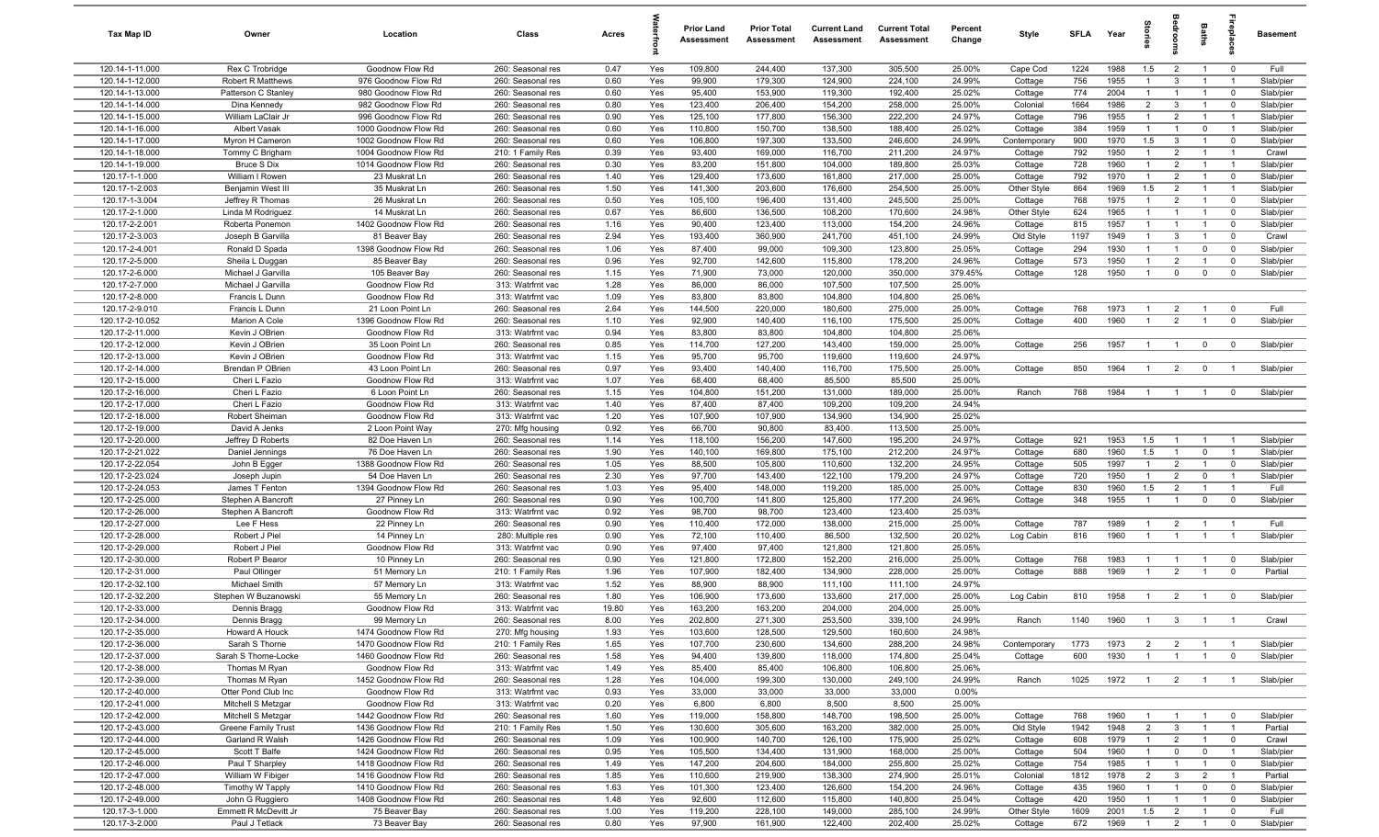| Tax Map ID                         | Owner                                    | Location                                     | Class                                  | Acres        |            | <b>Prior Land</b><br>Assessment | <b>Prior Total</b><br>Assessment | <b>Current Land</b><br>Assessment | <b>Current Total</b><br>Assessment | Percent<br>Change | Style                   | <b>SFLA</b> | Year         | ğ                                | groo                             | Baths                         | epla                          | Basement           |
|------------------------------------|------------------------------------------|----------------------------------------------|----------------------------------------|--------------|------------|---------------------------------|----------------------------------|-----------------------------------|------------------------------------|-------------------|-------------------------|-------------|--------------|----------------------------------|----------------------------------|-------------------------------|-------------------------------|--------------------|
| 120.14-1-11.000                    | Rex C Trobridge                          | Goodnow Flow Rd                              | 260: Seasonal res                      | 0.47         | Yes        | 109,800                         | 244,400                          | 137,300                           | 305,500                            | 25.00%            | Cape Cod                | 1224        | 1988         | 1.5                              | $\overline{2}$                   | $\overline{1}$                | $\mathbf 0$                   | Full               |
| 120.14-1-12.000                    | Robert R Matthews                        | 976 Goodnow Flow Rd                          | 260: Seasonal res                      | 0.60         | Yes        | 99,900                          | 179,300                          | 124,900                           | 224,100                            | 24.99%            | Cottage                 | 756         | 1955         | $\overline{1}$                   | $\mathbf{3}$                     | $\overline{1}$                | $\overline{1}$                | Slab/pier          |
| 120.14-1-13.000                    | Patterson C Stanley                      | 980 Goodnow Flow Rd                          | 260: Seasonal res                      | 0.60         | Yes        | 95,400                          | 153,900                          | 119,300                           | 192,400                            | 25.02%            | Cottage                 | 774         | 2004         | -1                               | $\overline{1}$                   | $\overline{1}$                | $\mathbf 0$                   | Slab/pier          |
| 120.14-1-14.000                    | Dina Kennedy                             | 982 Goodnow Flow Rd                          | 260: Seasonal res                      | 0.80         | Yes        | 123,400                         | 206,400                          | 154,200                           | 258,000                            | 25.00%            | Colonial                | 1664        | 1986         | $\overline{2}$                   | $\mathbf{3}$                     |                               | $\mathbf 0$                   | Slab/pier          |
| 120.14-1-15.000                    | William LaClair Jr                       | 996 Goodnow Flow Rd                          | 260: Seasonal res                      | 0.90         | Yes        | 125,100                         | 177,800                          | 156,300                           | 222,200                            | 24.97%            | Cottage                 | 796         | 1955         | $\mathbf{1}$                     | $\overline{2}$                   |                               | - 1                           | Slab/pier          |
| 120.14-1-16.000<br>120.14-1-17.000 | Albert Vasak                             | 1000 Goodnow Flow Rd                         | 260: Seasonal res<br>260: Seasonal res | 0.60<br>0.60 | Yes        | 110,800<br>106,800              | 150,700<br>197,300               | 138,500<br>133,500                | 188,400<br>246,600                 | 25.02%<br>24.99%  | Cottage                 | 384<br>900  | 1959<br>1970 | $\mathbf{1}$<br>1.5              | $\mathbf{3}$                     | $\mathbf 0$<br>$\overline{1}$ |                               | Slab/pier          |
| 120.14-1-18.000                    | Myron H Cameron<br>Tommy C Brigham       | 1002 Goodnow Flow Rd<br>1004 Goodnow Flow Rd | 210: 1 Family Res                      | 0.39         | Yes<br>Yes | 93,400                          | 169,000                          | 116,700                           | 211,200                            | 24.97%            | Contemporary<br>Cottage | 792         | 1950         | $\mathbf{1}$                     | $\overline{2}$                   | $\overline{1}$                | $\mathbf 0$<br>$\overline{1}$ | Slab/pier<br>Crawl |
| 120.14-1-19.000                    | <b>Bruce S Dix</b>                       | 1014 Goodnow Flow Rd                         | 260: Seasonal res                      | 0.30         | Yes        | 83,200                          | 151,800                          | 104,000                           | 189,800                            | 25.03%            | Cottage                 | 728         | 1960         | $\overline{1}$                   | $\overline{2}$                   | $\overline{1}$                | $\overline{1}$                | Slab/pier          |
| 120.17-1-1.000                     | William I Rowen                          | 23 Muskrat Ln                                | 260: Seasonal res                      | 1.40         | Yes        | 129,400                         | 173,600                          | 161,800                           | 217,000                            | 25.00%            | Cottage                 | 792         | 1970         | $\overline{1}$                   | $\overline{2}$                   | $\overline{1}$                | $\mathbf 0$                   | Slab/pier          |
| 120.17-1-2.003                     | Benjamin West III                        | 35 Muskrat Ln                                | 260: Seasonal res                      | 1.50         | Yes        | 141,300                         | 203,600                          | 176,600                           | 254,500                            | 25.00%            | Other Style             | 864         | 1969         | 1.5                              | $\overline{2}$                   | $\overline{1}$                | $\overline{1}$                | Slab/pier          |
| 120.17-1-3.004                     | Jeffrey R Thomas                         | 26 Muskrat Ln                                | 260: Seasonal res                      | 0.50         | Yes        | 105,100                         | 196,400                          | 131,400                           | 245,500                            | 25.00%            | Cottage                 | 768         | 1975         | $\overline{1}$                   | $\overline{2}$                   | $\overline{1}$                | $^{\circ}$                    | Slab/pier          |
| 120.17-2-1.000                     | Linda M Rodriguez                        | 14 Muskrat Ln                                | 260: Seasonal res                      | 0.67         | Yes        | 86,600                          | 136,500                          | 108,200                           | 170,600                            | 24.98%            | Other Style             | 624         | 1965         | $\overline{1}$                   | $\overline{1}$                   | $\overline{1}$                | $\mathbf 0$                   | Slab/pier          |
| 120.17-2-2.001                     | Roberta Ponemon                          | 1402 Goodnow Flow Rd                         | 260: Seasonal res                      | 1.16         | Yes        | 90,400                          | 123,400                          | 113,000                           | 154,200                            | 24.96%            | Cottage                 | 815         | 1957         | -1                               | $\overline{1}$                   | $\overline{1}$                | $\mathbf 0$                   | Slab/pier          |
| 120.17-2-3.003                     | Joseph B Garvilla                        | 81 Beaver Bay                                | 260: Seasonal res                      | 2.94         | Yes        | 193,400                         | 360,900                          | 241,700                           | 451,100                            | 24.99%            | Old Style               | 1197        | 1949         | $\overline{1}$                   | $\mathbf{3}$                     | $\overline{1}$                | $^{\circ}$                    | Crawl              |
| 120.17-2-4.001                     | Ronald D Spada                           | 1398 Goodnow Flow Rd                         | 260: Seasonal res                      | 1.06         | Yes        | 87,400                          | 99,000                           | 109,300                           | 123,800                            | 25.05%            | Cottage                 | 294         | 1930         | $\mathbf{1}$                     | $\overline{1}$                   | $\mathbf 0$                   | $\mathbf 0$                   | Slab/pier          |
| 120.17-2-5.000                     | Sheila L Duggan                          | 85 Beaver Bay                                | 260: Seasonal res                      | 0.96         | Yes        | 92,700                          | 142,600                          | 115,800                           | 178,200                            | 24.96%            | Cottage                 | 573         | 1950         | -1                               | $\overline{2}$                   |                               | $^{\circ}$                    | Slab/pier          |
| 120.17-2-6.000                     | Michael J Garvilla                       | 105 Beaver Bay                               | 260: Seasonal res                      | 1.15         | Yes        | 71,900                          | 73,000                           | 120,000                           | 350,000                            | 379.45%           | Cottage                 | 128         | 1950         | -1                               | $\mathbf 0$                      | $\mathbf 0$                   | $^{\circ}$                    | Slab/pier          |
| 120.17-2-7.000                     | Michael J Garvilla                       | Goodnow Flow Rd                              | 313: Watrfrnt vac                      | 1.28         | Yes        | 86,000                          | 86,000                           | 107,500                           | 107,500                            | 25.00%            |                         |             |              |                                  |                                  |                               |                               |                    |
| 120.17-2-8.000                     | Francis L Dunn                           | Goodnow Flow Rd                              | 313: Watrfrnt vac                      | 1.09         | Yes        | 83,800                          | 83,800                           | 104,800                           | 104,800                            | 25.06%            |                         |             |              |                                  |                                  |                               |                               |                    |
| 120.17-2-9.010<br>120.17-2-10.052  | Francis L Dunn<br>Marion A Cole          | 21 Loon Point Ln<br>1396 Goodnow Flow Rd     | 260: Seasonal res<br>260: Seasonal res | 2.64<br>1.10 | Yes<br>Yes | 144,500<br>92,900               | 220,000<br>140,400               | 180,600<br>116,100                | 275,000<br>175,500                 | 25.00%<br>25.00%  | Cottage<br>Cottage      | 768<br>400  | 1973<br>1960 | $\overline{1}$<br>$\mathbf{1}$   | $\overline{2}$<br>$\overline{2}$ | $\overline{1}$                | $\mathbf 0$<br>$\mathbf 0$    | Full<br>Slab/pier  |
| 120.17-2-11.000                    | Kevin J OBrien                           | Goodnow Flow Rd                              | 313: Watrfrnt vac                      | 0.94         | Yes        | 83,800                          | 83,800                           | 104,800                           | 104,800                            | 25.06%            |                         |             |              |                                  |                                  |                               |                               |                    |
| 120.17-2-12.000                    | Kevin J OBrien                           | 35 Loon Point Ln                             | 260: Seasonal res                      | 0.85         | Yes        | 114,700                         | 127,200                          | 143,400                           | 159,000                            | 25.00%            | Cottage                 | 256         | 1957         | $\overline{1}$                   | $\overline{1}$                   | $\mathbf 0$                   | $^{\circ}$                    | Slab/pier          |
| 120.17-2-13.000                    | Kevin J OBrien                           | Goodnow Flow Rd                              | 313: Watrfrnt vac                      | 1.15         | Yes        | 95,700                          | 95,700                           | 119,600                           | 119,600                            | 24.97%            |                         |             |              |                                  |                                  |                               |                               |                    |
| 120.17-2-14.000                    | Brendan P OBrien                         | 43 Loon Point Ln                             | 260: Seasonal res                      | 0.97         | Yes        | 93,400                          | 140,400                          | 116,700                           | 175,500                            | 25.00%            | Cottage                 | 850         | 1964         | $\mathbf{1}$                     | $\overline{2}$                   | $\mathbf 0$                   | - 1                           | Slab/pier          |
| 120.17-2-15.000                    | Cheri L Fazio                            | Goodnow Flow Rd                              | 313: Watrfrnt vac                      | 1.07         | Yes        | 68,400                          | 68,400                           | 85,500                            | 85,500                             | 25.00%            |                         |             |              |                                  |                                  |                               |                               |                    |
| 120.17-2-16.000                    | Cheri L Fazio                            | 6 Loon Point Ln                              | 260: Seasonal res                      | 1.15         | Yes        | 104,800                         | 151,200                          | 131,000                           | 189,000                            | 25.00%            | Ranch                   | 768         | 1984         | $\mathbf{1}$                     | $\overline{1}$                   |                               | $\mathbf 0$                   | Slab/pier          |
| 120.17-2-17.000                    | Cheri L Fazio                            | Goodnow Flow Rd                              | 313: Watrfrnt vac                      | 1.40         | Yes        | 87,400                          | 87,400                           | 109,200                           | 109,200                            | 24.94%            |                         |             |              |                                  |                                  |                               |                               |                    |
| 120.17-2-18.000                    | Robert Sheiman                           | Goodnow Flow Rd                              | 313: Watrfrnt vac                      | 1.20         | Yes        | 107,900                         | 107,900                          | 134,900                           | 134,900                            | 25.02%            |                         |             |              |                                  |                                  |                               |                               |                    |
| 120.17-2-19.000                    | David A Jenks                            | 2 Loon Point Way                             | 270: Mfg housing                       | 0.92         | Yes        | 66,700                          | 90,800                           | 83,400                            | 113,500                            | 25.00%            |                         |             |              |                                  |                                  |                               |                               |                    |
| 120.17-2-20.000                    | Jeffrey D Roberts                        | 82 Doe Haven Ln                              | 260: Seasonal res                      | 1.14         | Yes        | 118,100                         | 156,200                          | 147,600                           | 195,200                            | 24.97%            | Cottage                 | 921         | 1953         | 1.5                              | $\overline{1}$                   | $\overline{1}$                | $\overline{1}$                | Slab/pier          |
| 120.17-2-21.022                    | Daniel Jennings                          | 76 Doe Haven Ln                              | 260: Seasonal res                      | 1.90         | Yes        | 140,100                         | 169,800                          | 175,100                           | 212,200                            | 24.97%            | Cottage                 | 680         | 1960         | 1.5                              | $\overline{1}$                   | $\mathbf 0$                   | $\overline{1}$                | Slab/pier          |
| 120.17-2-22.054                    | John B Egger                             | 1388 Goodnow Flow Rd                         | 260: Seasonal res                      | 1.05         | Yes        | 88,500                          | 105,800                          | 110,600                           | 132,200                            | 24.95%            | Cottage                 | 505         | 1997         | $\overline{1}$                   | $\overline{2}$                   | $\overline{1}$                | $^{\circ}$                    | Slab/pier          |
| 120.17-2-23.024                    | Joseph Jupin                             | 54 Doe Haven Ln                              | 260: Seasonal res                      | 2.30         | Yes        | 97,700                          | 143,400                          | 122,100                           | 179,200                            | 24.97%            | Cottage                 | 720         | 1950         | $\overline{1}$                   | $\overline{2}$                   | $\mathbf 0$                   | $\overline{1}$                | Slab/pier          |
| 120.17-2-24.053<br>120.17-2-25.000 | James T Fenton                           | 1394 Goodnow Flow Rd                         | 260: Seasonal res                      | 1.03<br>0.90 | Yes        | 95,400<br>100,700               | 148,000<br>141,800               | 119,200<br>125,800                | 185,000<br>177,200                 | 25.00%<br>24.96%  | Cottage                 | 830<br>348  | 1960<br>1955 | 1.5<br>$\overline{1}$            | $\overline{2}$<br>$\overline{1}$ | $\overline{1}$<br>$\mathbf 0$ | $\overline{1}$<br>$^{\circ}$  | Full<br>Slab/pier  |
| 120.17-2-26.000                    | Stephen A Bancroft<br>Stephen A Bancroft | 27 Pinney Ln<br>Goodnow Flow Rd              | 260: Seasonal res<br>313: Watrfrnt vac | 0.92         | Yes<br>Yes | 98,700                          | 98,700                           | 123,400                           | 123,400                            | 25.03%            | Cottage                 |             |              |                                  |                                  |                               |                               |                    |
| 120.17-2-27.000                    | Lee F Hess                               | 22 Pinney Ln                                 | 260: Seasonal res                      | 0.90         | Yes        | 110,400                         | 172,000                          | 138,000                           | 215,000                            | 25.00%            | Cottage                 | 787         | 1989         | $\overline{1}$                   | $\overline{2}$                   | $\overline{1}$                | - 1                           | Full               |
| 120.17-2-28.000                    | Robert J Piel                            | 14 Pinney Ln                                 | 280: Multiple res                      | 0.90         | Yes        | 72,100                          | 110,400                          | 86,500                            | 132,500                            | 20.02%            | Log Cabin               | 816         | 1960         | $\overline{1}$                   | $\overline{1}$                   | $\overline{1}$                | $\overline{1}$                | Slab/pier          |
| 120.17-2-29.000                    | Robert J Piel                            | Goodnow Flow Rd                              | 313: Watrfrnt vac                      | 0.90         | Yes        | 97,400                          | 97,400                           | 121,800                           | 121,800                            | 25.05%            |                         |             |              |                                  |                                  |                               |                               |                    |
| 120.17-2-30.000                    | Robert P Bearor                          | 10 Pinney Ln                                 | 260: Seasonal res                      | 0.90         | Yes        | 121,800                         | 172,800                          | 152,200                           | 216,000                            | 25.00%            | Cottage                 | 768         | 1983         | -1                               | $\overline{1}$                   | $\overline{1}$                | $\overline{0}$                | Slab/pier          |
| 120.17-2-31.000                    | Paul Ollinger                            | 51 Memory Ln                                 | 210: 1 Family Res                      | 1.96         | Yes        | 107,900                         | 182,400                          | 134,900                           | 228,000                            | 25.00%            | Cottage                 | 888         | 1969         | $\overline{1}$                   | $\overline{2}$                   |                               | $^{\circ}$                    | Partial            |
| 120.17-2-32.100                    | Michael Smith                            | 57 Memory Ln                                 | 313: Watrfrnt vac                      | 1.52         | Yes        | 88,900                          | 88,900                           | 111,100                           | 111,100                            | 24.97%            |                         |             |              |                                  |                                  |                               |                               |                    |
| 120.17-2-32.200                    | Stephen W Buzanowski                     | 55 Memory Ln                                 | 260: Seasonal res                      | 1.80         | Yes        | 106,900                         | 173,600                          | 133,600                           | 217,000                            | 25.00%            | Log Cabin               | 810         | 1958         | $\overline{1}$                   | $\overline{2}$                   |                               | $^{\circ}$                    | Slab/pier          |
| 120.17-2-33.000                    | Dennis Bragg                             | Goodnow Flow Rd                              | 313: Watrfrnt vac                      | 19.80        | Yes        | 163,200                         | 163,200                          | 204,000                           | 204,000                            | 25.00%            |                         |             |              |                                  |                                  |                               |                               |                    |
| 120.17-2-34.000                    | Dennis Bragg                             | 99 Memory Ln                                 | 260: Seasonal res                      | 8.00         | Yes        | 202,800                         | 271,300                          | 253,500                           | 339,100                            | 24.99%            | Ranch                   | 1140        | 1960         | $\overline{1}$                   | $\mathcal{R}$                    |                               |                               | Crawl              |
| 120.17-2-35.000                    | Howard A Houck                           | 1474 Goodnow Flow Rd                         | 270: Mfg housing                       | 1.93         | Yes        | 103,600                         | 128,500                          | 129,500                           | 160,600                            | 24.98%            |                         |             |              |                                  |                                  |                               |                               |                    |
| 120.17-2-36.000<br>120.17-2-37.000 | Sarah S Thorne                           | 1470 Goodnow Flow Rd                         | 210: 1 Family Res                      | 1.65         | Yes        | 107,700                         | 230,600                          | 134,600                           | 288,200                            | 24.98%            | Contemporary            | 1773        | 1973         | $\overline{2}$<br>$\overline{1}$ | $\overline{2}$                   | $\overline{1}$                | $\overline{1}$                | Slab/pier          |
| 120.17-2-38.000                    | Sarah S Thorne-Locke<br>Thomas M Ryan    | 1460 Goodnow Flow Rd<br>Goodnow Flow Rd      | 260: Seasonal res<br>313: Watrfrnt vac | 1.58<br>1.49 | Yes<br>Yes | 94,400<br>85,400                | 139,800<br>85,400                | 118,000<br>106,800                | 174,800<br>106,800                 | 25.04%<br>25.06%  | Cottage                 | 600         | 1930         |                                  | $\overline{1}$                   | $\overline{1}$                | $^{\circ}$                    | Slab/pier          |
| 120.17-2-39.000                    | Thomas M Ryan                            | 1452 Goodnow Flow Rd                         | 260: Seasonal res                      | 1.28         | Yes        | 104,000                         | 199,300                          | 130,000                           | 249,100                            | 24.99%            | Ranch                   | 1025        | 1972         | $\overline{1}$                   | $\overline{2}$                   | $\overline{1}$                | $\overline{1}$                | Slab/pier          |
| 120.17-2-40.000                    | Otter Pond Club Inc                      | Goodnow Flow Rd                              | 313: Watrfrnt vac                      | 0.93         | Yes        | 33,000                          | 33,000                           | 33,000                            | 33,000                             | 0.00%             |                         |             |              |                                  |                                  |                               |                               |                    |
| 120.17-2-41.000                    | Mitchell S Metzgar                       | Goodnow Flow Rd                              | 313: Watrfrnt vac                      | 0.20         | Yes        | 6,800                           | 6,800                            | 8,500                             | 8,500                              | 25.00%            |                         |             |              |                                  |                                  |                               |                               |                    |
| 120.17-2-42.000                    | Mitchell S Metzgar                       | 1442 Goodnow Flow Rd                         | 260: Seasonal res                      | 1.60         | Yes        | 119,000                         | 158,800                          | 148,700                           | 198,500                            | 25.00%            | Cottage                 | 768         | 1960         | -1                               | $\overline{1}$                   |                               | $\overline{0}$                | Slab/pier          |
| 120.17-2-43.000                    | <b>Greene Family Trust</b>               | 1436 Goodnow Flow Rd                         | 210: 1 Family Res                      | 1.50         | Yes        | 130,600                         | 305,600                          | 163,200                           | 382,000                            | 25.00%            | Old Style               | 1942        | 1948         | $\overline{2}$                   | $\overline{3}$                   | $\overline{1}$                | - 1                           | Partial            |
| 120.17-2-44.000                    | Garland R Walsh                          | 1426 Goodnow Flow Rd                         | 260: Seasonal res                      | 1.09         | Yes        | 100,900                         | 140,700                          | 126,100                           | 175,900                            | 25.02%            | Cottage                 | 608         | 1979         | $\mathbf{1}$                     | $\overline{2}$                   | $\overline{1}$                | $\overline{\mathbf{0}}$       | Crawl              |
| 120.17-2-45.000                    | Scott T Balfe                            | 1424 Goodnow Flow Rd                         | 260: Seasonal res                      | 0.95         | Yes        | 105,500                         | 134,400                          | 131,900                           | 168,000                            | 25.00%            | Cottage                 | 504         | 1960         | $\mathbf{1}$                     | $\mathbf 0$                      | $\mathbf 0$                   | $\overline{1}$                | Slab/pier          |
| 120.17-2-46.000                    | Paul T Sharpley                          | 1418 Goodnow Flow Rd                         | 260: Seasonal res                      | 1.49         | Yes        | 147,200                         | 204,600                          | 184,000                           | 255,800                            | 25.02%            | Cottage                 | 754         | 1985         | $\mathbf{1}$                     | $\overline{1}$                   | $\overline{1}$                | $\overline{0}$                | Slab/pier          |
| 120.17-2-47.000                    | William W Fibiger                        | 1416 Goodnow Flow Rd                         | 260: Seasonal res                      | 1.85         | Yes        | 110,600                         | 219,900                          | 138,300                           | 274,900                            | 25.01%            | Colonial                | 1812        | 1978         | $\overline{2}$                   | $\mathbf{3}$                     | $\overline{2}$                | $\overline{1}$                | Partial            |
| 120.17-2-48.000                    | Timothy W Tapply                         | 1410 Goodnow Flow Rd                         | 260: Seasonal res                      | 1.63         | Yes        | 101,300                         | 123,400                          | 126,600                           | 154,200                            | 24.96%            | Cottage                 | 435         | 1960         | $\overline{1}$                   | $\overline{1}$                   | $\mathbf 0$                   | $\mathbf 0$                   | Slab/pier          |
| 120.17-2-49.000                    | John G Ruggiero                          | 1408 Goodnow Flow Rd                         | 260: Seasonal res                      | 1.48         | Yes        | 92,600                          | 112,600                          | 115,800                           | 140,800                            | 25.04%            | Cottage                 | 420         | 1950         | $\mathbf{1}$                     | $\overline{1}$                   | $\overline{1}$                | $\overline{0}$                | Slab/pier          |
| 120.17-3-1.000                     | Emmett R McDevitt Jr                     | 75 Beaver Bay                                | 260: Seasonal res                      | 1.00         | Yes        | 119,200                         | 228,100                          | 149,000                           | 285,100                            | 24.99%            | Other Style             | 1609        | 2001         | 1.5                              | $\overline{2}$                   | $\mathbf{1}$                  | $\overline{0}$                | Full               |
| 120.17-3-2.000                     | Paul J Tetlack                           | 73 Beaver Bay                                | 260: Seasonal res                      | 0.80         | Yes        | 97,900                          | 161,900                          | 122,400                           | 202,400                            | 25.02%            | Cottage                 | 672         | 1969         | $\overline{1}$                   | $\overline{2}$                   | $\overline{1}$                | $\mathbf 0$                   | Slab/pier          |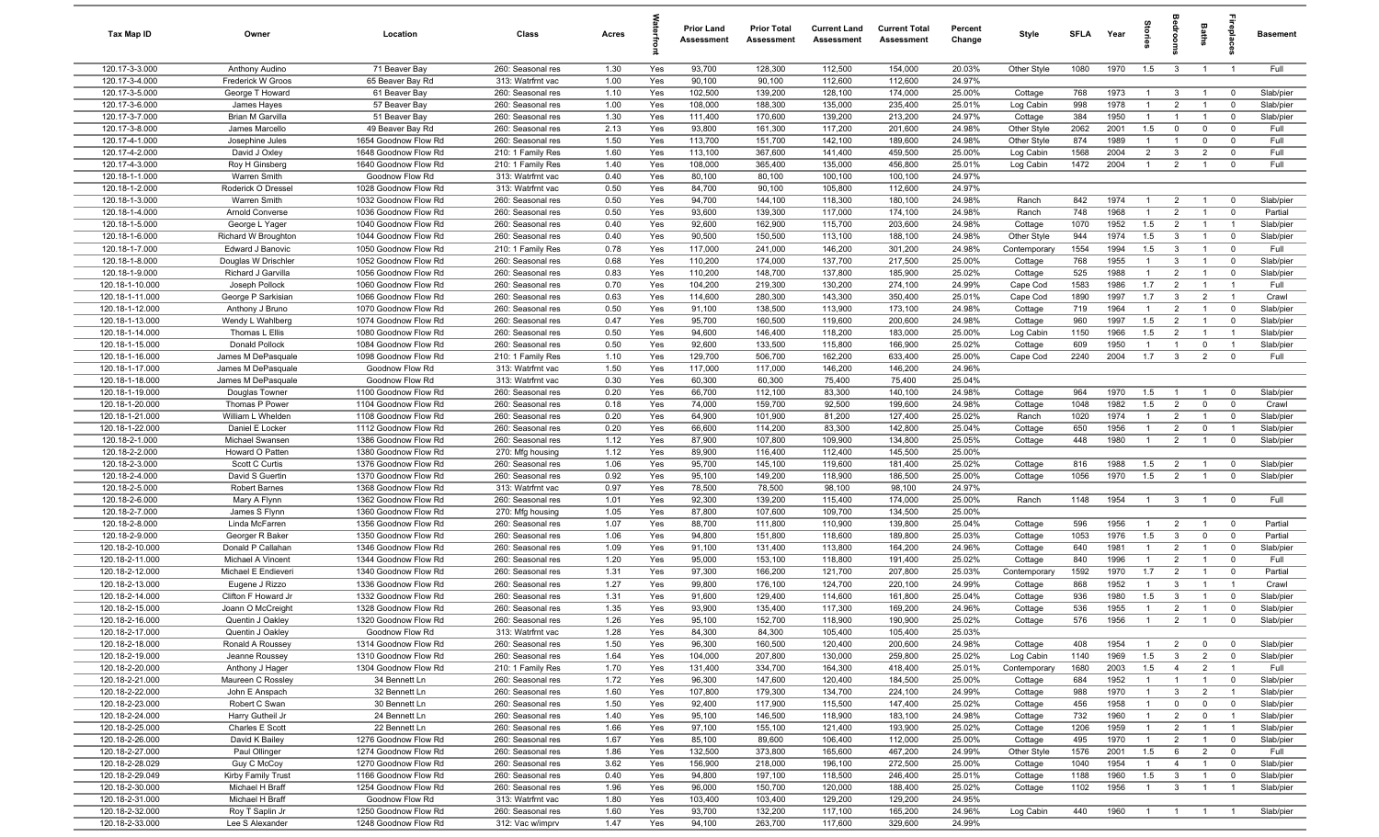| Tax Map ID                         | Owner                                 | Location                                     | Class                                  | Acres        |            | <b>Prior Land</b><br>Assessment | <b>Prior Total</b><br>Assessment | <b>Current Land</b><br>Assessment | <b>Current Total</b><br>Assessment | Percent<br>Change | Style                     | <b>SFLA</b>  | Year         | $\vec{a}$                      |                                  | Baths                            | epla                          | <b>Basement</b>        |
|------------------------------------|---------------------------------------|----------------------------------------------|----------------------------------------|--------------|------------|---------------------------------|----------------------------------|-----------------------------------|------------------------------------|-------------------|---------------------------|--------------|--------------|--------------------------------|----------------------------------|----------------------------------|-------------------------------|------------------------|
| 120.17-3-3.000                     | Anthony Audino                        | 71 Beaver Bay                                | 260: Seasonal res                      | 1.30         | Yes        | 93,700                          | 128,300                          | 112,500                           | 154,000                            | 20.03%            | Other Style               | 1080         | 1970         | 1.5                            | $\mathbf{3}$                     | $\overline{1}$                   | $\overline{1}$                | Full                   |
| 120.17-3-4.000                     | Frederick W Groos                     | 65 Beaver Bay Rd                             | 313: Watrfrnt vac                      | 1.00         | Yes        | 90,100                          | 90,100                           | 112,600                           | 112,600                            | 24.97%            |                           |              |              |                                |                                  |                                  |                               |                        |
| 120.17-3-5.000<br>120.17-3-6.000   | George T Howard<br>James Hayes        | 61 Beaver Bay<br>57 Beaver Bay               | 260: Seasonal res<br>260: Seasonal res | 1.10<br>1.00 | Yes<br>Yes | 102,500<br>108,000              | 139,200<br>188,300               | 128,100<br>135,000                | 174,000<br>235,400                 | 25.00%<br>25.01%  | Cottage<br>Log Cabin      | 768<br>998   | 1973<br>1978 | $\overline{1}$<br>$\mathbf{1}$ | $\mathbf{3}$<br>$\overline{2}$   | $\overline{1}$<br>$\overline{1}$ | $\mathbf 0$<br>$\overline{0}$ | Slab/pier<br>Slab/pier |
| 120.17-3-7.000                     | Brian M Garvilla                      | 51 Beaver Bay                                | 260: Seasonal res                      | 1.30         | Yes        | 111,400                         | 170,600                          | 139,200                           | 213,200                            | 24.97%            | Cottage                   | 384          | 1950         | $\overline{1}$                 | $\overline{1}$                   | $\overline{1}$                   | $\mathbf 0$                   | Slab/pier              |
| 120.17-3-8.000                     | James Marcello                        | 49 Beaver Bay Rd                             | 260: Seasonal res                      | 2.13         | Yes        | 93,800                          | 161,300                          | 117,200                           | 201,600                            | 24.98%            | Other Style               | 2062         | 2001         | 1.5                            | $\mathbf 0$                      | 0                                | $\Omega$                      | Full                   |
| 120.17-4-1.000                     | Josephine Jules                       | 1654 Goodnow Flow Rd                         | 260: Seasonal res                      | 1.50         | Yes        | 113,700                         | 151,700                          | 142,100                           | 189,600                            | 24.98%            | Other Style               | 874          | 1989         | $\overline{1}$                 | $\overline{1}$                   | $\mathbf 0$                      | $\mathbf 0$                   | Full                   |
| 120.17-4-2.000                     | David J Oxley                         | 1648 Goodnow Flow Rd                         | 210: 1 Family Res                      | 1.60         | Yes        | 113,100                         | 367,600                          | 141,400                           | 459,500                            | 25.00%            | Log Cabin                 | 1568         | 2004         | $\overline{2}$                 | $\mathbf{3}$                     | $\overline{2}$                   | $\mathbf 0$                   | Full                   |
| 120.17-4-3.000                     | Roy H Ginsberg                        | 1640 Goodnow Flow Rd                         | 210: 1 Family Res                      | 1.40         | Yes        | 108,000                         | 365,400                          | 135,000                           | 456,800                            | 25.01%            | Log Cabin                 | 1472         | 2004         | $\overline{1}$                 | $\overline{2}$                   | $\overline{1}$                   | $\mathbf 0$                   | Full                   |
| 120.18-1-1.000                     | Warren Smith                          | Goodnow Flow Rd                              | 313: Watrfrnt vac                      | 0.40         | Yes        | 80,100                          | 80,100                           | 100,100                           | 100,100                            | 24.97%            |                           |              |              |                                |                                  |                                  |                               |                        |
| 120.18-1-2.000<br>120.18-1-3.000   | Roderick O Dressel<br>Warren Smith    | 1028 Goodnow Flow Rd<br>1032 Goodnow Flow Rd | 313: Watrfrnt vac                      | 0.50         | Yes        | 84,700<br>94,700                | 90,100                           | 105,800                           | 112,600                            | 24.97%<br>24.98%  |                           | 842          | 1974         | $\overline{1}$                 |                                  |                                  | $\mathbf 0$                   | Slab/pier              |
| 120.18-1-4.000                     | Arnold Converse                       | 1036 Goodnow Flow Rd                         | 260: Seasonal res<br>260: Seasonal res | 0.50<br>0.50 | Yes<br>Yes | 93,600                          | 144,100<br>139,300               | 118,300<br>117,000                | 180,100<br>174,100                 | 24.98%            | Ranch<br>Ranch            | 748          | 1968         | $\overline{1}$                 | $\overline{2}$<br>$\overline{2}$ | $\overline{1}$<br>$\overline{1}$ | $\mathbf 0$                   | Partial                |
| 120.18-1-5.000                     | George L Yager                        | 1040 Goodnow Flow Rd                         | 260: Seasonal res                      | 0.40         | Yes        | 92,600                          | 162,900                          | 115,700                           | 203,600                            | 24.98%            | Cottage                   | 1070         | 1952         | 1.5                            | $\overline{2}$                   | $\overline{1}$                   | $\overline{1}$                | Slab/pier              |
| 120.18-1-6.000                     | Richard W Broughton                   | 1044 Goodnow Flow Rd                         | 260: Seasonal res                      | 0.40         | Yes        | 90,500                          | 150,500                          | 113,100                           | 188,100                            | 24.98%            | Other Style               | 944          | 1974         | 1.5                            | $\mathbf{3}$                     | $\overline{1}$                   | $\mathbf 0$                   | Slab/pier              |
| 120.18-1-7.000                     | Edward J Banovic                      | 1050 Goodnow Flow Rd                         | 210: 1 Family Res                      | 0.78         | Yes        | 117,000                         | 241,000                          | 146,200                           | 301,200                            | 24.98%            | Contemporary              | 1554         | 1994         | 1.5                            | $\mathbf{3}$                     | $\overline{1}$                   | $\overline{0}$                | Full                   |
| 120.18-1-8.000                     | Douglas W Drischler                   | 1052 Goodnow Flow Rd                         | 260: Seasonal res                      | 0.68         | Yes        | 110,200                         | 174,000                          | 137,700                           | 217,500                            | 25.00%            | Cottage                   | 768          | 1955         | $\mathbf{1}$                   | $\mathbf{3}$                     |                                  | $\Omega$                      | Slab/pier              |
| 120.18-1-9.000                     | Richard J Garvilla                    | 1056 Goodnow Flow Rd                         | 260: Seasonal res                      | 0.83         | Yes        | 110,200                         | 148,700                          | 137,800                           | 185,900                            | 25.02%            | Cottage                   | 525          | 1988         | -1                             | $\overline{2}$                   | $\overline{1}$                   | $\mathbf 0$                   | Slab/pier              |
| 120.18-1-10.000<br>120.18-1-11.000 | Joseph Pollock<br>George P Sarkisian  | 1060 Goodnow Flow Rd                         | 260: Seasonal res                      | 0.70<br>0.63 | Yes<br>Yes | 104,200<br>114,600              | 219,300<br>280,300               | 130,200<br>143,300                | 274,100<br>350,400                 | 24.99%<br>25.01%  | Cape Cod                  | 1583<br>1890 | 1986<br>1997 | 1.7<br>1.7                     | $\overline{2}$<br>$\mathbf{3}$   | $\overline{1}$<br>$\overline{2}$ | $\overline{1}$                | Full<br>Crawl          |
| 120.18-1-12.000                    | Anthony J Bruno                       | 1066 Goodnow Flow Rd<br>1070 Goodnow Flow Rd | 260: Seasonal res<br>260: Seasonal res | 0.50         | Yes        | 91,100                          | 138,500                          | 113,900                           | 173,100                            | 24.98%            | Cape Cod<br>Cottage       | 719          | 1964         | $\overline{1}$                 | $\overline{2}$                   | $\overline{1}$                   | $\mathbf 0$                   | Slab/pier              |
| 120.18-1-13.000                    | Wendy L Wahlberg                      | 1074 Goodnow Flow Rd                         | 260: Seasonal res                      | 0.47         | Yes        | 95,700                          | 160,500                          | 119,600                           | 200,600                            | 24.98%            | Cottage                   | 960          | 1997         | 1.5                            | $\overline{2}$                   | $\overline{1}$                   | $\mathbf 0$                   | Slab/pier              |
| 120.18-1-14.000                    | Thomas L Ellis                        | 1080 Goodnow Flow Rd                         | 260: Seasonal res                      | 0.50         | Yes        | 94,600                          | 146,400                          | 118,200                           | 183,000                            | 25.00%            | Log Cabin                 | 1150         | 1966         | 1.5                            | $\overline{2}$                   | $\overline{1}$                   | $\overline{1}$                | Slab/pier              |
| 120.18-1-15.000                    | <b>Donald Pollock</b>                 | 1084 Goodnow Flow Rd                         | 260: Seasonal res                      | 0.50         | Yes        | 92,600                          | 133,500                          | 115,800                           | 166,900                            | 25.02%            | Cottage                   | 609          | 1950         | $\overline{1}$                 | $\overline{1}$                   | $\mathbf 0$                      | $\overline{1}$                | Slab/pier              |
| 120.18-1-16.000                    | James M DePasquale                    | 1098 Goodnow Flow Rd                         | 210: 1 Family Res                      | 1.10         | Yes        | 129,700                         | 506,700                          | 162,200                           | 633,400                            | 25.00%            | Cape Cod                  | 2240         | 2004         | 1.7                            | $\mathbf{3}$                     | $\overline{2}$                   | $\mathbf 0$                   | Full                   |
| 120.18-1-17.000                    | James M DePasquale                    | Goodnow Flow Rd                              | 313: Watrfrnt vac                      | 1.50         | Yes        | 117,000                         | 117,000                          | 146,200                           | 146,200                            | 24.96%            |                           |              |              |                                |                                  |                                  |                               |                        |
| 120.18-1-18.000<br>120.18-1-19.000 | James M DePasquale                    | Goodnow Flow Rd<br>1100 Goodnow Flow Rd      | 313: Watrfrnt vac                      | 0.30<br>0.20 | Yes        | 60,300                          | 60,300                           | 75,400                            | 75,400                             | 25.04%<br>24.98%  |                           | 964          | 1970         |                                | -1                               | $\overline{1}$                   | $\mathbf 0$                   | Slab/pier              |
| 120.18-1-20.000                    | Douglas Towner<br>Thomas P Power      | 1104 Goodnow Flow Rd                         | 260: Seasonal res<br>260: Seasonal res | 0.18         | Yes<br>Yes | 66,700<br>74,000                | 112,100<br>159,700               | 83,300<br>92,500                  | 140,100<br>199,600                 | 24.98%            | Cottage<br>Cottage        | 1048         | 1982         | 1.5<br>1.5                     | $\overline{2}$                   | $\mathbf 0$                      | $\mathbf 0$                   | Crawl                  |
| 120.18-1-21.000                    | William L Whelden                     | 1108 Goodnow Flow Rd                         | 260: Seasonal res                      | 0.20         | Yes        | 64,900                          | 101,900                          | 81,200                            | 127,400                            | 25.02%            | Ranch                     | 1020         | 1974         | $\overline{1}$                 | $\overline{2}$                   | $\overline{1}$                   | $\Omega$                      | Slab/pier              |
| 120.18-1-22.000                    | Daniel E Locker                       | 1112 Goodnow Flow Rd                         | 260: Seasonal res                      | 0.20         | Yes        | 66,600                          | 114,200                          | 83,300                            | 142,800                            | 25.04%            | Cottage                   | 650          | 1956         | $\mathbf{1}$                   | $\overline{2}$                   | $\mathbf 0$                      |                               | Slab/pier              |
| 120.18-2-1.000                     | Michael Swansen                       | 1386 Goodnow Flow Rd                         | 260: Seasonal res                      | 1.12         | Yes        | 87,900                          | 107,800                          | 109,900                           | 134,800                            | 25.05%            | Cottage                   | 448          | 1980         | $\overline{1}$                 | $\overline{2}$                   | $\overline{1}$                   | $\overline{0}$                | Slab/pier              |
| 120.18-2-2.000                     | Howard O Patten                       | 1380 Goodnow Flow Rd                         | 270: Mfg housing                       | 1.12         | Yes        | 89,900                          | 116,400                          | 112,400                           | 145,500                            | 25.00%            |                           |              |              |                                |                                  |                                  |                               |                        |
| 120.18-2-3.000                     | Scott C Curtis                        | 1376 Goodnow Flow Rd                         | 260: Seasonal res                      | 1.06         | Yes        | 95,700                          | 145,100                          | 119,600                           | 181,400                            | 25.02%            | Cottage                   | 816          | 1988         | 1.5                            | $\overline{2}$                   | $\overline{1}$                   | $\mathbf 0$                   | Slab/pier              |
| 120.18-2-4.000<br>120.18-2-5.000   | David S Guertin<br>Robert Barnes      | 1370 Goodnow Flow Rd<br>1368 Goodnow Flow Rd | 260: Seasonal res<br>313: Watrfrnt vac | 0.92<br>0.97 | Yes<br>Yes | 95,100<br>78,500                | 149,200<br>78,500                | 118,900<br>98,100                 | 186,500<br>98,100                  | 25.00%<br>24.97%  | Cottage                   | 1056         | 1970         | 1.5                            | $\overline{2}$                   | $\overline{1}$                   | $\mathbf 0$                   | Slab/pier              |
| 120.18-2-6.000                     | Mary A Flynn                          | 1362 Goodnow Flow Rd                         | 260: Seasonal res                      | 1.01         | Yes        | 92,300                          | 139,200                          | 115,400                           | 174,000                            | 25.00%            | Ranch                     | 1148         | 1954         | $\overline{1}$                 | $\mathbf{3}$                     | $\overline{1}$                   | $\mathbf 0$                   | Full                   |
| 120.18-2-7.000                     | James S Flynn                         | 1360 Goodnow Flow Rd                         | 270: Mfg housing                       | 1.05         | Yes        | 87,800                          | 107,600                          | 109,700                           | 134,500                            | 25.00%            |                           |              |              |                                |                                  |                                  |                               |                        |
| 120.18-2-8.000                     | Linda McFarren                        | 1356 Goodnow Flow Rd                         | 260: Seasonal res                      | 1.07         | Yes        | 88,700                          | 111,800                          | 110,900                           | 139,800                            | 25.04%            | Cottage                   | 596          | 1956         | $\mathbf{1}$                   | $\overline{2}$                   | - 1                              | $\mathbf 0$                   | Partial                |
| 120.18-2-9.000                     | Georger R Baker                       | 1350 Goodnow Flow Rd                         | 260: Seasonal res                      | 1.06         | Yes        | 94,800                          | 151,800                          | 118,600                           | 189,800                            | 25.03%            | Cottage                   | 1053         | 1976         | 1.5                            | $\mathbf{3}$                     | $\mathbf 0$                      | $\mathbf 0$                   | Partial                |
| 120.18-2-10.000                    | Donald P Callahan                     | 1346 Goodnow Flow Rd                         | 260: Seasonal res                      | 1.09         | Yes        | 91,100                          | 131,400                          | 113,800                           | 164,200                            | 24.96%            | Cottage                   | 640          | 1981         | $\overline{1}$                 | $\overline{2}$                   | $\overline{1}$                   | $\mathbf 0$                   | Slab/pier              |
| 120.18-2-11.000                    | Michael A Vincent                     | 1344 Goodnow Flow Rd                         | 260: Seasonal res                      | 1.20         | Yes        | 95,000                          | 153,100<br>166,200               | 118,800                           | 191,400                            | 25.02%            | Cottage                   | 840          | 1996<br>1970 | $\mathbf{1}$<br>1.7            | $\overline{2}$<br>$\overline{2}$ | $\overline{1}$                   | $\mathbf 0$<br>$\mathbf 0$    | Full                   |
| 120.18-2-12.000<br>120.18-2-13.000 | Michael E Endieveri<br>Eugene J Rizzo | 1340 Goodnow Flow Rd<br>1336 Goodnow Flow Rd | 260: Seasonal res<br>260: Seasonal res | 1.31<br>1.27 | Yes<br>Yes | 97,300<br>99,800                | 176,100                          | 121,700<br>124,700                | 207,800<br>220,100                 | 25.03%<br>24.99%  | Contemporary<br>Cottage   | 1592<br>868  | 1952         | $\overline{1}$                 | 3                                | $\overline{1}$                   | $\overline{1}$                | Partial<br>Crawl       |
| 120.18-2-14.000                    | Clifton F Howard Jr                   | 1332 Goodnow Flow Rd                         | 260: Seasonal res                      | 1.31         | Yes        | 91,600                          | 129,400                          | 114,600                           | 161,800                            | 25.04%            | Cottage                   | 936          | 1980         | 1.5                            | -3                               |                                  | $\Omega$                      | Slab/pier              |
| 120.18-2-15.000                    | Joann O McCreight                     | 1328 Goodnow Flow Rd                         | 260: Seasonal res                      | 1.35         | Yes        | 93,900                          | 135,400                          | 117,300                           | 169,200                            | 24.96%            | Cottage                   | 536          | 1955         | $\overline{1}$                 | $\overline{2}$                   | $\overline{1}$                   | $\mathbf 0$                   | Slab/pier              |
| 120.18-2-16.000                    | Quentin J Oakley                      | 1320 Goodnow Flow Rd                         | 260: Seasonal res                      | 1.26         | Yes        | 95,100                          | 152,700                          | 118,900                           | 190,900                            | 25.02%            | Cottage                   | 576          | 1956         | $\overline{1}$                 | $\overline{2}$                   | $\overline{1}$                   | $\Omega$                      | Slab/pier              |
| 120.18-2-17.000                    | Quentin J Oakley                      | Goodnow Flow Rd                              | 313: Watrfrnt vac                      | 1.28         | Yes        | 84,300                          | 84,300                           | 105,400                           | 105,400                            | 25.03%            |                           |              |              |                                |                                  |                                  |                               |                        |
| 120.18-2-18.000<br>120.18-2-19.000 | Ronald A Roussey                      | 1314 Goodnow Flow Rd                         | 260: Seasonal res                      | 1.50         | Yes        | 96,300                          | 160,500                          | 120,400                           | 200,600                            | 24.98%            | Cottage                   | 408          | 1954         | $\overline{1}$                 | $\overline{2}$                   | $\mathbf 0$                      | $\mathbf 0$                   | Slab/pier              |
| 120.18-2-20.000                    | Jeanne Roussey<br>Anthony J Hager     | 1310 Goodnow Flow Rd<br>1304 Goodnow Flow Rd | 260: Seasonal res<br>210: 1 Family Res | 1.64<br>1.70 | Yes<br>Yes | 104,000<br>131,400              | 207,800<br>334,700               | 130,000<br>164,300                | 259,800<br>418,400                 | 25.02%<br>25.01%  | Log Cabin<br>Contemporary | 1140<br>1680 | 1969<br>2003 | 1.5<br>1.5                     | $\mathbf{3}$<br>$\overline{4}$   | $\overline{2}$<br>$\overline{2}$ | $\mathbf 0$<br>$\overline{1}$ | Slab/pier<br>Full      |
| 120.18-2-21.000                    | Maureen C Rossley                     | 34 Bennett Ln                                | 260: Seasonal res                      | 1.72         | Yes        | 96,300                          | 147,600                          | 120,400                           | 184,500                            | 25.00%            | Cottage                   | 684          | 1952         | $\overline{1}$                 | $\overline{1}$                   | $\overline{1}$                   | $\mathbf 0$                   | Slab/pier              |
| 120.18-2-22.000                    | John E Anspach                        | 32 Bennett Ln                                | 260: Seasonal res                      | 1.60         | Yes        | 107,800                         | 179,300                          | 134,700                           | 224,100                            | 24.99%            | Cottage                   | 988          | 1970         | $\overline{1}$                 | $\mathbf{3}$                     | $\overline{2}$                   | $\overline{1}$                | Slab/pier              |
| 120.18-2-23.000                    | Robert C Swan                         | 30 Bennett Ln                                | 260: Seasonal res                      | 1.50         | Yes        | 92,400                          | 117,900                          | 115,500                           | 147,400                            | 25.02%            | Cottage                   | 456          | 1958         | $\mathbf{1}$                   | $\overline{0}$                   | $\mathbf 0$                      | $\mathbf 0$                   | Slab/pier              |
| 120.18-2-24.000                    | Harry Gutheil Jr                      | 24 Bennett Ln                                | 260: Seasonal res                      | 1.40         | Yes        | 95,100                          | 146,500                          | 118,900                           | 183,100                            | 24.98%            | Cottage                   | 732          | 1960         | 1                              | $\overline{2}$                   | $\overline{0}$                   | $\mathbf{1}$                  | Slab/pier              |
| 120.18-2-25.000                    | Charles E Scott                       | 22 Bennett Ln                                | 260: Seasonal res                      | 1.66         | Yes        | 97,100                          | 155,100                          | 121,400                           | 193,900                            | 25.02%            | Cottage                   | 1206         | 1959         |                                | $\overline{2}$                   | $\overline{1}$                   |                               | Slab/pier              |
| 120.18-2-26.000<br>120.18-2-27.000 | David K Bailey<br>Paul Ollinger       | 1276 Goodnow Flow Rd<br>1274 Goodnow Flow Rd | 260: Seasonal res<br>260: Seasonal res | 1.67<br>1.86 | Yes<br>Yes | 85,100<br>132,500               | 89,600<br>373,800                | 106,400<br>165,600                | 112,000<br>467,200                 | 25.00%<br>24.99%  | Cottage<br>Other Style    | 495<br>1576  | 1970<br>2001 | 1.5                            | $\overline{2}$<br>6              | $\overline{1}$<br>$\overline{2}$ | $\mathbf 0$<br>$\mathbf 0$    | Slab/pier<br>Full      |
| 120.18-2-28.029                    | Guy C McCoy                           | 1270 Goodnow Flow Rd                         | 260: Seasonal res                      | 3.62         | Yes        | 156,900                         | 218,000                          | 196,100                           | 272,500                            | 25.00%            | Cottage                   | 1040         | 1954         | $\overline{1}$                 | $\overline{4}$                   | $\overline{1}$                   | $\mathbf 0$                   | Slab/pier              |
| 120.18-2-29.049                    | Kirby Family Trust                    | 1166 Goodnow Flow Rd                         | 260: Seasonal res                      | 0.40         | Yes        | 94,800                          | 197,100                          | 118,500                           | 246,400                            | 25.01%            | Cottage                   | 1188         | 1960         | 1.5                            | $\mathbf{3}$                     | $\overline{1}$                   | $\mathbf 0$                   | Slab/pier              |
| 120.18-2-30.000                    | Michael H Braff                       | 1254 Goodnow Flow Rd                         | 260: Seasonal res                      | 1.96         | Yes        | 96,000                          | 150,700                          | 120,000                           | 188,400                            | 25.02%            | Cottage                   | 1102         | 1956         | $\overline{1}$                 | $\mathbf{3}$                     | $\overline{1}$                   | $\overline{1}$                | Slab/pier              |
| 120.18-2-31.000                    | Michael H Braff                       | Goodnow Flow Rd                              | 313: Watrfrnt vac                      | 1.80         | Yes        | 103,400                         | 103,400                          | 129,200                           | 129,200                            | 24.95%            |                           |              |              |                                |                                  |                                  |                               |                        |
| 120.18-2-32.000                    | Roy T Saplin Jr                       | 1250 Goodnow Flow Rd                         | 260: Seasonal res                      | 1.60         | Yes        | 93,700                          | 132,200                          | 117,100                           | 165,200                            | 24.96%            | Log Cabin                 | 440          | 1960         | $\overline{1}$                 | $\overline{1}$                   | $\overline{1}$                   | $\overline{1}$                | Slab/pier              |
| 120.18-2-33.000                    | Lee S Alexander                       | 1248 Goodnow Flow Rd                         | 312: Vac w/imprv                       | 1.47         | Yes        | 94,100                          | 263,700                          | 117,600                           | 329,600                            | 24.99%            |                           |              |              |                                |                                  |                                  |                               |                        |